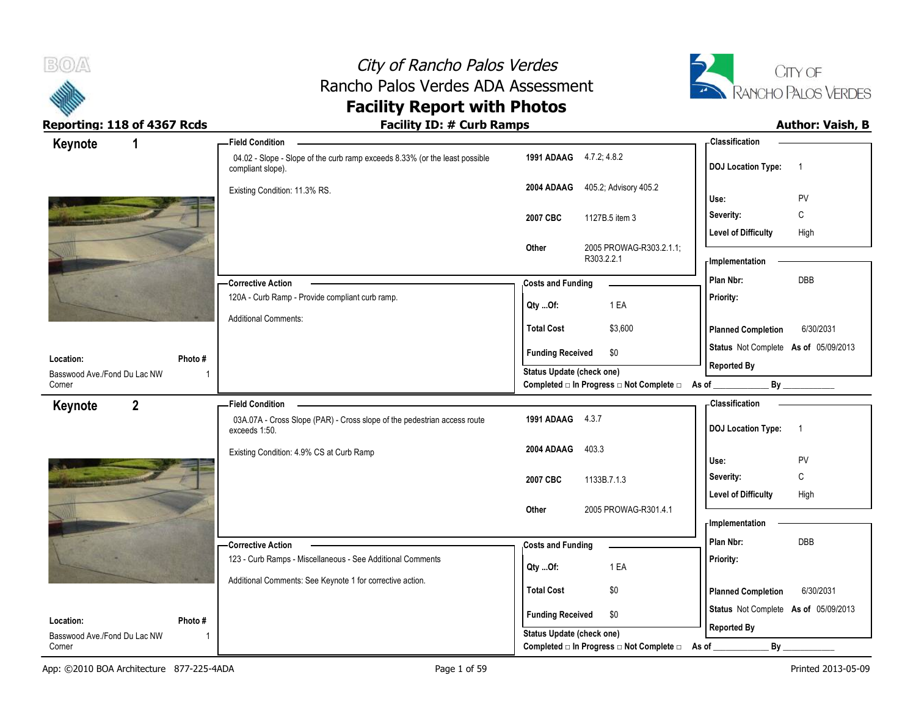



| Keynote<br>1                           |                | <b>Field Condition</b>                                                                           |                           |                                                  | <b>Classification</b>                       |  |
|----------------------------------------|----------------|--------------------------------------------------------------------------------------------------|---------------------------|--------------------------------------------------|---------------------------------------------|--|
|                                        |                | 04.02 - Slope - Slope of the curb ramp exceeds 8.33% (or the least possible<br>compliant slope). | 1991 ADAAG 4.7.2, 4.8.2   |                                                  | <b>DOJ Location Type:</b><br>$\overline{1}$ |  |
|                                        |                | Existing Condition: 11.3% RS.                                                                    | 2004 ADAAG                | 405.2; Advisory 405.2                            | PV<br>Use:                                  |  |
|                                        |                |                                                                                                  |                           |                                                  | C                                           |  |
|                                        |                |                                                                                                  | 2007 CBC                  | 1127B.5 item 3                                   | Severity:                                   |  |
|                                        |                |                                                                                                  | Other                     | 2005 PROWAG-R303.2.1.1;                          | <b>Level of Difficulty</b><br>High          |  |
|                                        |                |                                                                                                  |                           | R303.2.2.1                                       | - Implementation                            |  |
|                                        |                | - Corrective Action                                                                              | <b>Costs and Funding</b>  |                                                  | DBB<br>Plan Nbr:                            |  |
|                                        |                | 120A - Curb Ramp - Provide compliant curb ramp.                                                  |                           | 1 EA                                             | Priority:                                   |  |
|                                        |                | <b>Additional Comments:</b>                                                                      | Qty Of:                   |                                                  |                                             |  |
|                                        |                |                                                                                                  | <b>Total Cost</b>         | \$3,600                                          | <b>Planned Completion</b><br>6/30/2031      |  |
| Location:                              | Photo #        |                                                                                                  | <b>Funding Received</b>   | \$0                                              | Status Not Complete As of 05/09/2013        |  |
| Basswood Ave./Fond Du Lac NW           | $\overline{1}$ |                                                                                                  | Status Update (check one) |                                                  | <b>Reported By</b>                          |  |
| Corner                                 |                |                                                                                                  |                           | Completed □ In Progress □ Not Complete □ As of _ | By                                          |  |
| $\overline{2}$<br>Keynote              |                | <b>Field Condition</b>                                                                           |                           |                                                  | - Classification                            |  |
|                                        |                | 03A.07A - Cross Slope (PAR) - Cross slope of the pedestrian access route<br>exceeds 1:50.        | 1991 ADAAG 4.3.7          |                                                  | <b>DOJ Location Type:</b><br>$\overline{1}$ |  |
|                                        |                | Existing Condition: 4.9% CS at Curb Ramp                                                         | 2004 ADAAG                | 403.3                                            |                                             |  |
|                                        |                |                                                                                                  |                           |                                                  |                                             |  |
|                                        |                |                                                                                                  |                           |                                                  | Use:<br>PV                                  |  |
|                                        |                |                                                                                                  | 2007 CBC                  | 1133B.7.1.3                                      | C<br>Severity:                              |  |
|                                        |                |                                                                                                  |                           |                                                  | <b>Level of Difficulty</b><br>High          |  |
|                                        |                |                                                                                                  | Other                     | 2005 PROWAG-R301.4.1                             |                                             |  |
|                                        |                |                                                                                                  |                           |                                                  | - Implementation                            |  |
|                                        |                | -Corrective Action                                                                               | <b>Costs and Funding</b>  |                                                  | Plan Nbr:<br><b>DBB</b>                     |  |
|                                        |                | 123 - Curb Ramps - Miscellaneous - See Additional Comments                                       | Qty Of:                   | 1 EA                                             | Priority:                                   |  |
|                                        |                | Additional Comments: See Keynote 1 for corrective action.                                        | <b>Total Cost</b>         | \$0                                              |                                             |  |
|                                        |                |                                                                                                  |                           |                                                  | 6/30/2031<br><b>Planned Completion</b>      |  |
| Location:                              | Photo #        |                                                                                                  | <b>Funding Received</b>   | \$0                                              | Status Not Complete As of 05/09/2013        |  |
| Basswood Ave./Fond Du Lac NW<br>Corner | -1             |                                                                                                  | Status Update (check one) | Completed □ In Progress □ Not Complete □         | <b>Reported By</b><br>By<br>As of           |  |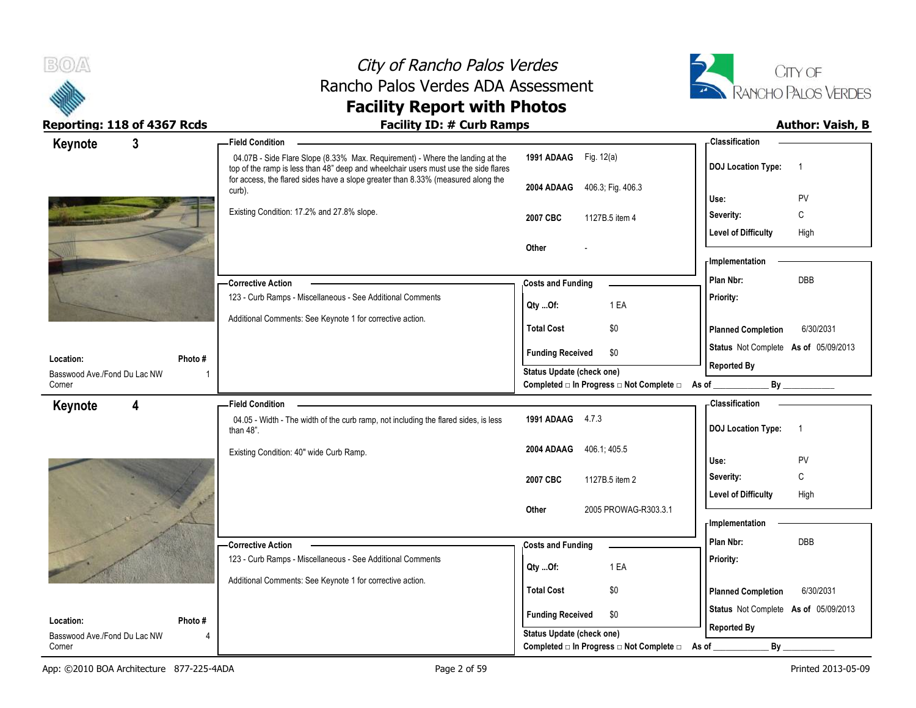



| Keynote                                | $\mathbf{3}$ | <b>Field Condition</b>                                                                                                                                               |                                                                       | - Classification                            |
|----------------------------------------|--------------|----------------------------------------------------------------------------------------------------------------------------------------------------------------------|-----------------------------------------------------------------------|---------------------------------------------|
|                                        |              | 04.07B - Side Flare Slope (8.33% Max. Requirement) - Where the landing at the<br>top of the ramp is less than 48" deep and wheelchair users must use the side flares | 1991 ADAAG Fig. 12(a)                                                 | <b>DOJ Location Type:</b><br>-1             |
|                                        |              | for access, the flared sides have a slope greater than 8.33% (measured along the<br>curb).                                                                           | 406.3; Fig. 406.3<br>2004 ADAAG                                       | PV<br>Use:                                  |
|                                        |              | Existing Condition: 17.2% and 27.8% slope.                                                                                                                           | 2007 CBC<br>1127B.5 item 4                                            | C<br>Severity:                              |
|                                        |              |                                                                                                                                                                      |                                                                       | <b>Level of Difficulty</b><br>High          |
|                                        |              |                                                                                                                                                                      | Other                                                                 |                                             |
|                                        |              |                                                                                                                                                                      |                                                                       | - Implementation                            |
|                                        |              | - Corrective Action                                                                                                                                                  | <b>Costs and Funding</b>                                              | Plan Nbr:<br><b>DBB</b>                     |
|                                        |              | 123 - Curb Ramps - Miscellaneous - See Additional Comments                                                                                                           | 1 EA<br>Qty Of:                                                       | Priority:                                   |
|                                        |              | Additional Comments: See Keynote 1 for corrective action.                                                                                                            | \$0<br><b>Total Cost</b>                                              | <b>Planned Completion</b><br>6/30/2031      |
|                                        |              |                                                                                                                                                                      | <b>Funding Received</b><br>\$0                                        | Status Not Complete As of 05/09/2013        |
| Location:                              | Photo#       |                                                                                                                                                                      |                                                                       | <b>Reported By</b>                          |
| Basswood Ave./Fond Du Lac NW<br>Corner |              |                                                                                                                                                                      | Status Update (check one)<br>Completed □ In Progress □ Not Complete □ | $\mathsf{By}$<br>As of $\_$                 |
| Keynote                                | 4            | <b>Field Condition</b>                                                                                                                                               |                                                                       | - Classification                            |
|                                        |              | 04.05 - Width - The width of the curb ramp, not including the flared sides, is less<br>than $48$ ".                                                                  | 1991 ADAAG 4.7.3                                                      | <b>DOJ Location Type:</b><br>$\overline{1}$ |
|                                        |              | Existing Condition: 40" wide Curb Ramp.                                                                                                                              | 406.1, 405.5<br>2004 ADAAG                                            | PV<br>Use:                                  |
|                                        |              |                                                                                                                                                                      | 2007 CBC<br>1127B.5 item 2                                            | Severity:<br>C                              |
|                                        |              |                                                                                                                                                                      |                                                                       | <b>Level of Difficulty</b><br>High          |
|                                        |              |                                                                                                                                                                      | 2005 PROWAG-R303.3.1<br>Other                                         |                                             |
|                                        |              |                                                                                                                                                                      |                                                                       | - Implementation                            |
|                                        |              | <b>Corrective Action</b>                                                                                                                                             | <b>Costs and Funding</b>                                              | Plan Nbr:<br><b>DBB</b>                     |
|                                        |              |                                                                                                                                                                      |                                                                       |                                             |
|                                        |              | 123 - Curb Ramps - Miscellaneous - See Additional Comments                                                                                                           |                                                                       | Priority:                                   |
|                                        |              | Additional Comments: See Keynote 1 for corrective action.                                                                                                            | 1 EA<br>Qty Of:                                                       |                                             |
|                                        |              |                                                                                                                                                                      | <b>Total Cost</b><br>\$0                                              | 6/30/2031<br><b>Planned Completion</b>      |
| Location:                              | Photo#       |                                                                                                                                                                      | <b>Funding Received</b><br>\$0                                        | Status Not Complete As of 05/09/2013        |
| Basswood Ave./Fond Du Lac NW<br>Corner |              |                                                                                                                                                                      | Status Update (check one)<br>Completed □ In Progress □ Not Complete □ | <b>Reported By</b><br><b>By</b><br>As of    |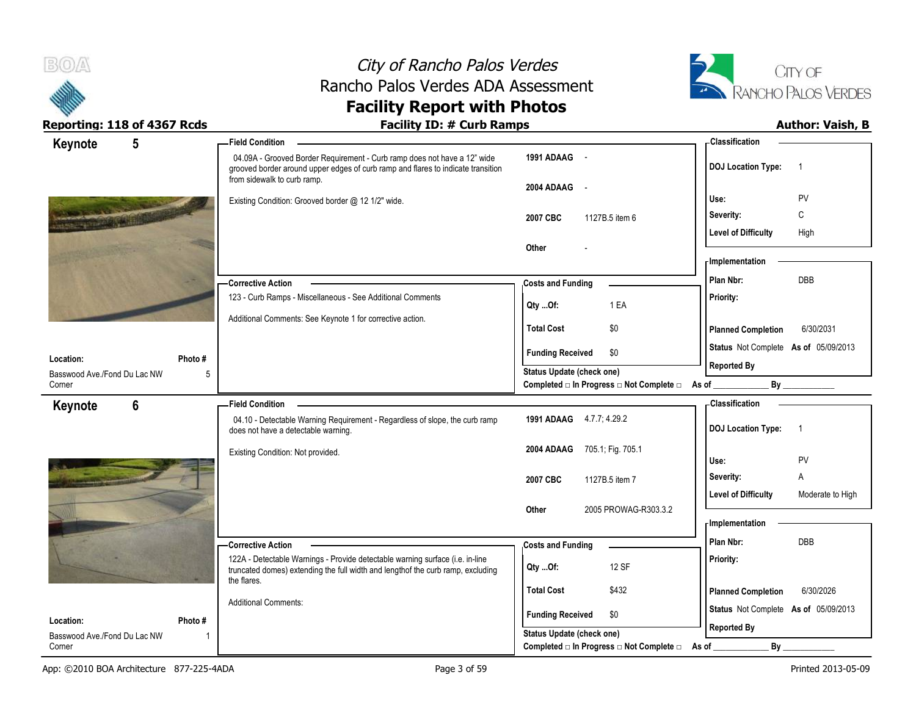



| $5\phantom{.0}$<br>Keynote                |              | <b>Field Condition</b>                                                                                                                                                                      |                                                                       | <b>Classification</b>                          |
|-------------------------------------------|--------------|---------------------------------------------------------------------------------------------------------------------------------------------------------------------------------------------|-----------------------------------------------------------------------|------------------------------------------------|
|                                           |              | 04.09A - Grooved Border Requirement - Curb ramp does not have a 12" wide<br>grooved border around upper edges of curb ramp and flares to indicate transition<br>from sidewalk to curb ramp. | 1991 ADAAG -<br>2004 ADAAG<br>$\sim$                                  | <b>DOJ</b> Location Type:<br>$\overline{1}$    |
|                                           |              | Existing Condition: Grooved border @ 12 1/2" wide.                                                                                                                                          |                                                                       | PV<br>Use:                                     |
|                                           |              |                                                                                                                                                                                             | 2007 CBC<br>1127B.5 item 6                                            | C<br>Severity:                                 |
|                                           |              |                                                                                                                                                                                             |                                                                       | <b>Level of Difficulty</b><br>High             |
|                                           |              |                                                                                                                                                                                             | Other                                                                 |                                                |
|                                           |              |                                                                                                                                                                                             |                                                                       | - Implementation                               |
|                                           |              | -Corrective Action                                                                                                                                                                          | <b>Costs and Funding</b>                                              | <b>DBB</b><br>Plan Nbr:                        |
|                                           |              | 123 - Curb Ramps - Miscellaneous - See Additional Comments                                                                                                                                  | 1 EA                                                                  | Priority:                                      |
|                                           |              | Additional Comments: See Keynote 1 for corrective action.                                                                                                                                   | Qty Of:                                                               |                                                |
|                                           |              |                                                                                                                                                                                             | \$0<br><b>Total Cost</b>                                              | <b>Planned Completion</b><br>6/30/2031         |
|                                           |              |                                                                                                                                                                                             | <b>Funding Received</b><br>\$0                                        | Status Not Complete As of 05/09/2013           |
| Location:<br>Basswood Ave./Fond Du Lac NW | Photo #<br>5 |                                                                                                                                                                                             | Status Update (check one)                                             | <b>Reported By</b>                             |
| Corner                                    |              |                                                                                                                                                                                             | Completed □ In Progress □ Not Complete □ As of _                      | $\mathsf{By}$                                  |
| $6\phantom{1}$<br>Keynote                 |              | <b>Field Condition</b>                                                                                                                                                                      |                                                                       | Classification                                 |
|                                           |              | 04.10 - Detectable Warning Requirement - Regardless of slope, the curb ramp<br>does not have a detectable warning.                                                                          | 1991 ADAAG 4.7.7, 4.29.2                                              | <b>DOJ Location Type:</b><br>-1                |
|                                           |              | Existing Condition: Not provided.                                                                                                                                                           | 2004 ADAAG<br>705.1; Fig. 705.1                                       |                                                |
|                                           |              |                                                                                                                                                                                             |                                                                       | PV<br>Use:                                     |
|                                           |              |                                                                                                                                                                                             | 2007 CBC<br>1127B.5 item 7                                            | A<br>Severity:                                 |
|                                           |              |                                                                                                                                                                                             |                                                                       | <b>Level of Difficulty</b><br>Moderate to High |
|                                           |              |                                                                                                                                                                                             | Other<br>2005 PROWAG-R303.3.2                                         | <b>Implementation</b>                          |
|                                           |              |                                                                                                                                                                                             |                                                                       | Plan Nbr:<br><b>DBB</b>                        |
|                                           |              | <b>Corrective Action</b><br>122A - Detectable Warnings - Provide detectable warning surface (i.e. in-line                                                                                   | <b>Costs and Funding</b>                                              | Priority:                                      |
|                                           |              | truncated domes) extending the full width and lengthof the curb ramp, excluding                                                                                                             | 12 SF<br>Qty Of:                                                      |                                                |
|                                           |              | the flares.                                                                                                                                                                                 | <b>Total Cost</b><br>\$432                                            | <b>Planned Completion</b><br>6/30/2026         |
|                                           |              | <b>Additional Comments:</b>                                                                                                                                                                 |                                                                       | Status Not Complete As of 05/09/2013           |
| Location:                                 | Photo #      |                                                                                                                                                                                             | <b>Funding Received</b><br>\$0                                        | <b>Reported By</b>                             |
|                                           |              |                                                                                                                                                                                             |                                                                       |                                                |
| Basswood Ave./Fond Du Lac NW<br>Corner    |              |                                                                                                                                                                                             | Status Update (check one)<br>Completed □ In Progress □ Not Complete □ | By<br>As of                                    |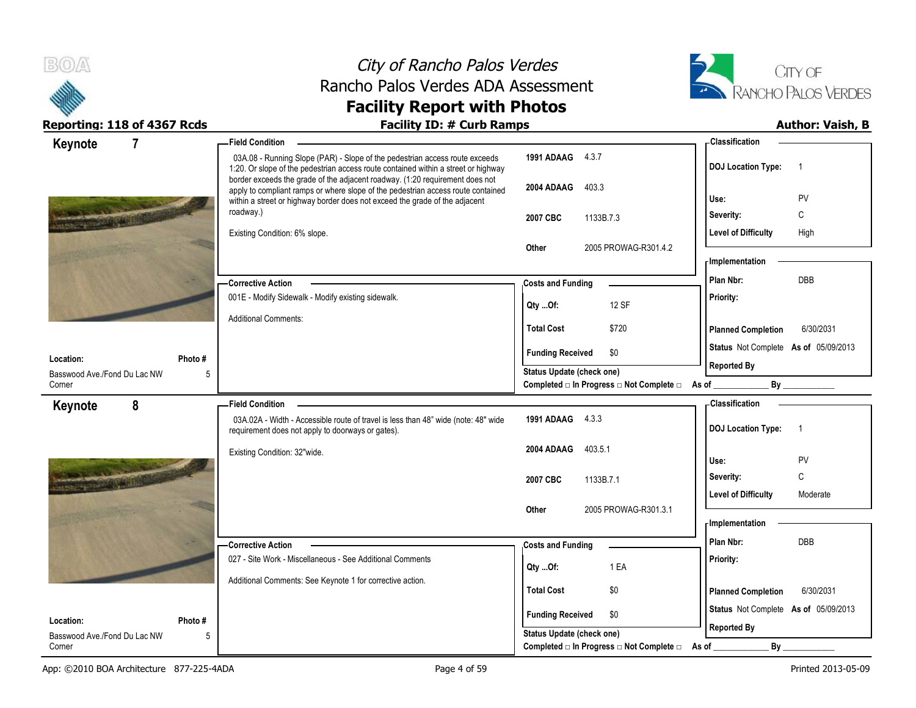



| $\overline{7}$<br>Keynote                                | -Field Condition                                                                                                                                                                                                                                |                                                             | - Classification                            |
|----------------------------------------------------------|-------------------------------------------------------------------------------------------------------------------------------------------------------------------------------------------------------------------------------------------------|-------------------------------------------------------------|---------------------------------------------|
|                                                          | 03A.08 - Running Slope (PAR) - Slope of the pedestrian access route exceeds<br>1:20. Or slope of the pedestrian access route contained within a street or highway                                                                               | 1991 ADAAG 4.3.7                                            | <b>DOJ Location Type:</b><br>$\overline{1}$ |
|                                                          | border exceeds the grade of the adjacent roadway. (1:20 requirement does not<br>apply to compliant ramps or where slope of the pedestrian access route contained<br>within a street or highway border does not exceed the grade of the adjacent | 2004 ADAAG<br>403.3                                         | PV<br>Use:                                  |
|                                                          | roadway.)                                                                                                                                                                                                                                       | 2007 CBC<br>1133B.7.3                                       | С<br>Severity:                              |
|                                                          | Existing Condition: 6% slope.                                                                                                                                                                                                                   |                                                             | <b>Level of Difficulty</b><br>High          |
|                                                          |                                                                                                                                                                                                                                                 | 2005 PROWAG-R301.4.2<br>Other                               |                                             |
|                                                          |                                                                                                                                                                                                                                                 |                                                             | <b>Implementation</b>                       |
|                                                          | - Corrective Action                                                                                                                                                                                                                             | <b>Costs and Funding</b>                                    | DBB<br>Plan Nbr:                            |
|                                                          | 001E - Modify Sidewalk - Modify existing sidewalk.                                                                                                                                                                                              | 12 SF<br>Qty Of:                                            | Priority:                                   |
|                                                          | <b>Additional Comments:</b>                                                                                                                                                                                                                     | <b>Total Cost</b><br>\$720                                  | <b>Planned Completion</b><br>6/30/2031      |
|                                                          |                                                                                                                                                                                                                                                 | <b>Funding Received</b><br>\$0                              | Status Not Complete As of 05/09/2013        |
| Location:<br>Photo #<br>Basswood Ave./Fond Du Lac NW     |                                                                                                                                                                                                                                                 | <b>Status Update (check one)</b>                            | <b>Reported By</b>                          |
| 5<br>Corner                                              |                                                                                                                                                                                                                                                 | Completed □ In Progress □ Not Complete □ As of              | By                                          |
| 8<br>Keynote                                             | <b>Field Condition -</b>                                                                                                                                                                                                                        |                                                             | - Classification                            |
|                                                          | 03A.02A - Width - Accessible route of travel is less than 48" wide (note: 48" wide<br>requirement does not apply to doorways or gates).                                                                                                         | 1991 ADAAG 4.3.3                                            | <b>DOJ Location Type:</b><br>$\overline{1}$ |
|                                                          | Existing Condition: 32"wide.                                                                                                                                                                                                                    | 403.5.1<br>2004 ADAAG                                       |                                             |
|                                                          |                                                                                                                                                                                                                                                 |                                                             | Use:<br>PV                                  |
|                                                          |                                                                                                                                                                                                                                                 | 2007 CBC<br>1133B.7.1                                       | C<br>Severity:                              |
|                                                          |                                                                                                                                                                                                                                                 |                                                             | <b>Level of Difficulty</b><br>Moderate      |
|                                                          |                                                                                                                                                                                                                                                 | 2005 PROWAG-R301.3.1<br>Other                               | <b>Implementation</b>                       |
|                                                          | - Corrective Action                                                                                                                                                                                                                             |                                                             | Plan Nbr:<br>DBB                            |
|                                                          | 027 - Site Work - Miscellaneous - See Additional Comments                                                                                                                                                                                       | <b>Costs and Funding</b>                                    | Priority:                                   |
|                                                          |                                                                                                                                                                                                                                                 |                                                             |                                             |
|                                                          |                                                                                                                                                                                                                                                 | 1 EA<br>QtyOf:                                              |                                             |
|                                                          | Additional Comments: See Keynote 1 for corrective action.                                                                                                                                                                                       | <b>Total Cost</b><br>\$0                                    | <b>Planned Completion</b><br>6/30/2031      |
|                                                          |                                                                                                                                                                                                                                                 |                                                             | Status Not Complete As of 05/09/2013        |
| Location:<br>Photo#<br>Basswood Ave./Fond Du Lac NW<br>5 |                                                                                                                                                                                                                                                 | <b>Funding Received</b><br>\$0<br>Status Update (check one) | <b>Reported By</b>                          |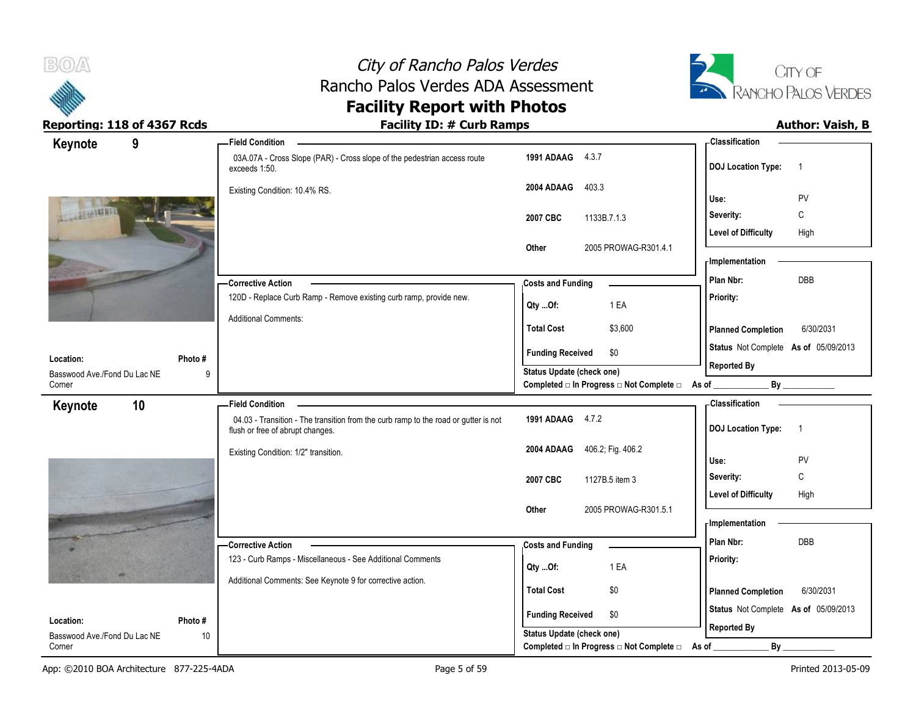



| Keynote<br>9<br>-Field Condition                                                                                                            | <b>Classification</b>                                                    |           |
|---------------------------------------------------------------------------------------------------------------------------------------------|--------------------------------------------------------------------------|-----------|
| 1991 ADAAG 4.3.7<br>03A.07A - Cross Slope (PAR) - Cross slope of the pedestrian access route<br>exceeds 1:50.                               | <b>DOJ Location Type:</b><br>$\overline{1}$                              |           |
| 2004 ADAAG<br>403.3<br>Existing Condition: 10.4% RS.                                                                                        | PV<br>Use:                                                               |           |
| 16319267<br>2007 CBC                                                                                                                        | Severity:<br>C<br>1133B.7.1.3                                            |           |
|                                                                                                                                             | <b>Level of Difficulty</b><br>High                                       |           |
| Other                                                                                                                                       | 2005 PROWAG-R301.4.1                                                     |           |
|                                                                                                                                             | - Implementation                                                         |           |
| <b>Corrective Action</b><br><b>Costs and Funding</b>                                                                                        | DBB<br>Plan Nbr:                                                         |           |
| 120D - Replace Curb Ramp - Remove existing curb ramp, provide new.<br>Qty Of:                                                               | Priority:<br>1 EA                                                        |           |
| <b>Additional Comments:</b><br><b>Total Cost</b>                                                                                            | \$3,600<br><b>Planned Completion</b>                                     | 6/30/2031 |
| <b>Funding Received</b>                                                                                                                     | Status Not Complete As of 05/09/2013<br>\$0                              |           |
| Location:<br>Photo #<br><b>Status Update (check one)</b><br>Basswood Ave./Fond Du Lac NE<br>9                                               | <b>Reported By</b>                                                       |           |
| Corner                                                                                                                                      | Completed □ In Progress □ Not Complete □ As of _<br>$By$ <sub>____</sub> |           |
| 10<br><b>Field Condition</b><br>Keynote                                                                                                     | - Classification                                                         |           |
| 1991 ADAAG 4.7.2<br>04.03 - Transition - The transition from the curb ramp to the road or gutter is not<br>flush or free of abrupt changes. | <b>DOJ Location Type:</b><br>$\overline{1}$                              |           |
| 2004 ADAAG 406.2, Fig. 406.2<br>Existing Condition: 1/2" transition.                                                                        | PV<br>Use:                                                               |           |
| 2007 CBC                                                                                                                                    | Severity:<br>C<br>1127B.5 item 3                                         |           |
|                                                                                                                                             | <b>Level of Difficulty</b><br>High                                       |           |
| Other                                                                                                                                       | 2005 PROWAG-R301.5.1                                                     |           |
|                                                                                                                                             | - Implementation                                                         |           |
| - Corrective Action<br><b>Costs and Funding</b>                                                                                             | Plan Nbr:<br>DBB                                                         |           |
| 123 - Curb Ramps - Miscellaneous - See Additional Comments<br>Qty Of:                                                                       | Priority:<br>1 EA                                                        |           |
|                                                                                                                                             | \$0                                                                      | 6/30/2031 |
| Additional Comments: See Keynote 9 for corrective action.                                                                                   |                                                                          |           |
| <b>Total Cost</b>                                                                                                                           | <b>Planned Completion</b>                                                |           |
| <b>Funding Received</b><br>Location:<br>Photo#<br>Status Update (check one)                                                                 | Status Not Complete As of 05/09/2013<br>\$0<br><b>Reported By</b>        |           |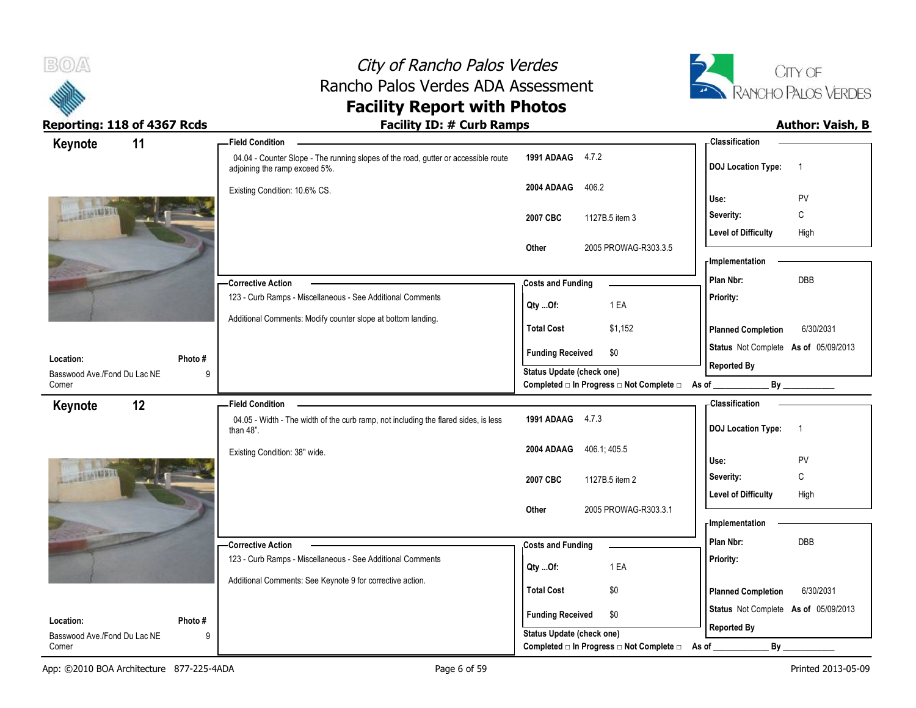



| Keynote                                | 11     | <b>Field Condition</b>                                                                                              |                                                                       | - Classification                            |
|----------------------------------------|--------|---------------------------------------------------------------------------------------------------------------------|-----------------------------------------------------------------------|---------------------------------------------|
|                                        |        | 04.04 - Counter Slope - The running slopes of the road, gutter or accessible route<br>adjoining the ramp exceed 5%. | 1991 ADAAG 4.7.2                                                      | <b>DOJ</b> Location Type:<br>$\overline{1}$ |
|                                        |        | Existing Condition: 10.6% CS.                                                                                       | 2004 ADAAG<br>406.2                                                   |                                             |
|                                        |        |                                                                                                                     |                                                                       | PV<br>Use:                                  |
|                                        |        |                                                                                                                     | 2007 CBC<br>1127B.5 item 3                                            | Severity:<br>C                              |
|                                        |        |                                                                                                                     |                                                                       | <b>Level of Difficulty</b><br>High          |
|                                        |        |                                                                                                                     | 2005 PROWAG-R303.3.5<br>Other                                         | - Implementation                            |
|                                        |        |                                                                                                                     |                                                                       | Plan Nbr:<br>DBB                            |
|                                        |        | <b>Corrective Action</b><br>123 - Curb Ramps - Miscellaneous - See Additional Comments                              | <b>Costs and Funding</b>                                              |                                             |
|                                        |        |                                                                                                                     | 1 EA<br>$Qty$ Of:                                                     | Priority:                                   |
|                                        |        | Additional Comments: Modify counter slope at bottom landing.                                                        | \$1,152<br><b>Total Cost</b>                                          | <b>Planned Completion</b><br>6/30/2031      |
|                                        |        |                                                                                                                     | <b>Funding Received</b><br>\$0                                        | Status Not Complete As of 05/09/2013        |
| Location:                              | Photo# |                                                                                                                     | Status Update (check one)                                             | <b>Reported By</b>                          |
| Basswood Ave./Fond Du Lac NE<br>Corner | 9      |                                                                                                                     | Completed □ In Progress □ Not Complete □ As of _                      | By                                          |
| Keynote                                | 12     | <b>Field Condition</b>                                                                                              |                                                                       | - Classification                            |
|                                        |        | 04.05 - Width - The width of the curb ramp, not including the flared sides, is less<br>than $48$ ".                 | 1991 ADAAG 4.7.3                                                      | <b>DOJ</b> Location Type:<br>$\overline{1}$ |
|                                        |        | Existing Condition: 38" wide.                                                                                       | 406.1; 405.5<br>2004 ADAAG                                            |                                             |
| AGAND 1/1                              |        |                                                                                                                     |                                                                       | Use:<br>PV                                  |
|                                        |        |                                                                                                                     | 2007 CBC<br>1127B.5 item 2                                            | C<br>Severity:                              |
|                                        |        |                                                                                                                     |                                                                       | <b>Level of Difficulty</b><br>High          |
|                                        |        |                                                                                                                     | 2005 PROWAG-R303.3.1<br>Other                                         | - Implementation                            |
|                                        |        |                                                                                                                     |                                                                       | Plan Nbr:<br>DBB                            |
|                                        |        | - Corrective Action<br>123 - Curb Ramps - Miscellaneous - See Additional Comments                                   | <b>Costs and Funding</b>                                              | Priority:                                   |
|                                        |        |                                                                                                                     | 1 EA<br>Qty Of:                                                       |                                             |
|                                        |        | Additional Comments: See Keynote 9 for corrective action.                                                           | <b>Total Cost</b><br>\$0                                              | 6/30/2031<br><b>Planned Completion</b>      |
|                                        |        |                                                                                                                     |                                                                       |                                             |
|                                        |        |                                                                                                                     |                                                                       |                                             |
| Location:                              | Photo# |                                                                                                                     | <b>Funding Received</b><br>\$0                                        | Status Not Complete As of 05/09/2013        |
| Basswood Ave./Fond Du Lac NE<br>Corner | 9      |                                                                                                                     | Status Update (check one)<br>Completed □ In Progress □ Not Complete □ | <b>Reported By</b><br>By<br>As of           |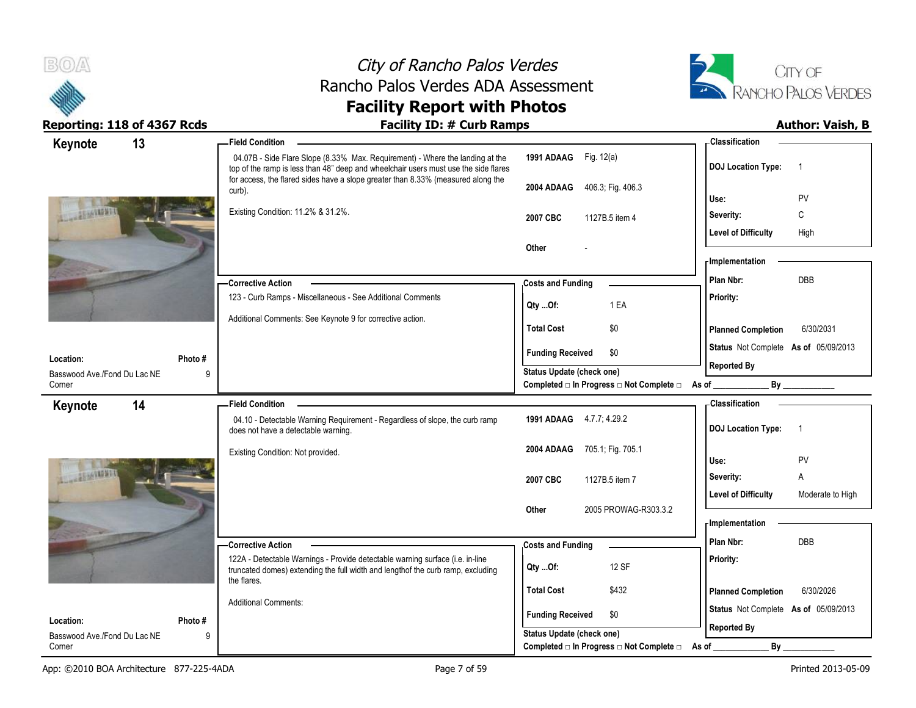



| Keynote                                   | 13          | - Field Condition                                                                                                                                                    |                                                                    | <b>Classification</b>                                       |
|-------------------------------------------|-------------|----------------------------------------------------------------------------------------------------------------------------------------------------------------------|--------------------------------------------------------------------|-------------------------------------------------------------|
|                                           |             | 04.07B - Side Flare Slope (8.33% Max. Requirement) - Where the landing at the<br>top of the ramp is less than 48" deep and wheelchair users must use the side flares | 1991 ADAAG Fig. 12(a)                                              | <b>DOJ Location Type:</b><br>-1                             |
|                                           |             | for access, the flared sides have a slope greater than 8.33% (measured along the<br>curb).                                                                           | 406.3, Fig. 406.3<br>2004 ADAAG                                    | <b>PV</b><br>Use:                                           |
|                                           |             | Existing Condition: 11.2% & 31.2%.                                                                                                                                   | 2007 CBC<br>1127B.5 item 4                                         | C<br>Severity:                                              |
|                                           |             |                                                                                                                                                                      |                                                                    | <b>Level of Difficulty</b><br>High                          |
|                                           |             |                                                                                                                                                                      | Other                                                              |                                                             |
|                                           |             |                                                                                                                                                                      |                                                                    | - Implementation                                            |
|                                           |             | <b>Corrective Action</b>                                                                                                                                             | <b>Costs and Funding</b>                                           | <b>DBB</b><br>Plan Nbr:                                     |
|                                           |             | 123 - Curb Ramps - Miscellaneous - See Additional Comments                                                                                                           | 1 EA<br>Qty Of:                                                    | Priority:                                                   |
|                                           |             | Additional Comments: See Keynote 9 for corrective action.                                                                                                            | <b>Total Cost</b><br>\$0                                           | <b>Planned Completion</b><br>6/30/2031                      |
|                                           |             |                                                                                                                                                                      | <b>Funding Received</b><br>\$0                                     | Status Not Complete As of 05/09/2013                        |
| Location:                                 | Photo#      |                                                                                                                                                                      | Status Update (check one)                                          | <b>Reported By</b>                                          |
| Basswood Ave./Fond Du Lac NE<br>Corner    | 9           |                                                                                                                                                                      | Completed □ In Progress □ Not Complete □ As of                     | $\mathsf{By}$                                               |
| Keynote                                   | 14          | <b>Field Condition</b>                                                                                                                                               |                                                                    | <b>Classification</b>                                       |
|                                           |             | 04.10 - Detectable Warning Requirement - Regardless of slope, the curb ramp<br>does not have a detectable warning.                                                   | 1991 ADAAG 4.7.7; 4.29.2                                           | <b>DOJ Location Type:</b><br>-1                             |
|                                           |             |                                                                                                                                                                      |                                                                    |                                                             |
|                                           |             | Existing Condition: Not provided.                                                                                                                                    | 705.1; Fig. 705.1<br>2004 ADAAG                                    |                                                             |
| 1611213                                   |             |                                                                                                                                                                      |                                                                    | PV<br>Use:<br>A                                             |
|                                           |             |                                                                                                                                                                      | 2007 CBC<br>1127B.5 item 7                                         | Severity:<br><b>Level of Difficulty</b><br>Moderate to High |
|                                           |             |                                                                                                                                                                      | 2005 PROWAG-R303.3.2<br>Other                                      |                                                             |
|                                           |             |                                                                                                                                                                      |                                                                    | Implementation                                              |
|                                           |             | - Corrective Action                                                                                                                                                  | <b>Costs and Funding</b>                                           | Plan Nbr:<br><b>DBB</b>                                     |
|                                           |             | 122A - Detectable Warnings - Provide detectable warning surface (i.e. in-line<br>truncated domes) extending the full width and lengthof the curb ramp, excluding     | 12 SF<br>Qty Of:                                                   | <b>Priority:</b>                                            |
|                                           |             | the flares.                                                                                                                                                          | <b>Total Cost</b><br>\$432                                         | <b>Planned Completion</b><br>6/30/2026                      |
|                                           |             | <b>Additional Comments:</b>                                                                                                                                          |                                                                    | Status Not Complete As of 05/09/2013                        |
| Location:<br>Basswood Ave./Fond Du Lac NE | Photo#<br>g |                                                                                                                                                                      | <b>Funding Received</b><br>\$0<br><b>Status Update (check one)</b> | <b>Reported By</b>                                          |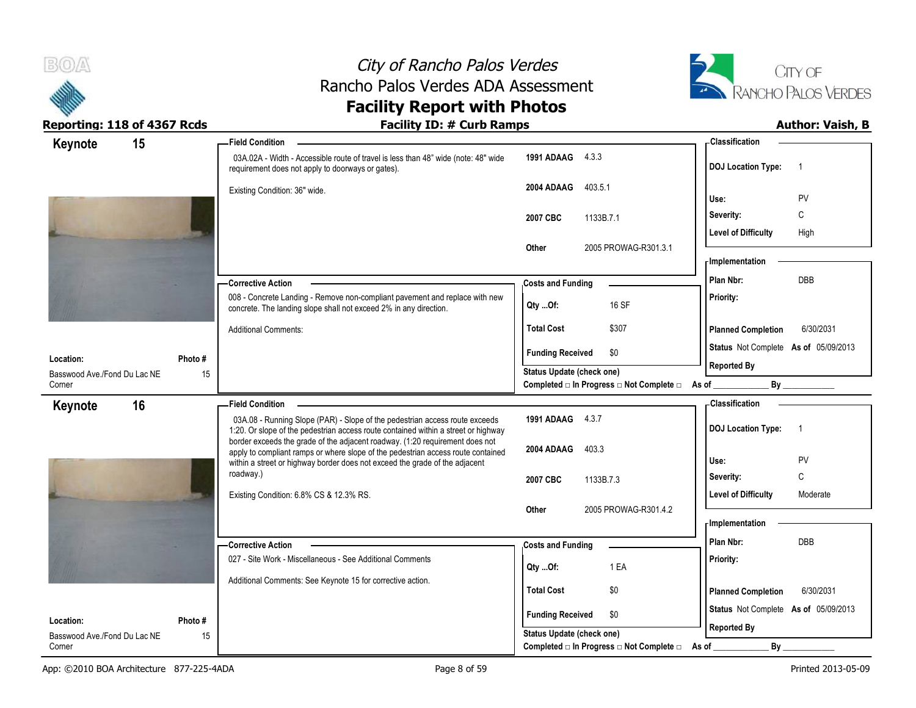



| 15<br>Keynote                |         | -Field Condition                                                                                                                                                  |                                                  | <b>Classification</b>                       |
|------------------------------|---------|-------------------------------------------------------------------------------------------------------------------------------------------------------------------|--------------------------------------------------|---------------------------------------------|
|                              |         | 03A.02A - Width - Accessible route of travel is less than 48" wide (note: 48" wide<br>requirement does not apply to doorways or gates).                           | 1991 ADAAG 4.3.3                                 | <b>DOJ</b> Location Type:<br>$\overline{1}$ |
|                              |         | Existing Condition: 36" wide.                                                                                                                                     | 2004 ADAAG<br>403.5.1                            |                                             |
|                              |         |                                                                                                                                                                   |                                                  | PV<br>Use:                                  |
|                              |         |                                                                                                                                                                   | 1133B.7.1<br>2007 CBC                            | C<br>Severity:                              |
|                              |         |                                                                                                                                                                   |                                                  | <b>Level of Difficulty</b><br>High          |
|                              |         |                                                                                                                                                                   | 2005 PROWAG-R301.3.1<br>Other                    | - Implementation                            |
|                              |         |                                                                                                                                                                   |                                                  | DBB<br>Plan Nbr:                            |
|                              |         | -Corrective Action<br>008 - Concrete Landing - Remove non-compliant pavement and replace with new                                                                 | <b>Costs and Funding</b>                         | Priority:                                   |
|                              |         | concrete. The landing slope shall not exceed 2% in any direction.                                                                                                 | 16 SF<br>$Qty$ Of:                               |                                             |
|                              |         | <b>Additional Comments:</b>                                                                                                                                       | <b>Total Cost</b><br>\$307                       | <b>Planned Completion</b><br>6/30/2031      |
| Location:                    | Photo # |                                                                                                                                                                   | \$0<br><b>Funding Received</b>                   | Status Not Complete As of 05/09/2013        |
| Basswood Ave./Fond Du Lac NE | 15      |                                                                                                                                                                   | Status Update (check one)                        | <b>Reported By</b>                          |
| Corner                       |         |                                                                                                                                                                   | Completed □ In Progress □ Not Complete □ As of _ | By                                          |
| 16<br>Keynote                |         | <b>Field Condition</b>                                                                                                                                            |                                                  | - Classification                            |
|                              |         | 03A.08 - Running Slope (PAR) - Slope of the pedestrian access route exceeds<br>1:20. Or slope of the pedestrian access route contained within a street or highway | 1991 ADAAG 4.3.7                                 | <b>DOJ</b> Location Type:<br>$\overline{1}$ |
|                              |         | border exceeds the grade of the adjacent roadway. (1:20 requirement does not<br>apply to compliant ramps or where slope of the pedestrian access route contained  | 2004 ADAAG<br>403.3                              |                                             |
|                              |         | within a street or highway border does not exceed the grade of the adjacent                                                                                       |                                                  | PV<br>Use:                                  |
|                              |         | roadway.)                                                                                                                                                         |                                                  | C<br>Severity:                              |
|                              |         |                                                                                                                                                                   | 2007 CBC<br>1133B.7.3                            |                                             |
|                              |         | Existing Condition: 6.8% CS & 12.3% RS.                                                                                                                           |                                                  | <b>Level of Difficulty</b><br>Moderate      |
|                              |         |                                                                                                                                                                   | 2005 PROWAG-R301.4.2<br>Other                    |                                             |
|                              |         |                                                                                                                                                                   |                                                  | - Implementation                            |
|                              |         | - Corrective Action                                                                                                                                               | <b>Costs and Funding</b>                         | Plan Nbr:<br>DBB                            |
|                              |         | 027 - Site Work - Miscellaneous - See Additional Comments                                                                                                         | 1 EA                                             | Priority:                                   |
|                              |         | Additional Comments: See Keynote 15 for corrective action.                                                                                                        | Qty Of:                                          |                                             |
|                              |         |                                                                                                                                                                   | <b>Total Cost</b><br>\$0                         | <b>Planned Completion</b><br>6/30/2031      |
| Location:                    | Photo#  |                                                                                                                                                                   | <b>Funding Received</b><br>\$0                   | Status Not Complete As of 05/09/2013        |
| Basswood Ave./Fond Du Lac NE | 15      |                                                                                                                                                                   | <b>Status Update (check one)</b>                 | <b>Reported By</b><br>$By_$                 |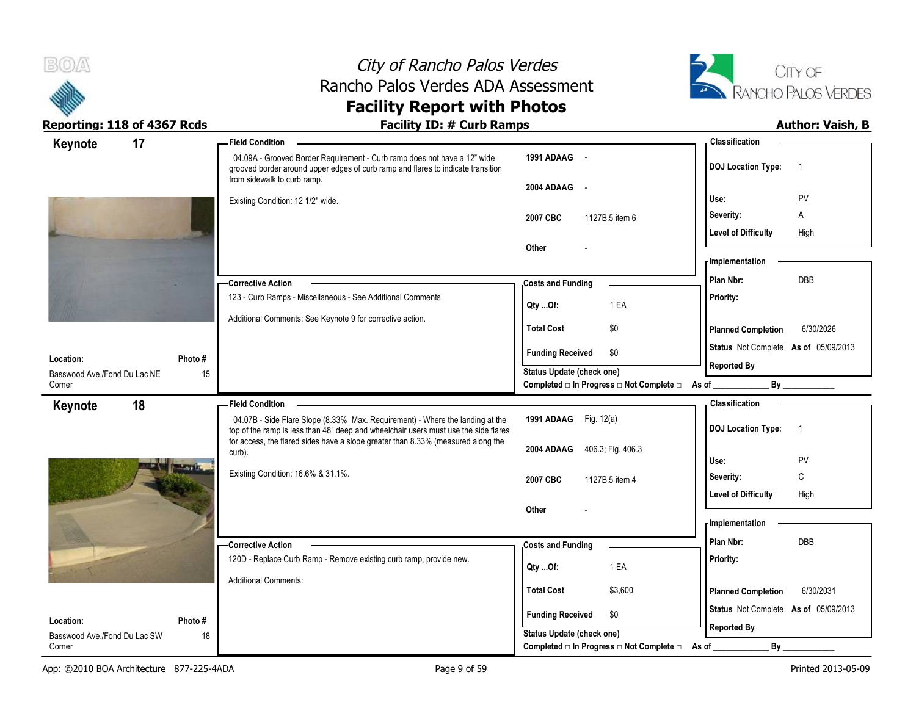



| 17<br>Keynote<br><b>Field Condition</b>                                                                                                                                                     |                                                                    | - Classification                                           |
|---------------------------------------------------------------------------------------------------------------------------------------------------------------------------------------------|--------------------------------------------------------------------|------------------------------------------------------------|
| 04.09A - Grooved Border Requirement - Curb ramp does not have a 12" wide<br>grooved border around upper edges of curb ramp and flares to indicate transition<br>from sidewalk to curb ramp. | 1991 ADAAG -                                                       | <b>DOJ Location Type:</b><br>-1                            |
| Existing Condition: 12 1/2" wide.                                                                                                                                                           | 2004 ADAAG -                                                       | PV<br>Use:                                                 |
|                                                                                                                                                                                             | 2007 CBC<br>1127B.5 item 6                                         | Severity:<br>Α                                             |
|                                                                                                                                                                                             |                                                                    | <b>Level of Difficulty</b><br>High                         |
|                                                                                                                                                                                             | Other                                                              |                                                            |
|                                                                                                                                                                                             |                                                                    | - Implementation                                           |
| -Corrective Action                                                                                                                                                                          | <b>Costs and Funding</b>                                           | DBB<br>Plan Nbr:                                           |
| 123 - Curb Ramps - Miscellaneous - See Additional Comments                                                                                                                                  | 1 EA<br>Qty Of:                                                    | Priority:                                                  |
| Additional Comments: See Keynote 9 for corrective action.                                                                                                                                   | <b>Total Cost</b><br>\$0                                           | <b>Planned Completion</b><br>6/30/2026                     |
|                                                                                                                                                                                             | <b>Funding Received</b><br>\$0                                     | Status Not Complete As of 05/09/2013                       |
| Photo #<br>Location:                                                                                                                                                                        | <b>Status Update (check one)</b>                                   | <b>Reported By</b>                                         |
| 15<br>Basswood Ave./Fond Du Lac NE<br>Corner                                                                                                                                                | Completed □ In Progress □ Not Complete □ As of _                   |                                                            |
| 18<br>Keynote<br><b>Field Condition</b>                                                                                                                                                     |                                                                    | - Classification                                           |
| 04.07B - Side Flare Slope (8.33% Max. Requirement) - Where the landing at the<br>top of the ramp is less than 48" deep and wheelchair users must use the side flares                        | 1991 ADAAG Fig. 12(a)                                              | <b>DOJ Location Type:</b><br>$\overline{1}$                |
| for access, the flared sides have a slope greater than 8.33% (measured along the<br>curb).                                                                                                  | 2004 ADAAG 406.3, Fig. 406.3                                       |                                                            |
|                                                                                                                                                                                             |                                                                    | Use:<br><b>PV</b>                                          |
| Existing Condition: 16.6% & 31.1%.                                                                                                                                                          | 2007 CBC<br>1127B.5 item 4                                         | $\mathsf{C}$<br>Severity:                                  |
|                                                                                                                                                                                             |                                                                    |                                                            |
|                                                                                                                                                                                             |                                                                    | <b>Level of Difficulty</b><br>High                         |
|                                                                                                                                                                                             | Other                                                              |                                                            |
|                                                                                                                                                                                             |                                                                    | - Implementation                                           |
| -Corrective Action                                                                                                                                                                          | <b>Costs and Funding</b>                                           | Plan Nbr:<br>DBB                                           |
| 120D - Replace Curb Ramp - Remove existing curb ramp, provide new.                                                                                                                          | 1 EA<br>Qty Of:                                                    | Priority:                                                  |
| <b>Additional Comments:</b>                                                                                                                                                                 | <b>Total Cost</b><br>\$3,600                                       | 6/30/2031<br><b>Planned Completion</b>                     |
|                                                                                                                                                                                             |                                                                    |                                                            |
| Location:<br>Photo #                                                                                                                                                                        | <b>Funding Received</b><br>\$0<br><b>Status Update (check one)</b> | Status Not Complete As of 05/09/2013<br><b>Reported By</b> |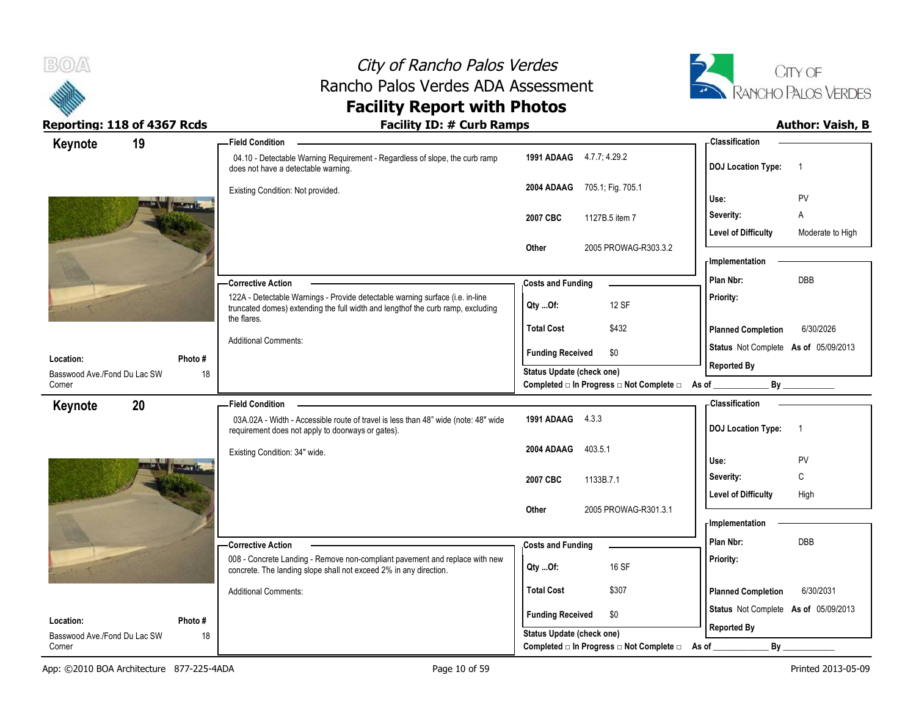



| Keynote                                   | 19                            | <b>Field Condition</b>                                                                                                                                                           |                                                             | <b>Classification</b>                          |
|-------------------------------------------|-------------------------------|----------------------------------------------------------------------------------------------------------------------------------------------------------------------------------|-------------------------------------------------------------|------------------------------------------------|
|                                           |                               | 04.10 - Detectable Warning Requirement - Regardless of slope, the curb ramp<br>does not have a detectable warning.                                                               | <b>1991 ADAAG</b> 4.7.7, 4.29.2                             | <b>DOJ Location Type:</b><br>-1                |
|                                           |                               | Existing Condition: Not provided.                                                                                                                                                | 2004 ADAAG 705.1; Fig. 705.1                                | PV<br>Use:                                     |
|                                           | <b>TANK</b><br><b>STARTER</b> |                                                                                                                                                                                  | 2007 CBC<br>1127B.5 item 7                                  | Α<br>Severity:                                 |
|                                           |                               |                                                                                                                                                                                  |                                                             | <b>Level of Difficulty</b><br>Moderate to High |
|                                           |                               |                                                                                                                                                                                  | Other<br>2005 PROWAG-R303.3.2                               |                                                |
|                                           |                               |                                                                                                                                                                                  |                                                             | - Implementation                               |
|                                           |                               | -Corrective Action                                                                                                                                                               | <b>Costs and Funding</b>                                    | <b>DBB</b><br>Plan Nbr:                        |
|                                           |                               | 122A - Detectable Warnings - Provide detectable warning surface (i.e. in-line<br>truncated domes) extending the full width and length of the curb ramp, excluding<br>the flares. | 12 SF<br>Qty Of:                                            | Priority:                                      |
|                                           |                               |                                                                                                                                                                                  | <b>Total Cost</b><br>\$432                                  | <b>Planned Completion</b><br>6/30/2026         |
|                                           |                               | <b>Additional Comments:</b>                                                                                                                                                      | <b>Funding Received</b><br>\$0                              | Status Not Complete As of 05/09/2013           |
| Location:<br>Basswood Ave./Fond Du Lac SW | Photo#<br>18                  |                                                                                                                                                                                  | Status Update (check one)                                   | <b>Reported By</b>                             |
| Corner                                    |                               |                                                                                                                                                                                  | Completed □ In Progress □ Not Complete □ As of _________    | By                                             |
| Keynote                                   | 20                            | <b>Field Condition</b>                                                                                                                                                           |                                                             | Classification                                 |
|                                           |                               | 03A.02A - Width - Accessible route of travel is less than 48" wide (note: 48" wide<br>requirement does not apply to doorways or gates).                                          | 1991 ADAAG 4.3.3                                            | <b>DOJ Location Type:</b><br>$\overline{1}$    |
|                                           |                               | Existing Condition: 34" wide.                                                                                                                                                    | 2004 ADAAG<br>403.5.1                                       | PV                                             |
|                                           | <b>MATTEL</b>                 |                                                                                                                                                                                  |                                                             | Use:<br>$\mathsf{C}$<br>Severity:              |
|                                           |                               |                                                                                                                                                                                  | 2007 CBC<br>1133B.7.1                                       | <b>Level of Difficulty</b><br>High             |
|                                           |                               |                                                                                                                                                                                  | 2005 PROWAG-R301.3.1<br>Other                               |                                                |
|                                           |                               |                                                                                                                                                                                  |                                                             | - Implementation                               |
|                                           |                               |                                                                                                                                                                                  |                                                             |                                                |
|                                           |                               | - Corrective Action                                                                                                                                                              | <b>Costs and Funding</b>                                    | Plan Nbr:<br><b>DBB</b>                        |
|                                           |                               | 008 - Concrete Landing - Remove non-compliant pavement and replace with new<br>concrete. The landing slope shall not exceed 2% in any direction.                                 | 16 SF<br>$Qty$ Of:                                          | Priority:                                      |
|                                           |                               | <b>Additional Comments:</b>                                                                                                                                                      | <b>Total Cost</b><br>\$307                                  | <b>Planned Completion</b><br>6/30/2031         |
|                                           |                               |                                                                                                                                                                                  |                                                             | Status Not Complete As of 05/09/2013           |
| Location:<br>Basswood Ave./Fond Du Lac SW | Photo #<br>18                 |                                                                                                                                                                                  | <b>Funding Received</b><br>\$0<br>Status Update (check one) | <b>Reported By</b>                             |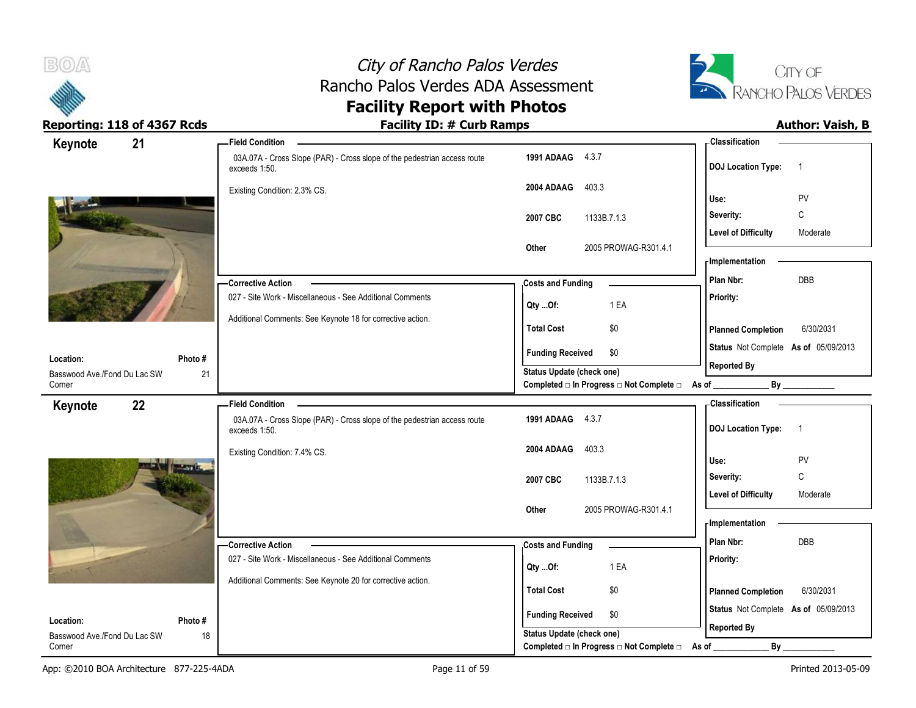



| Keynote                                   | 21            | <b>Field Condition</b>                                                                    |                                                                    | <b>Classification</b>                       |
|-------------------------------------------|---------------|-------------------------------------------------------------------------------------------|--------------------------------------------------------------------|---------------------------------------------|
|                                           |               | 03A.07A - Cross Slope (PAR) - Cross slope of the pedestrian access route<br>exceeds 1:50. | 1991 ADAAG 4.3.7                                                   | <b>DOJ Location Type:</b><br>$\overline{1}$ |
|                                           |               | Existing Condition: 2.3% CS.                                                              | 403.3<br>2004 ADAAG                                                | PV<br>Use:                                  |
|                                           |               |                                                                                           |                                                                    | $\mathbb C$<br>Severity:                    |
|                                           |               |                                                                                           | 2007 CBC<br>1133B.7.1.3                                            | <b>Level of Difficulty</b><br>Moderate      |
|                                           |               |                                                                                           | 2005 PROWAG-R301.4.1<br>Other                                      |                                             |
|                                           |               |                                                                                           |                                                                    | - Implementation                            |
|                                           |               | -Corrective Action                                                                        | <b>Costs and Funding</b>                                           | DBB<br>Plan Nbr:                            |
|                                           |               | 027 - Site Work - Miscellaneous - See Additional Comments                                 |                                                                    | Priority:                                   |
|                                           |               | Additional Comments: See Keynote 18 for corrective action.                                | 1 EA<br>Qty Of:                                                    |                                             |
|                                           |               |                                                                                           | <b>Total Cost</b><br>\$0                                           | 6/30/2031<br><b>Planned Completion</b>      |
|                                           |               |                                                                                           | <b>Funding Received</b><br>\$0                                     | Status Not Complete As of 05/09/2013        |
| Location:<br>Basswood Ave./Fond Du Lac SW | Photo#<br>21  |                                                                                           | <b>Status Update (check one)</b>                                   | <b>Reported By</b>                          |
| Corner                                    |               |                                                                                           | Completed □ In Progress □ Not Complete □ As of _                   | By                                          |
| Keynote                                   | 22            | <b>Field Condition</b>                                                                    |                                                                    | - Classification                            |
|                                           |               | 03A.07A - Cross Slope (PAR) - Cross slope of the pedestrian access route<br>exceeds 1:50. | 1991 ADAAG 4.3.7                                                   | <b>DOJ Location Type:</b><br>$\overline{1}$ |
|                                           |               | Existing Condition: 7.4% CS.                                                              | 403.3<br>2004 ADAAG                                                |                                             |
|                                           | <b>MATTEL</b> |                                                                                           |                                                                    | PV<br>Use:                                  |
|                                           |               |                                                                                           | 2007 CBC<br>1133B.7.1.3                                            | Severity:<br>C                              |
|                                           |               |                                                                                           | 2005 PROWAG-R301.4.1<br>Other                                      | <b>Level of Difficulty</b><br>Moderate      |
|                                           |               |                                                                                           |                                                                    | - Implementation                            |
|                                           |               | - Corrective Action                                                                       | <b>Costs and Funding</b>                                           | Plan Nbr:<br><b>DBB</b>                     |
|                                           |               | 027 - Site Work - Miscellaneous - See Additional Comments                                 |                                                                    | Priority:                                   |
|                                           |               |                                                                                           | 1 EA<br>Qty Of:                                                    |                                             |
|                                           |               |                                                                                           |                                                                    |                                             |
|                                           |               | Additional Comments: See Keynote 20 for corrective action.                                | <b>Total Cost</b><br>\$0                                           | <b>Planned Completion</b><br>6/30/2031      |
|                                           |               |                                                                                           |                                                                    | Status Not Complete As of 05/09/2013        |
| Location:<br>Basswood Ave./Fond Du Lac SW | Photo#<br>18  |                                                                                           | <b>Funding Received</b><br>\$0<br><b>Status Update (check one)</b> | <b>Reported By</b>                          |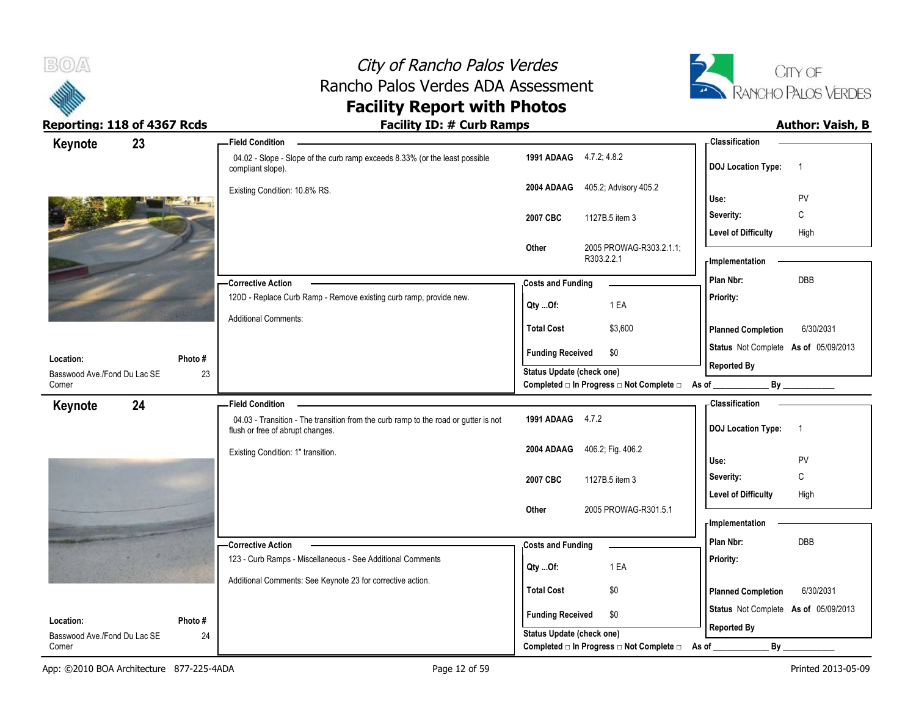



| Keynote<br>23                |         | - Field Condition                                                                                                       |                           |                                                  | <b>Classification</b>                       |
|------------------------------|---------|-------------------------------------------------------------------------------------------------------------------------|---------------------------|--------------------------------------------------|---------------------------------------------|
|                              |         | 04.02 - Slope - Slope of the curb ramp exceeds 8.33% (or the least possible<br>compliant slope).                        | 1991 ADAAG 4.7.2, 4.8.2   |                                                  | <b>DOJ</b> Location Type:<br>$\overline{1}$ |
|                              |         | Existing Condition: 10.8% RS.                                                                                           | 2004 ADAAG                | 405.2; Advisory 405.2                            | PV<br>Use:                                  |
|                              |         |                                                                                                                         |                           |                                                  | C<br>Severity:                              |
|                              |         |                                                                                                                         | 2007 CBC                  | 1127B.5 item 3                                   | <b>Level of Difficulty</b><br>High          |
|                              |         |                                                                                                                         | Other                     | 2005 PROWAG-R303.2.1.1;                          |                                             |
|                              |         |                                                                                                                         |                           | R303.2.2.1                                       | - Implementation                            |
|                              |         | <b>Corrective Action</b>                                                                                                | <b>Costs and Funding</b>  |                                                  | DBB<br>Plan Nbr:                            |
|                              |         | 120D - Replace Curb Ramp - Remove existing curb ramp, provide new.                                                      | $Qty$ Of:                 | 1 EA                                             | Priority:                                   |
|                              |         | <b>Additional Comments:</b>                                                                                             |                           |                                                  |                                             |
|                              |         |                                                                                                                         | <b>Total Cost</b>         | \$3,600                                          | 6/30/2031<br><b>Planned Completion</b>      |
| Location:                    | Photo#  |                                                                                                                         | <b>Funding Received</b>   | \$0                                              | Status Not Complete As of 05/09/2013        |
| Basswood Ave./Fond Du Lac SE | 23      |                                                                                                                         | Status Update (check one) |                                                  | <b>Reported By</b>                          |
| Corner                       |         |                                                                                                                         |                           | Completed □ In Progress □ Not Complete □ As of _ | $By$ <sub>___</sub>                         |
| 24<br>Keynote                |         | <b>Field Condition</b>                                                                                                  |                           |                                                  | - Classification                            |
|                              |         | 04.03 - Transition - The transition from the curb ramp to the road or gutter is not<br>flush or free of abrupt changes. | 1991 ADAAG 4.7.2          |                                                  | <b>DOJ Location Type:</b><br>$\overline{1}$ |
|                              |         | Existing Condition: 1" transition.                                                                                      |                           | 2004 ADAAG 406.2, Fig. 406.2                     | PV<br>Use:                                  |
|                              |         |                                                                                                                         |                           |                                                  | C<br>Severity:                              |
|                              |         |                                                                                                                         | 2007 CBC                  | 1127B.5 item 3                                   | <b>Level of Difficulty</b><br>High          |
|                              |         |                                                                                                                         | Other                     | 2005 PROWAG-R301.5.1                             |                                             |
|                              |         |                                                                                                                         |                           |                                                  | - Implementation                            |
|                              |         | - Corrective Action                                                                                                     | <b>Costs and Funding</b>  |                                                  | Plan Nbr:<br>DBB                            |
|                              |         | 123 - Curb Ramps - Miscellaneous - See Additional Comments                                                              |                           | 1 EA                                             | Priority:                                   |
|                              |         | Additional Comments: See Keynote 23 for corrective action.                                                              | Qty Of:                   |                                                  |                                             |
|                              |         |                                                                                                                         | <b>Total Cost</b>         | \$0                                              | <b>Planned Completion</b><br>6/30/2031      |
| Location:                    | Photo # |                                                                                                                         | <b>Funding Received</b>   | \$0                                              | Status Not Complete As of 05/09/2013        |
| Basswood Ave./Fond Du Lac SE | 24      |                                                                                                                         | Status Update (check one) |                                                  | <b>Reported By</b>                          |
| Corner                       |         |                                                                                                                         |                           | Completed □ In Progress □ Not Complete □         | $By_$<br>As of                              |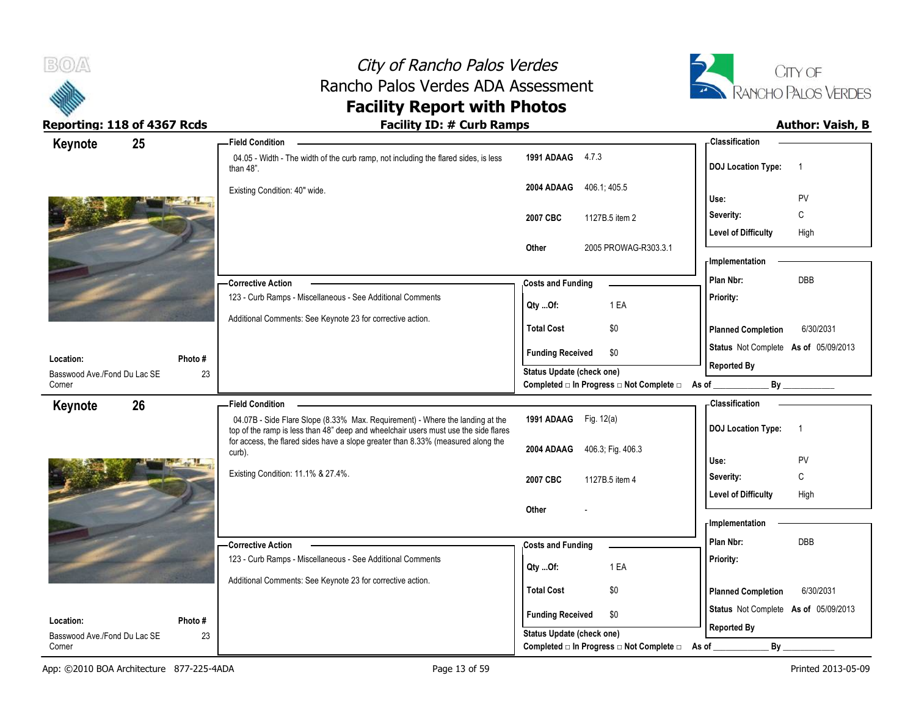



| Keynote                                   | 25           | <b>Field Condition</b>                                                                                                                                               |                                                                                      | - Classification                            |
|-------------------------------------------|--------------|----------------------------------------------------------------------------------------------------------------------------------------------------------------------|--------------------------------------------------------------------------------------|---------------------------------------------|
|                                           |              | 04.05 - Width - The width of the curb ramp, not including the flared sides, is less<br>than $48$ ".                                                                  | 1991 ADAAG 4.7.3                                                                     | <b>DOJ Location Type:</b><br>$\overline{1}$ |
|                                           |              | Existing Condition: 40" wide.                                                                                                                                        | 2004 ADAAG 406.1, 405.5                                                              | Use:<br>PV                                  |
|                                           |              |                                                                                                                                                                      | 2007 CBC<br>1127B.5 item 2                                                           | C<br>Severity:                              |
|                                           |              |                                                                                                                                                                      | 2005 PROWAG-R303.3.1                                                                 | High<br><b>Level of Difficulty</b>          |
|                                           |              |                                                                                                                                                                      | Other                                                                                | - Implementation                            |
|                                           |              | <b>Corrective Action</b>                                                                                                                                             | <b>Costs and Funding</b>                                                             | <b>DBB</b><br>Plan Nbr:                     |
|                                           |              | 123 - Curb Ramps - Miscellaneous - See Additional Comments                                                                                                           | 1 EA<br>Qty Of:                                                                      | Priority:                                   |
|                                           |              | Additional Comments: See Keynote 23 for corrective action.                                                                                                           | <b>Total Cost</b><br>\$0                                                             | <b>Planned Completion</b><br>6/30/2031      |
| Location:                                 | Photo#       |                                                                                                                                                                      | <b>Funding Received</b><br>\$0                                                       | Status Not Complete As of 05/09/2013        |
| Basswood Ave./Fond Du Lac SE<br>Corner    | 23           |                                                                                                                                                                      | <b>Status Update (check one)</b><br>Completed □ In Progress □ Not Complete □ As of _ | <b>Reported By</b><br>By                    |
| Keynote                                   | 26           | <b>Field Condition</b>                                                                                                                                               |                                                                                      | - Classification                            |
|                                           |              |                                                                                                                                                                      |                                                                                      |                                             |
|                                           |              | 04.07B - Side Flare Slope (8.33% Max. Requirement) - Where the landing at the<br>top of the ramp is less than 48" deep and wheelchair users must use the side flares | 1991 ADAAG Fig. 12(a)                                                                | <b>DOJ</b> Location Type:<br>$\overline{1}$ |
|                                           |              | for access, the flared sides have a slope greater than 8.33% (measured along the<br>curb).                                                                           | 2004 ADAAG<br>406.3; Fig. 406.3                                                      | Use:                                        |
|                                           |              | Existing Condition: 11.1% & 27.4%.                                                                                                                                   |                                                                                      | PV<br>$\mathbb C$<br>Severity:              |
|                                           |              |                                                                                                                                                                      | 2007 CBC<br>1127B.5 item 4                                                           | <b>Level of Difficulty</b><br>High          |
|                                           |              |                                                                                                                                                                      | Other                                                                                | - Implementation                            |
|                                           |              | - Corrective Action                                                                                                                                                  |                                                                                      | Plan Nbr:<br>DBB                            |
|                                           |              | 123 - Curb Ramps - Miscellaneous - See Additional Comments                                                                                                           | <b>Costs and Funding</b><br>1 EA<br>$Qty$ Of:                                        | Priority:                                   |
|                                           |              | Additional Comments: See Keynote 23 for corrective action.                                                                                                           | <b>Total Cost</b><br>\$0                                                             | <b>Planned Completion</b><br>6/30/2031      |
|                                           |              |                                                                                                                                                                      | <b>Funding Received</b><br>\$0                                                       | Status Not Complete As of 05/09/2013        |
| Location:<br>Basswood Ave./Fond Du Lac SE | Photo#<br>23 |                                                                                                                                                                      | Status Update (check one)<br>Completed □ In Progress □ Not Complete □                | <b>Reported By</b><br>$By_$                 |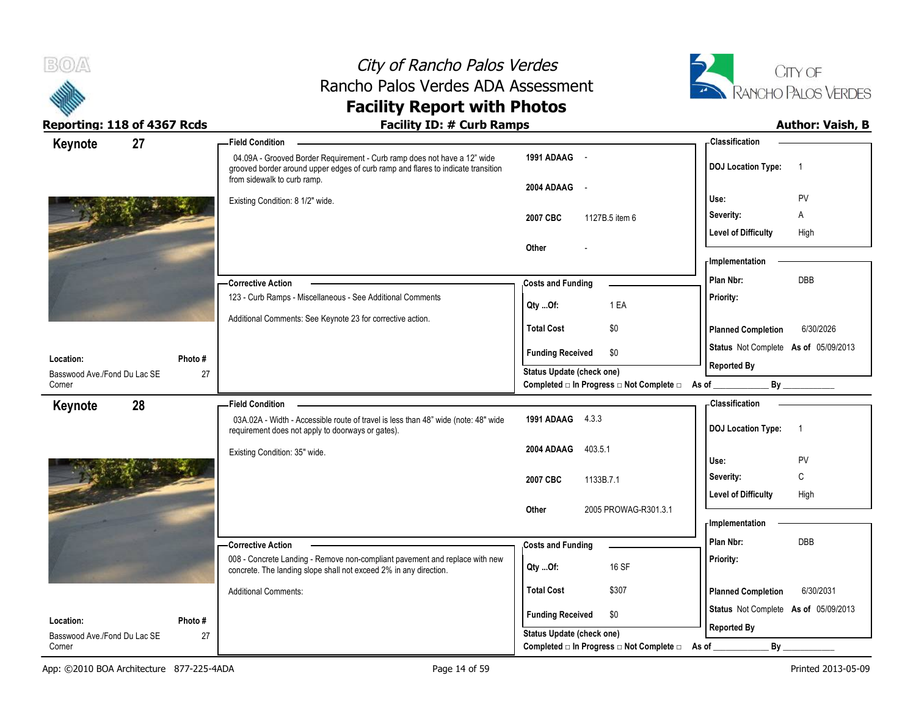



| 27<br>Keynote                |         | <b>Field Condition</b>                                                                                                                                                                      |                                                   | - Classification                            |
|------------------------------|---------|---------------------------------------------------------------------------------------------------------------------------------------------------------------------------------------------|---------------------------------------------------|---------------------------------------------|
|                              |         | 04.09A - Grooved Border Requirement - Curb ramp does not have a 12" wide<br>grooved border around upper edges of curb ramp and flares to indicate transition<br>from sidewalk to curb ramp. | 1991 ADAAG -                                      | <b>DOJ Location Type:</b><br>$\overline{1}$ |
|                              |         |                                                                                                                                                                                             | 2004 ADAAG<br>$\sim$                              | PV<br>Use:                                  |
|                              |         | Existing Condition: 8 1/2" wide.                                                                                                                                                            |                                                   | Severity:<br>Α                              |
|                              |         |                                                                                                                                                                                             | 2007 CBC<br>1127B.5 item 6                        |                                             |
|                              |         |                                                                                                                                                                                             | Other                                             | <b>Level of Difficulty</b><br>High          |
|                              |         |                                                                                                                                                                                             |                                                   | <b>Implementation</b>                       |
|                              |         |                                                                                                                                                                                             |                                                   | <b>DBB</b><br>Plan Nbr:                     |
|                              |         | - Corrective Action<br>123 - Curb Ramps - Miscellaneous - See Additional Comments                                                                                                           | <b>Costs and Funding</b>                          | Priority:                                   |
|                              |         |                                                                                                                                                                                             | 1 EA<br>Qty Of:                                   |                                             |
|                              |         | Additional Comments: See Keynote 23 for corrective action.                                                                                                                                  | <b>Total Cost</b><br>\$0                          | <b>Planned Completion</b><br>6/30/2026      |
| Location:                    | Photo # |                                                                                                                                                                                             | <b>Funding Received</b><br>\$0                    | Status Not Complete As of 05/09/2013        |
| Basswood Ave./Fond Du Lac SE | 27      |                                                                                                                                                                                             | <b>Status Update (check one)</b>                  | <b>Reported By</b>                          |
| Corner                       |         |                                                                                                                                                                                             | Completed □ In Progress □ Not Complete □ As of __ | By                                          |
| 28<br>Keynote                |         | <b>Field Condition</b>                                                                                                                                                                      |                                                   | - Classification                            |
|                              |         | 03A.02A - Width - Accessible route of travel is less than 48" wide (note: 48" wide<br>requirement does not apply to doorways or gates).                                                     | 1991 ADAAG 4.3.3                                  | <b>DOJ Location Type:</b><br>$\overline{1}$ |
|                              |         | Existing Condition: 35" wide.                                                                                                                                                               | 2004 ADAAG<br>403.5.1                             |                                             |
|                              |         |                                                                                                                                                                                             |                                                   | PV<br>Use:                                  |
|                              |         |                                                                                                                                                                                             | 2007 CBC<br>1133B.7.1                             | С<br>Severity:                              |
|                              |         |                                                                                                                                                                                             |                                                   | <b>Level of Difficulty</b><br>High          |
|                              |         |                                                                                                                                                                                             | 2005 PROWAG-R301.3.1<br><b>Other</b>              | - Implementation                            |
|                              |         |                                                                                                                                                                                             |                                                   | Plan Nbr:<br><b>DBB</b>                     |
|                              |         | - Corrective Action                                                                                                                                                                         | <b>Costs and Funding</b>                          |                                             |
|                              |         | 008 - Concrete Landing - Remove non-compliant pavement and replace with new<br>concrete. The landing slope shall not exceed 2% in any direction.                                            | 16 SF<br>Qty Of:                                  | Priority:                                   |
|                              |         | <b>Additional Comments:</b>                                                                                                                                                                 | <b>Total Cost</b><br>\$307                        | 6/30/2031<br><b>Planned Completion</b>      |
| Location:                    | Photo # |                                                                                                                                                                                             | <b>Funding Received</b><br>\$0                    | Status Not Complete As of 05/09/2013        |
| Basswood Ave./Fond Du Lac SE | 27      |                                                                                                                                                                                             | <b>Status Update (check one)</b>                  | <b>Reported By</b>                          |
| Corner                       |         |                                                                                                                                                                                             | Completed □ In Progress □ Not Complete □          | By<br>As of                                 |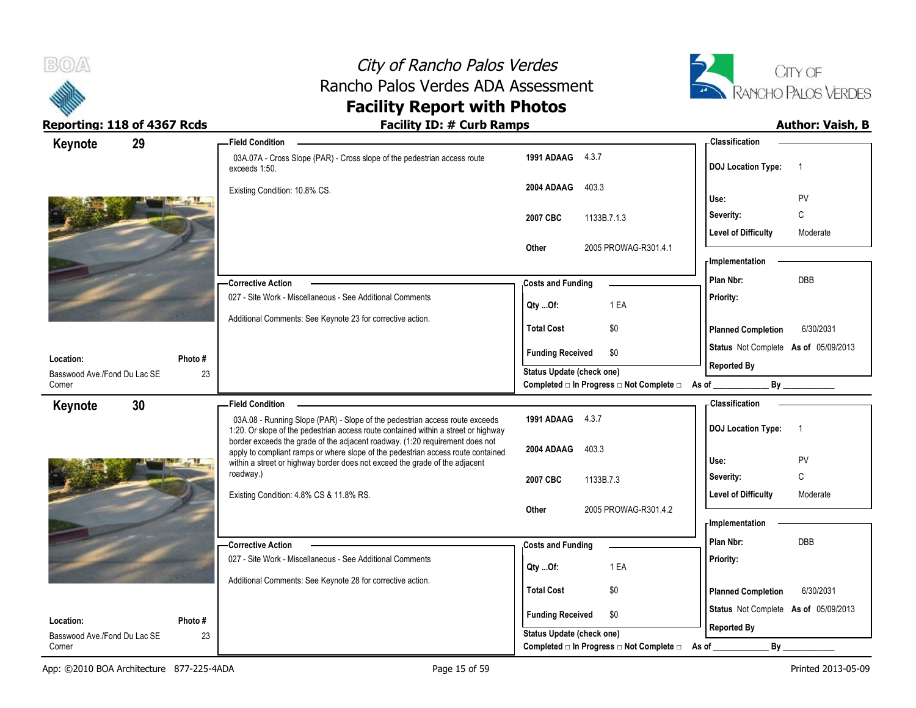



| Keynote                                   | 29           | <b>Field Condition</b>                                                                                                                                            |                                                             | - Classification                            |
|-------------------------------------------|--------------|-------------------------------------------------------------------------------------------------------------------------------------------------------------------|-------------------------------------------------------------|---------------------------------------------|
|                                           |              | 03A.07A - Cross Slope (PAR) - Cross slope of the pedestrian access route<br>exceeds 1:50.                                                                         | 1991 ADAAG 4.3.7                                            | <b>DOJ</b> Location Type:<br>-1             |
|                                           |              | Existing Condition: 10.8% CS.                                                                                                                                     | 2004 ADAAG<br>403.3                                         | PV<br>Use:                                  |
|                                           |              |                                                                                                                                                                   | 1133B.7.1.3<br>2007 CBC                                     | C<br>Severity:                              |
|                                           |              |                                                                                                                                                                   |                                                             | <b>Level of Difficulty</b><br>Moderate      |
|                                           |              |                                                                                                                                                                   | 2005 PROWAG-R301.4.1<br>Other                               |                                             |
|                                           |              |                                                                                                                                                                   |                                                             | <b>Implementation</b>                       |
|                                           |              | - Corrective Action                                                                                                                                               | <b>Costs and Funding</b>                                    | DBB<br>Plan Nbr:                            |
|                                           |              | 027 - Site Work - Miscellaneous - See Additional Comments                                                                                                         | 1 EA<br>Qty Of:                                             | Priority:                                   |
|                                           |              | Additional Comments: See Keynote 23 for corrective action.                                                                                                        | <b>Total Cost</b><br>\$0                                    | <b>Planned Completion</b><br>6/30/2031      |
|                                           |              |                                                                                                                                                                   | <b>Funding Received</b><br>\$0                              | Status Not Complete As of 05/09/2013        |
| Location:                                 | Photo #      |                                                                                                                                                                   | <b>Status Update (check one)</b>                            | <b>Reported By</b>                          |
| Basswood Ave./Fond Du Lac SE<br>Corner    | 23           |                                                                                                                                                                   | Completed □ In Progress □ Not Complete □ As of __           | By                                          |
| Keynote                                   | 30           | <b>Field Condition</b>                                                                                                                                            |                                                             | <b>Classification</b>                       |
|                                           |              | 03A.08 - Running Slope (PAR) - Slope of the pedestrian access route exceeds<br>1:20. Or slope of the pedestrian access route contained within a street or highway | 1991 ADAAG 4.3.7                                            | <b>DOJ</b> Location Type:<br>$\overline{1}$ |
|                                           |              | border exceeds the grade of the adjacent roadway. (1:20 requirement does not<br>apply to compliant ramps or where slope of the pedestrian access route contained  | 2004 ADAAG<br>403.3                                         |                                             |
|                                           |              | within a street or highway border does not exceed the grade of the adjacent                                                                                       |                                                             | Use:<br>PV                                  |
|                                           |              | roadway.)                                                                                                                                                         | 2007 CBC<br>1133B.7.3                                       | C<br>Severity:                              |
|                                           |              | Existing Condition: 4.8% CS & 11.8% RS.                                                                                                                           |                                                             | <b>Level of Difficulty</b><br>Moderate      |
|                                           |              |                                                                                                                                                                   |                                                             |                                             |
|                                           |              |                                                                                                                                                                   | 2005 PROWAG-R301.4.2<br>Other                               |                                             |
|                                           |              |                                                                                                                                                                   |                                                             | - Implementation                            |
|                                           |              | - Corrective Action                                                                                                                                               | <b>Costs and Funding</b>                                    | Plan Nbr:<br><b>DBB</b>                     |
|                                           |              | 027 - Site Work - Miscellaneous - See Additional Comments                                                                                                         | 1 EA<br>Qty Of:                                             | Priority:                                   |
|                                           |              | Additional Comments: See Keynote 28 for corrective action.                                                                                                        | <b>Total Cost</b><br>\$0                                    | <b>Planned Completion</b><br>6/30/2031      |
|                                           |              |                                                                                                                                                                   | \$0                                                         | Status Not Complete As of 05/09/2013        |
| Location:<br>Basswood Ave./Fond Du Lac SE | Photo#<br>23 |                                                                                                                                                                   | <b>Funding Received</b><br><b>Status Update (check one)</b> | <b>Reported By</b>                          |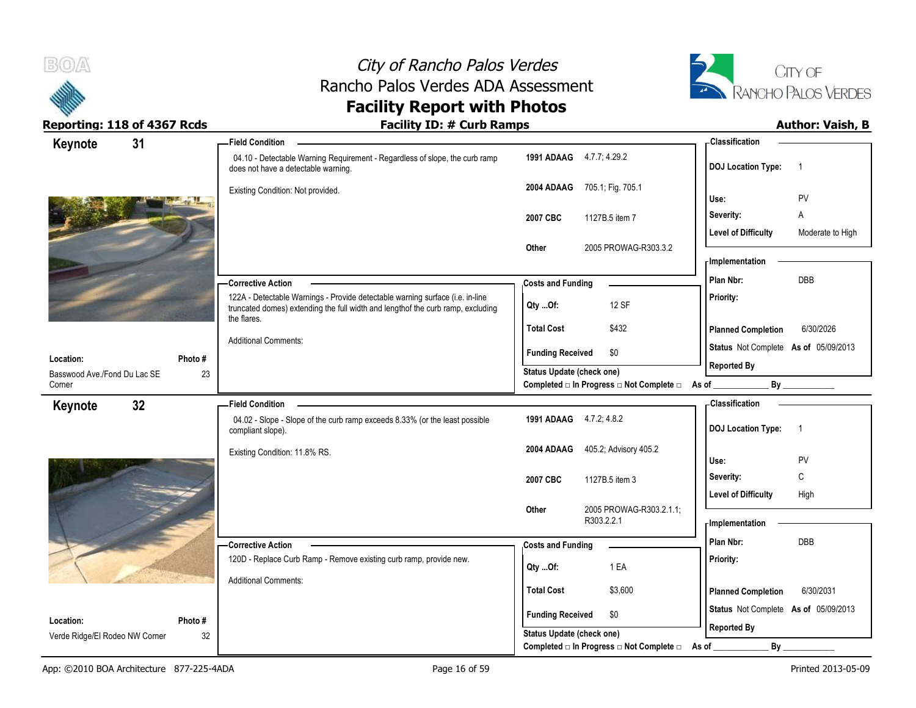



| Keynote                        | 31     | <b>Field Condition</b>                                                                                                                                                          |                                                                       | -Classification                                            |
|--------------------------------|--------|---------------------------------------------------------------------------------------------------------------------------------------------------------------------------------|-----------------------------------------------------------------------|------------------------------------------------------------|
|                                |        | 04.10 - Detectable Warning Requirement - Regardless of slope, the curb ramp<br>does not have a detectable warning.                                                              | 1991 ADAAG 4.7.7; 4.29.2                                              | <b>DOJ</b> Location Type:<br>$\overline{1}$                |
|                                |        | Existing Condition: Not provided.                                                                                                                                               | 705.1; Fig. 705.1<br>2004 ADAAG                                       | <b>PV</b><br>Use:                                          |
|                                |        |                                                                                                                                                                                 | 1127B.5 item 7<br>2007 CBC                                            | A<br>Severity:                                             |
|                                |        |                                                                                                                                                                                 |                                                                       | <b>Level of Difficulty</b><br>Moderate to High             |
|                                |        |                                                                                                                                                                                 | 2005 PROWAG-R303.3.2<br>Other                                         |                                                            |
|                                |        |                                                                                                                                                                                 |                                                                       | - Implementation                                           |
|                                |        | <b>Corrective Action</b>                                                                                                                                                        | <b>Costs and Funding</b>                                              | <b>DBB</b><br>Plan Nbr:                                    |
|                                |        | 122A - Detectable Warnings - Provide detectable warning surface (i.e. in-line<br>truncated domes) extending the full width and lengthof the curb ramp, excluding<br>the flares. | 12 SF<br>Qty Of:                                                      | Priority:                                                  |
|                                |        |                                                                                                                                                                                 | <b>Total Cost</b><br>\$432                                            | 6/30/2026<br><b>Planned Completion</b>                     |
| Location:                      | Photo# | <b>Additional Comments:</b>                                                                                                                                                     | \$0<br><b>Funding Received</b>                                        | Status Not Complete As of 05/09/2013<br><b>Reported By</b> |
| Basswood Ave./Fond Du Lac SE   | 23     |                                                                                                                                                                                 | Status Update (check one)                                             |                                                            |
| Corner                         |        |                                                                                                                                                                                 | Completed □ In Progress □ Not Complete □ As of                        |                                                            |
|                                |        |                                                                                                                                                                                 |                                                                       |                                                            |
| Keynote                        | 32     | <b>Field Condition</b>                                                                                                                                                          |                                                                       | <b>Classification</b>                                      |
|                                |        | 04.02 - Slope - Slope of the curb ramp exceeds 8.33% (or the least possible<br>compliant slope).                                                                                | 1991 ADAAG 4.7.2; 4.8.2                                               | <b>DOJ Location Type:</b><br>$\overline{1}$                |
|                                |        |                                                                                                                                                                                 | 405.2; Advisory 405.2<br>2004 ADAAG                                   |                                                            |
|                                |        | Existing Condition: 11.8% RS.                                                                                                                                                   |                                                                       | Use:<br><b>PV</b>                                          |
|                                |        |                                                                                                                                                                                 | 2007 CBC<br>1127B.5 item 3                                            | C<br>Severity:                                             |
|                                |        |                                                                                                                                                                                 |                                                                       | <b>Level of Difficulty</b><br>High                         |
|                                |        |                                                                                                                                                                                 | 2005 PROWAG-R303.2.1.1;<br>Other<br>R303.2.2.1                        | <b>Implementation</b>                                      |
|                                |        |                                                                                                                                                                                 |                                                                       | Plan Nbr:<br>DBB                                           |
|                                |        | <b>Corrective Action</b><br>120D - Replace Curb Ramp - Remove existing curb ramp, provide new.                                                                                  | <b>Costs and Funding</b>                                              | Priority:                                                  |
|                                |        |                                                                                                                                                                                 | 1 EA<br>Qty Of:                                                       |                                                            |
|                                |        | <b>Additional Comments:</b>                                                                                                                                                     | <b>Total Cost</b><br>\$3,600                                          | <b>Planned Completion</b><br>6/30/2031                     |
| Location:                      | Photo# |                                                                                                                                                                                 | <b>Funding Received</b><br>\$0                                        | Status Not Complete As of 05/09/2013                       |
| Verde Ridge/El Rodeo NW Corner | 32     |                                                                                                                                                                                 | Status Update (check one)<br>Completed □ In Progress □ Not Complete □ | <b>Reported By</b><br>By<br>As of                          |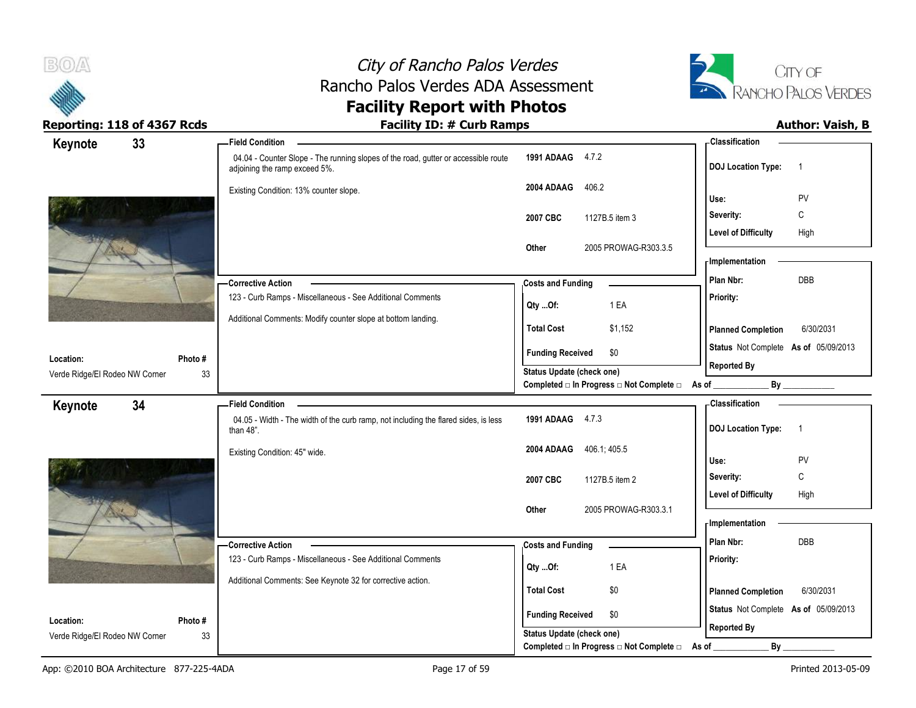

# City of Rancho Palos Verdes Rancho Palos Verdes ADA Assessment



# **Facility Report with Photos**

| Keynote                        | 33 |        | <b>Field Condition</b>                                                                                              |                                  |                |                                                  | - Classification      |                            |                                      |
|--------------------------------|----|--------|---------------------------------------------------------------------------------------------------------------------|----------------------------------|----------------|--------------------------------------------------|-----------------------|----------------------------|--------------------------------------|
|                                |    |        | 04.04 - Counter Slope - The running slopes of the road, gutter or accessible route<br>adjoining the ramp exceed 5%. | 1991 ADAAG                       | 4.7.2          |                                                  |                       | <b>DOJ Location Type:</b>  | $\overline{1}$                       |
|                                |    |        | Existing Condition: 13% counter slope.                                                                              | 2004 ADAAG                       | 406.2          |                                                  | Use:                  |                            | PV                                   |
|                                |    |        |                                                                                                                     |                                  |                |                                                  |                       |                            |                                      |
|                                |    |        |                                                                                                                     | 2007 CBC                         | 1127B.5 item 3 |                                                  | Severity:             |                            | C                                    |
|                                |    |        |                                                                                                                     |                                  |                |                                                  |                       | <b>Level of Difficulty</b> | High                                 |
|                                |    |        |                                                                                                                     | Other                            |                | 2005 PROWAG-R303.3.5                             |                       | <b>Implementation</b>      |                                      |
|                                |    |        |                                                                                                                     |                                  |                |                                                  | Plan Nbr:             |                            | DBB                                  |
|                                |    |        | <b>Corrective Action</b>                                                                                            | <b>Costs and Funding</b>         |                |                                                  |                       |                            |                                      |
|                                |    |        | 123 - Curb Ramps - Miscellaneous - See Additional Comments                                                          | Qty Of:                          |                | 1 EA                                             | Priority:             |                            |                                      |
|                                |    |        | Additional Comments: Modify counter slope at bottom landing.                                                        | <b>Total Cost</b>                |                | \$1,152                                          |                       | <b>Planned Completion</b>  | 6/30/2031                            |
|                                |    |        |                                                                                                                     | <b>Funding Received</b>          |                | \$0                                              |                       |                            | Status Not Complete As of 05/09/2013 |
| Location:                      |    | Photo# |                                                                                                                     |                                  |                |                                                  | <b>Reported By</b>    |                            |                                      |
| Verde Ridge/El Rodeo NW Corner |    | 33     |                                                                                                                     | <b>Status Update (check one)</b> |                | Completed □ In Progress □ Not Complete □ As of _ |                       |                            | By                                   |
| Keynote                        | 34 |        | <b>Field Condition</b>                                                                                              |                                  |                |                                                  | <b>Classification</b> |                            |                                      |
|                                |    |        | 04.05 - Width - The width of the curb ramp, not including the flared sides, is less<br>than $48$ ".                 | 1991 ADAAG 4.7.3                 |                |                                                  |                       | <b>DOJ Location Type:</b>  | $\overline{1}$                       |
|                                |    |        | Existing Condition: 45" wide.                                                                                       | 2004 ADAAG                       | 406.1, 405.5   |                                                  |                       |                            |                                      |
|                                |    |        |                                                                                                                     |                                  |                |                                                  | Use:                  |                            | PV                                   |
|                                |    |        |                                                                                                                     | 2007 CBC                         | 1127B.5 item 2 |                                                  | Severity:             |                            | C                                    |
|                                |    |        |                                                                                                                     |                                  |                |                                                  |                       | <b>Level of Difficulty</b> | High                                 |
|                                |    |        |                                                                                                                     | Other                            |                | 2005 PROWAG-R303.3.1                             | - Implementation      |                            |                                      |
|                                |    |        |                                                                                                                     |                                  |                |                                                  |                       |                            |                                      |
|                                |    |        | -Corrective Action                                                                                                  | <b>Costs and Funding</b>         |                |                                                  | Plan Nbr:             |                            | DBB                                  |
|                                |    |        | 123 - Curb Ramps - Miscellaneous - See Additional Comments                                                          | Qty Of:                          |                | 1 EA                                             | Priority:             |                            |                                      |
|                                |    |        | Additional Comments: See Keynote 32 for corrective action.                                                          | <b>Total Cost</b>                |                |                                                  |                       |                            |                                      |
|                                |    |        |                                                                                                                     |                                  |                | \$0                                              |                       | <b>Planned Completion</b>  | 6/30/2031                            |
| Location:                      |    | Photo# |                                                                                                                     | <b>Funding Received</b>          |                | \$0                                              |                       |                            | Status Not Complete As of 05/09/2013 |
|                                |    | 33     |                                                                                                                     | <b>Status Update (check one)</b> |                |                                                  | <b>Reported By</b>    |                            |                                      |
| Verde Ridge/El Rodeo NW Corner |    |        |                                                                                                                     |                                  |                |                                                  |                       |                            |                                      |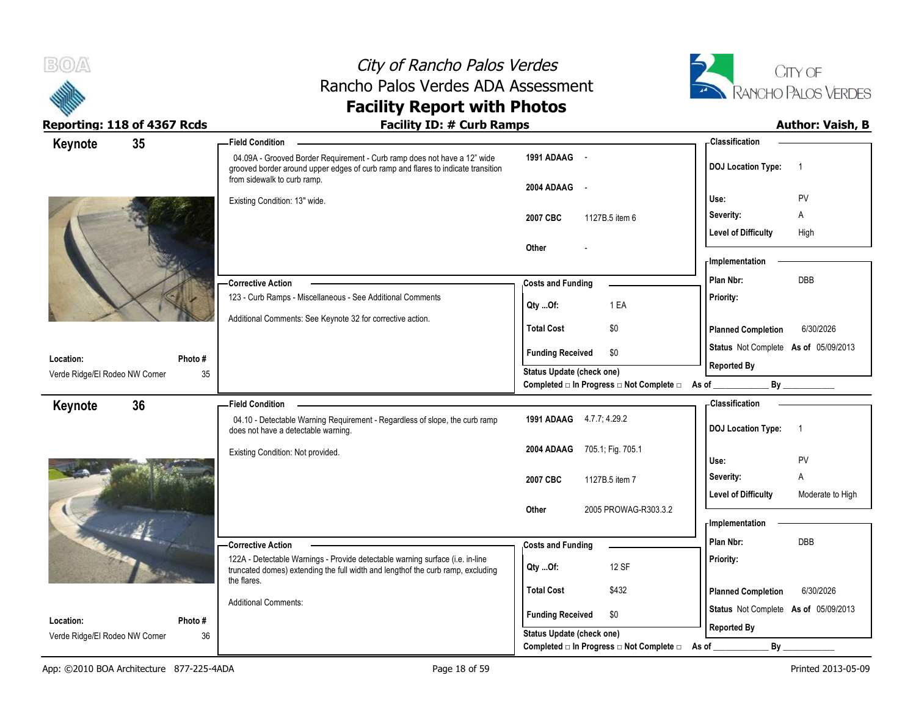



| Keynote                                     | 35            | <b>Field Condition</b>                                                                                                                                                                      |                                                                       | - Classification                               |
|---------------------------------------------|---------------|---------------------------------------------------------------------------------------------------------------------------------------------------------------------------------------------|-----------------------------------------------------------------------|------------------------------------------------|
|                                             |               | 04.09A - Grooved Border Requirement - Curb ramp does not have a 12" wide<br>grooved border around upper edges of curb ramp and flares to indicate transition<br>from sidewalk to curb ramp. | 1991 ADAAG -                                                          | <b>DOJ Location Type:</b><br>-1                |
|                                             |               | Existing Condition: 13" wide.                                                                                                                                                               | 2004 ADAAG<br>$\sim$                                                  | PV<br>Use:                                     |
|                                             |               |                                                                                                                                                                                             | 2007 CBC<br>1127B.5 item 6                                            | A<br>Severity:                                 |
|                                             |               |                                                                                                                                                                                             |                                                                       | <b>Level of Difficulty</b><br>High             |
|                                             |               |                                                                                                                                                                                             | Other                                                                 |                                                |
|                                             |               |                                                                                                                                                                                             |                                                                       | <b>Implementation</b>                          |
|                                             |               | -Corrective Action                                                                                                                                                                          | <b>Costs and Funding</b>                                              | <b>DBB</b><br>Plan Nbr:                        |
|                                             |               | 123 - Curb Ramps - Miscellaneous - See Additional Comments                                                                                                                                  | 1 EA<br>Qty Of:                                                       | Priority:                                      |
|                                             |               | Additional Comments: See Keynote 32 for corrective action.                                                                                                                                  | <b>Total Cost</b><br>\$0                                              | <b>Planned Completion</b><br>6/30/2026         |
|                                             |               |                                                                                                                                                                                             | <b>Funding Received</b><br>\$0                                        | Status Not Complete As of 05/09/2013           |
| Location:                                   | Photo #       |                                                                                                                                                                                             |                                                                       | <b>Reported By</b>                             |
| Verde Ridge/El Rodeo NW Corner              | 35            |                                                                                                                                                                                             | Status Update (check one)<br>Completed □ In Progress □ Not Complete □ | As of $\_$<br>By                               |
| Keynote                                     | 36            | <b>Field Condition</b>                                                                                                                                                                      |                                                                       | <b>Classification</b>                          |
|                                             |               | 04.10 - Detectable Warning Requirement - Regardless of slope, the curb ramp<br>does not have a detectable warning.                                                                          | 1991 ADAAG 4.7.7, 4.29.2                                              | <b>DOJ</b> Location Type:<br>$\overline{1}$    |
|                                             |               | Existing Condition: Not provided.                                                                                                                                                           | 2004 ADAAG<br>705.1, Fig. 705.1                                       |                                                |
|                                             |               |                                                                                                                                                                                             |                                                                       | PV<br>Use:                                     |
|                                             |               |                                                                                                                                                                                             | 1127B.5 item 7<br>2007 CBC                                            | A<br>Severity:                                 |
|                                             |               |                                                                                                                                                                                             |                                                                       |                                                |
|                                             |               |                                                                                                                                                                                             |                                                                       | <b>Level of Difficulty</b><br>Moderate to High |
|                                             |               |                                                                                                                                                                                             | 2005 PROWAG-R303.3.2<br>Other                                         | <b>Implementation</b>                          |
| and the Bill                                |               |                                                                                                                                                                                             |                                                                       | Plan Nbr:<br><b>DBB</b>                        |
|                                             |               | Corrective Action                                                                                                                                                                           | <b>Costs and Funding</b>                                              |                                                |
|                                             |               | 122A - Detectable Warnings - Provide detectable warning surface (i.e. in-line<br>truncated domes) extending the full width and lengthof the curb ramp, excluding                            | 12 SF<br>QtyOf:                                                       | Priority:                                      |
|                                             |               | the flares.                                                                                                                                                                                 | <b>Total Cost</b><br>\$432                                            | <b>Planned Completion</b><br>6/30/2026         |
|                                             |               | <b>Additional Comments:</b>                                                                                                                                                                 |                                                                       | Status Not Complete As of 05/09/2013           |
| Location:<br>Verde Ridge/El Rodeo NW Corner | Photo #<br>36 |                                                                                                                                                                                             | <b>Funding Received</b><br>\$0<br>Status Update (check one)           | <b>Reported By</b>                             |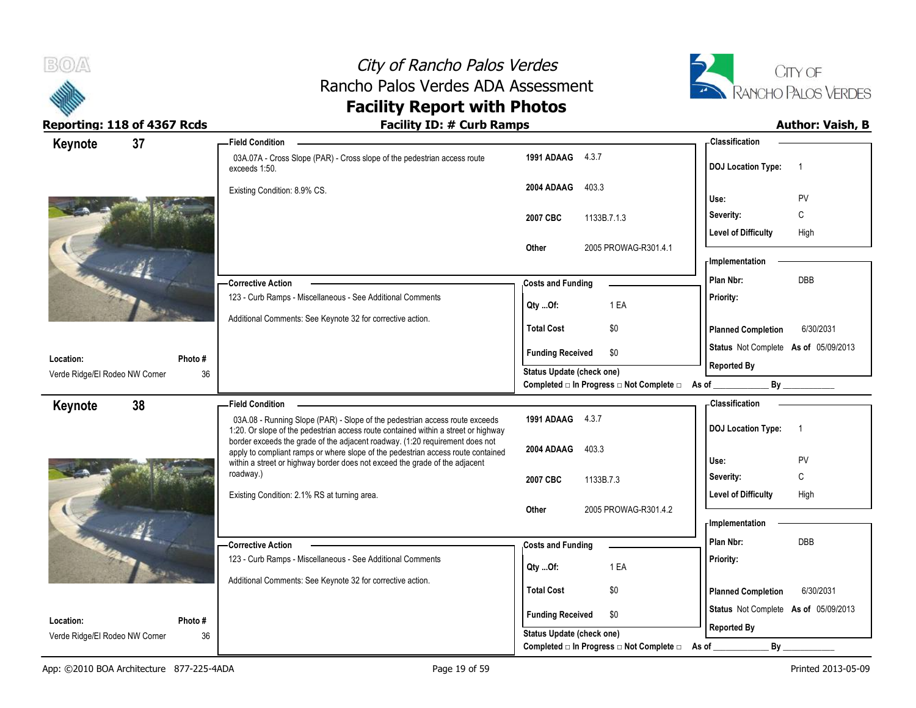



| Keynote                                     | 37            | <b>Field Condition</b>                                                                                                                                            |                                                                       | - Classification                            |
|---------------------------------------------|---------------|-------------------------------------------------------------------------------------------------------------------------------------------------------------------|-----------------------------------------------------------------------|---------------------------------------------|
|                                             |               | 03A.07A - Cross Slope (PAR) - Cross slope of the pedestrian access route<br>exceeds 1:50.                                                                         | 1991 ADAAG 4.3.7                                                      | <b>DOJ Location Type:</b><br>$\overline{1}$ |
|                                             |               | Existing Condition: 8.9% CS.                                                                                                                                      | 2004 ADAAG<br>403.3                                                   | PV<br>Use:                                  |
|                                             |               |                                                                                                                                                                   |                                                                       | C<br>Severity:                              |
|                                             |               |                                                                                                                                                                   | 2007 CBC<br>1133B.7.1.3                                               | <b>Level of Difficulty</b><br>High          |
|                                             |               |                                                                                                                                                                   | 2005 PROWAG-R301.4.1<br>Other                                         |                                             |
|                                             |               |                                                                                                                                                                   |                                                                       | <b>Implementation</b>                       |
|                                             |               | -Corrective Action                                                                                                                                                | <b>Costs and Funding</b>                                              | DBB<br>Plan Nbr:                            |
|                                             |               | 123 - Curb Ramps - Miscellaneous - See Additional Comments                                                                                                        |                                                                       | Priority:                                   |
|                                             |               |                                                                                                                                                                   | 1 EA<br>Qty Of:                                                       |                                             |
|                                             |               | Additional Comments: See Keynote 32 for corrective action.                                                                                                        | <b>Total Cost</b><br>\$0                                              | <b>Planned Completion</b><br>6/30/2031      |
|                                             |               |                                                                                                                                                                   | <b>Funding Received</b><br>\$0                                        | Status Not Complete As of 05/09/2013        |
| Location:<br>Verde Ridge/El Rodeo NW Corner | Photo #<br>36 |                                                                                                                                                                   | <b>Status Update (check one)</b>                                      | <b>Reported By</b>                          |
|                                             |               |                                                                                                                                                                   | Completed □ In Progress □ Not Complete □ As of ________               | By                                          |
| Keynote                                     | 38            | <b>Field Condition</b>                                                                                                                                            |                                                                       | - Classification                            |
|                                             |               | 03A.08 - Running Slope (PAR) - Slope of the pedestrian access route exceeds<br>1:20. Or slope of the pedestrian access route contained within a street or highway | 1991 ADAAG 4.3.7                                                      | <b>DOJ Location Type:</b><br>$\overline{1}$ |
|                                             |               | border exceeds the grade of the adjacent roadway. (1:20 requirement does not<br>apply to compliant ramps or where slope of the pedestrian access route contained  | 403.3<br>2004 ADAAG                                                   |                                             |
|                                             |               | within a street or highway border does not exceed the grade of the adjacent                                                                                       |                                                                       | Use:<br>PV                                  |
|                                             |               | roadway.)                                                                                                                                                         | 2007 CBC<br>1133B.7.3                                                 | C<br>Severity:                              |
|                                             |               | Existing Condition: 2.1% RS at turning area.                                                                                                                      |                                                                       | Level of Difficulty<br>High                 |
|                                             |               |                                                                                                                                                                   |                                                                       |                                             |
|                                             |               |                                                                                                                                                                   | 2005 PROWAG-R301.4.2<br>Other                                         |                                             |
|                                             |               |                                                                                                                                                                   |                                                                       | <b>Implementation</b>                       |
|                                             |               | -Corrective Action                                                                                                                                                | <b>Costs and Funding</b>                                              | Plan Nbr:<br><b>DBB</b>                     |
|                                             |               | 123 - Curb Ramps - Miscellaneous - See Additional Comments                                                                                                        | 1 EA<br>Qty Of:                                                       | Priority:                                   |
|                                             |               | Additional Comments: See Keynote 32 for corrective action.                                                                                                        |                                                                       |                                             |
|                                             |               |                                                                                                                                                                   | <b>Total Cost</b><br>\$0                                              | <b>Planned Completion</b><br>6/30/2031      |
| Location:                                   | Photo #       |                                                                                                                                                                   | <b>Funding Received</b><br>\$0                                        | Status Not Complete As of 05/09/2013        |
| Verde Ridge/El Rodeo NW Corner              | 36            |                                                                                                                                                                   | Status Update (check one)<br>Completed □ In Progress □ Not Complete □ | <b>Reported By</b><br>By                    |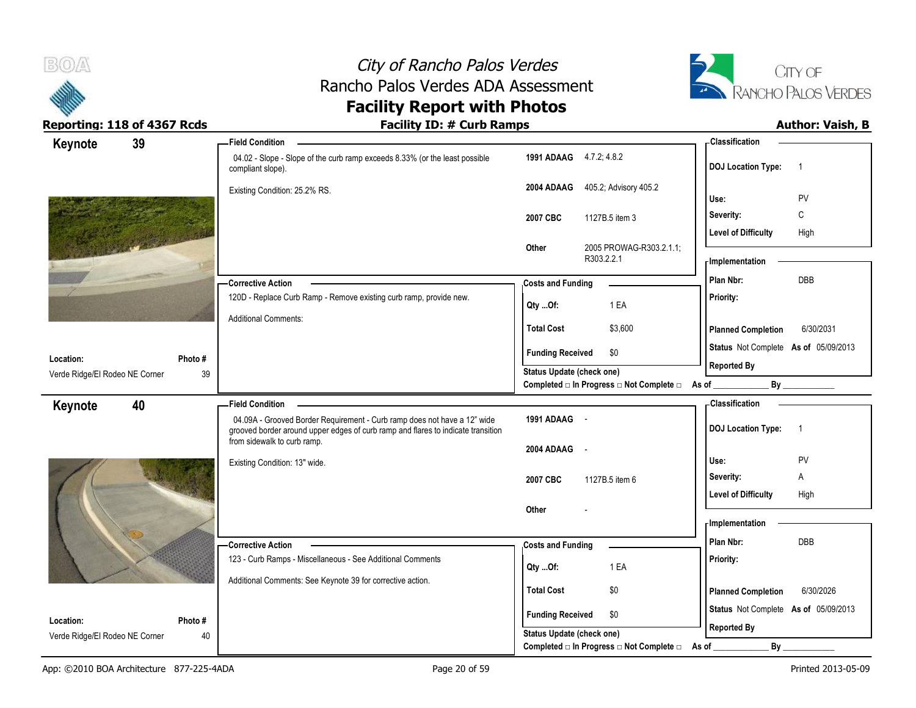



| Keynote                        | 39      | -Field Condition                                                                                                                                             |                           |                                                  | - Classification                     |                |
|--------------------------------|---------|--------------------------------------------------------------------------------------------------------------------------------------------------------------|---------------------------|--------------------------------------------------|--------------------------------------|----------------|
|                                |         | 04.02 - Slope - Slope of the curb ramp exceeds 8.33% (or the least possible<br>compliant slope).                                                             | 1991 ADAAG 4.7.2, 4.8.2   |                                                  | <b>DOJ Location Type:</b>            | $\overline{1}$ |
|                                |         | Existing Condition: 25.2% RS.                                                                                                                                | 2004 ADAAG                | 405.2; Advisory 405.2                            | Use:                                 | PV             |
|                                |         |                                                                                                                                                              |                           |                                                  | Severity:                            | C              |
|                                |         |                                                                                                                                                              | 2007 CBC                  | 1127B.5 item 3                                   | <b>Level of Difficulty</b>           | High           |
|                                |         |                                                                                                                                                              | Other                     | 2005 PROWAG-R303.2.1.1;<br>R303.2.2.1            | - Implementation                     |                |
|                                |         |                                                                                                                                                              |                           |                                                  | Plan Nbr:                            | DBB            |
|                                |         | <b>Corrective Action</b><br>120D - Replace Curb Ramp - Remove existing curb ramp, provide new.                                                               | <b>Costs and Funding</b>  |                                                  | Priority:                            |                |
|                                |         |                                                                                                                                                              | Qty Of:                   | 1 EA                                             |                                      |                |
|                                |         | <b>Additional Comments:</b>                                                                                                                                  | <b>Total Cost</b>         | \$3,600                                          | <b>Planned Completion</b>            | 6/30/2031      |
| Location:                      | Photo#  |                                                                                                                                                              | <b>Funding Received</b>   | \$0                                              | Status Not Complete As of 05/09/2013 |                |
| Verde Ridge/El Rodeo NE Corner | 39      |                                                                                                                                                              | Status Update (check one) |                                                  | <b>Reported By</b>                   |                |
|                                |         |                                                                                                                                                              |                           | Completed □ In Progress □ Not Complete □ As of _ |                                      | By             |
| Keynote                        | 40      | <b>Field Condition</b>                                                                                                                                       |                           |                                                  | - Classification                     |                |
|                                |         | 04.09A - Grooved Border Requirement - Curb ramp does not have a 12" wide<br>grooved border around upper edges of curb ramp and flares to indicate transition | 1991 ADAAG -              |                                                  | <b>DOJ</b> Location Type:            | $\overline{1}$ |
|                                |         | from sidewalk to curb ramp.                                                                                                                                  |                           |                                                  |                                      |                |
|                                |         |                                                                                                                                                              | 2004 ADAAG -              |                                                  |                                      |                |
|                                |         | Existing Condition: 13" wide.                                                                                                                                |                           |                                                  | Use:                                 | PV             |
|                                |         |                                                                                                                                                              | 2007 CBC                  | 1127B.5 item 6                                   | Severity:                            | Α              |
|                                |         |                                                                                                                                                              |                           |                                                  | <b>Level of Difficulty</b>           | High           |
|                                |         |                                                                                                                                                              | Other                     |                                                  |                                      |                |
|                                |         |                                                                                                                                                              |                           |                                                  | - Implementation                     |                |
|                                |         | -Corrective Action                                                                                                                                           | <b>Costs and Funding</b>  |                                                  | Plan Nbr:                            | <b>DBB</b>     |
|                                |         | 123 - Curb Ramps - Miscellaneous - See Additional Comments                                                                                                   | Qty Of:                   | 1 EA                                             | Priority:                            |                |
|                                |         | Additional Comments: See Keynote 39 for corrective action.                                                                                                   |                           |                                                  |                                      |                |
|                                |         |                                                                                                                                                              | <b>Total Cost</b>         | \$0                                              | <b>Planned Completion</b>            | 6/30/2026      |
| Location:                      | Photo # |                                                                                                                                                              | <b>Funding Received</b>   | \$0                                              | Status Not Complete As of 05/09/2013 |                |
| Verde Ridge/El Rodeo NE Corner | 40      |                                                                                                                                                              | Status Update (check one) | Completed □ In Progress □ Not Complete □         | <b>Reported By</b><br>By             |                |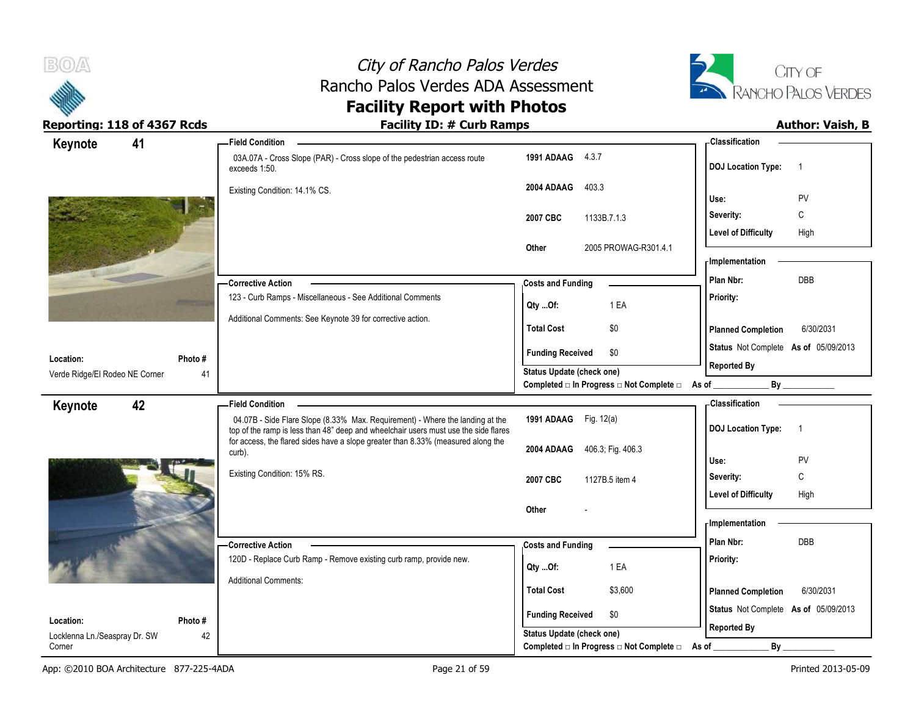



| 41<br>Keynote                               |               | <b>Field Condition</b>                                                                                                                                                  |                                                                       | - Classification                            |
|---------------------------------------------|---------------|-------------------------------------------------------------------------------------------------------------------------------------------------------------------------|-----------------------------------------------------------------------|---------------------------------------------|
|                                             |               | 03A.07A - Cross Slope (PAR) - Cross slope of the pedestrian access route<br>exceeds 1:50.                                                                               | 1991 ADAAG 4.3.7                                                      | <b>DOJ Location Type:</b><br>$\overline{1}$ |
|                                             |               | Existing Condition: 14.1% CS.                                                                                                                                           | 2004 ADAAG<br>403.3                                                   | PV<br>Use:                                  |
|                                             |               |                                                                                                                                                                         |                                                                       | C<br>Severity:                              |
|                                             |               |                                                                                                                                                                         | 2007 CBC<br>1133B.7.1.3                                               | <b>Level of Difficulty</b><br>High          |
|                                             |               |                                                                                                                                                                         | 2005 PROWAG-R301.4.1<br>Other                                         |                                             |
|                                             |               |                                                                                                                                                                         |                                                                       | - Implementation                            |
|                                             |               | - Corrective Action                                                                                                                                                     | <b>Costs and Funding</b>                                              | <b>DBB</b><br>Plan Nbr:                     |
|                                             |               | 123 - Curb Ramps - Miscellaneous - See Additional Comments                                                                                                              |                                                                       | Priority:                                   |
|                                             |               | Additional Comments: See Keynote 39 for corrective action.                                                                                                              | 1 EA<br>Qty Of:                                                       |                                             |
|                                             |               |                                                                                                                                                                         | <b>Total Cost</b><br>\$0                                              | <b>Planned Completion</b><br>6/30/2031      |
|                                             |               |                                                                                                                                                                         | <b>Funding Received</b><br>\$0                                        | Status Not Complete As of 05/09/2013        |
| Location:<br>Verde Ridge/El Rodeo NE Corner | Photo #<br>41 |                                                                                                                                                                         | <b>Status Update (check one)</b>                                      | <b>Reported By</b>                          |
|                                             |               |                                                                                                                                                                         | Completed □ In Progress □ Not Complete □ As of __                     |                                             |
| 42<br>Keynote                               |               | <b>Field Condition</b>                                                                                                                                                  |                                                                       | <b>Classification</b>                       |
|                                             |               | 04.07B - Side Flare Slope (8.33% Max. Requirement) - Where the landing at the                                                                                           | 1991 ADAAG Fig. 12(a)                                                 | <b>DOJ Location Type:</b><br>$\overline{1}$ |
|                                             |               | top of the ramp is less than 48" deep and wheelchair users must use the side flares<br>for access, the flared sides have a slope greater than 8.33% (measured along the |                                                                       |                                             |
|                                             |               | curb).                                                                                                                                                                  | 2004 ADAAG 406.3, Fig. 406.3                                          | Use:<br>PV                                  |
|                                             |               | Existing Condition: 15% RS.                                                                                                                                             | 2007 CBC<br>1127B.5 item 4                                            | $\mathsf C$<br>Severity:                    |
|                                             |               |                                                                                                                                                                         |                                                                       | <b>Level of Difficulty</b><br>High          |
|                                             |               |                                                                                                                                                                         | Other                                                                 |                                             |
|                                             |               |                                                                                                                                                                         |                                                                       |                                             |
|                                             |               |                                                                                                                                                                         |                                                                       | - Implementation                            |
|                                             |               | -Corrective Action                                                                                                                                                      | <b>Costs and Funding</b>                                              | Plan Nbr:<br>DBB                            |
|                                             |               | 120D - Replace Curb Ramp - Remove existing curb ramp, provide new.                                                                                                      | 1 EA                                                                  | Priority:                                   |
|                                             |               | <b>Additional Comments:</b>                                                                                                                                             | Qty Of:                                                               |                                             |
|                                             |               |                                                                                                                                                                         | <b>Total Cost</b><br>\$3,600                                          | 6/30/2031<br><b>Planned Completion</b>      |
| Location:                                   | Photo#        |                                                                                                                                                                         | <b>Funding Received</b><br>\$0                                        | Status Not Complete As of 05/09/2013        |
| Locklenna Ln./Seaspray Dr. SW<br>Corner     | 42            |                                                                                                                                                                         | Status Update (check one)<br>Completed □ In Progress □ Not Complete □ | <b>Reported By</b><br>By<br>As of           |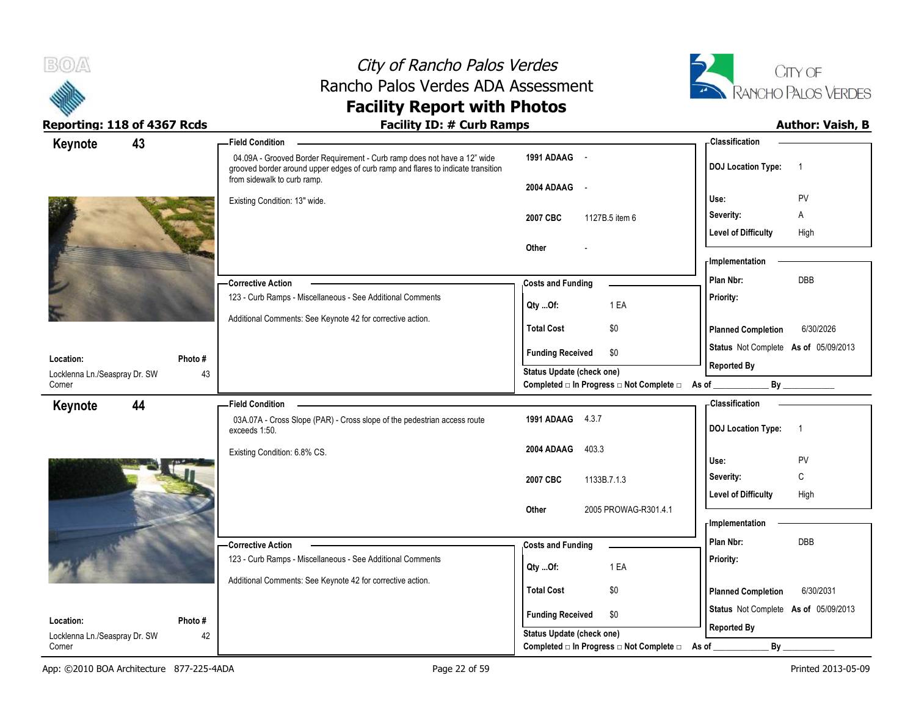



| Keynote                                    | 43           | <b>Field Condition</b>                                                                                                                                                                      |                                                   | - Classification                            |
|--------------------------------------------|--------------|---------------------------------------------------------------------------------------------------------------------------------------------------------------------------------------------|---------------------------------------------------|---------------------------------------------|
|                                            |              | 04.09A - Grooved Border Requirement - Curb ramp does not have a 12" wide<br>grooved border around upper edges of curb ramp and flares to indicate transition<br>from sidewalk to curb ramp. | 1991 ADAAG -                                      | <b>DOJ Location Type:</b><br>$\overline{1}$ |
|                                            |              | Existing Condition: 13" wide.                                                                                                                                                               | 2004 ADAAG -                                      | PV<br>Use:                                  |
|                                            |              |                                                                                                                                                                                             | 2007 CBC<br>1127B.5 item 6                        | Severity:<br>Α                              |
|                                            |              |                                                                                                                                                                                             |                                                   | <b>Level of Difficulty</b><br>High          |
|                                            |              |                                                                                                                                                                                             | Other                                             |                                             |
|                                            |              |                                                                                                                                                                                             |                                                   | - Implementation                            |
|                                            |              | -Corrective Action                                                                                                                                                                          | <b>Costs and Funding</b>                          | DBB<br>Plan Nbr:                            |
|                                            |              | 123 - Curb Ramps - Miscellaneous - See Additional Comments                                                                                                                                  | 1 EA<br>Qty Of:                                   | Priority:                                   |
|                                            |              | Additional Comments: See Keynote 42 for corrective action.                                                                                                                                  | <b>Total Cost</b><br>\$0                          | <b>Planned Completion</b><br>6/30/2026      |
|                                            |              |                                                                                                                                                                                             | <b>Funding Received</b><br>\$0                    | Status Not Complete As of 05/09/2013        |
| Location:<br>Locklenna Ln./Seaspray Dr. SW | Photo#<br>43 |                                                                                                                                                                                             | <b>Status Update (check one)</b>                  | <b>Reported By</b>                          |
| Corner                                     |              |                                                                                                                                                                                             | Completed □ In Progress □ Not Complete □ As of __ |                                             |
| Keynote                                    | 44           | <b>Field Condition</b>                                                                                                                                                                      |                                                   | - Classification                            |
|                                            |              | 03A.07A - Cross Slope (PAR) - Cross slope of the pedestrian access route<br>exceeds 1:50.                                                                                                   | 1991 ADAAG 4.3.7                                  | <b>DOJ Location Type:</b><br>$\overline{1}$ |
|                                            |              | Existing Condition: 6.8% CS.                                                                                                                                                                | 2004 ADAAG<br>403.3                               | Use:<br>PV                                  |
|                                            |              |                                                                                                                                                                                             |                                                   | $\mathsf{C}$<br>Severity:                   |
|                                            |              |                                                                                                                                                                                             | 2007 CBC<br>1133B.7.1.3                           | <b>Level of Difficulty</b><br>High          |
|                                            |              |                                                                                                                                                                                             | 2005 PROWAG-R301.4.1<br>Other                     |                                             |
|                                            |              |                                                                                                                                                                                             |                                                   | - Implementation                            |
|                                            |              | -Corrective Action                                                                                                                                                                          | <b>Costs and Funding</b>                          | Plan Nbr:<br>DBB                            |
|                                            |              | 123 - Curb Ramps - Miscellaneous - See Additional Comments                                                                                                                                  | 1 EA<br>Qty Of:                                   | Priority:                                   |
|                                            |              | Additional Comments: See Keynote 42 for corrective action.                                                                                                                                  |                                                   |                                             |
|                                            |              |                                                                                                                                                                                             | <b>Total Cost</b><br>\$0                          | <b>Planned Completion</b><br>6/30/2031      |
| Location:                                  | Photo#       |                                                                                                                                                                                             | <b>Funding Received</b><br>\$0                    | Status Not Complete As of 05/09/2013        |
| Locklenna Ln./Seaspray Dr. SW              | 42           |                                                                                                                                                                                             | <b>Status Update (check one)</b>                  | <b>Reported By</b>                          |
| Corner                                     |              |                                                                                                                                                                                             | Completed □ In Progress □ Not Complete □          | By<br>As of                                 |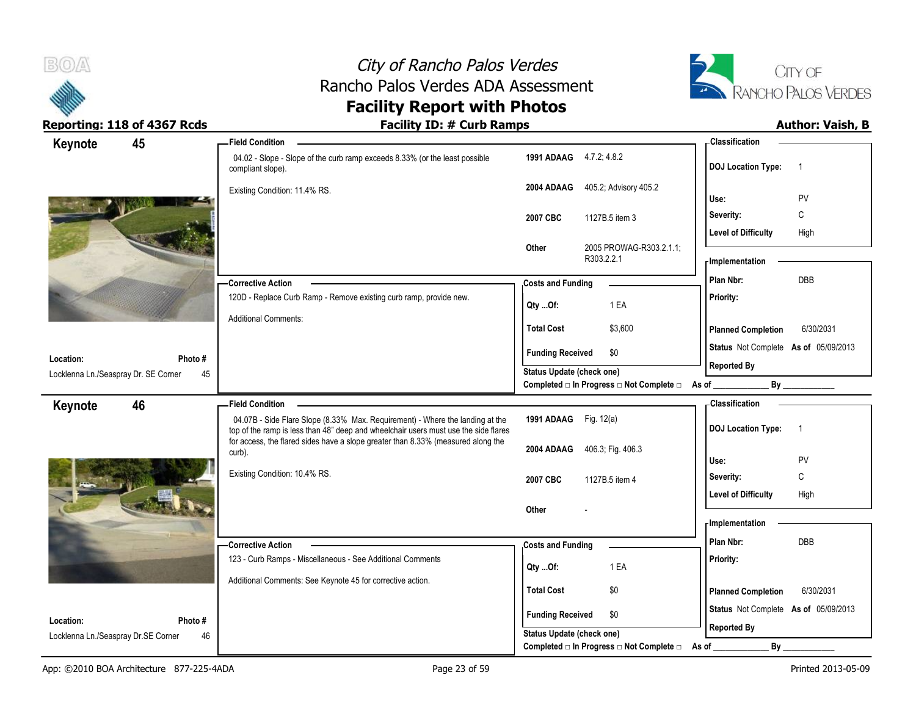



| Keynote                              | 45      | - Field Condition                                                                                                                                                    |                           |                                                                 | - Classification                            |
|--------------------------------------|---------|----------------------------------------------------------------------------------------------------------------------------------------------------------------------|---------------------------|-----------------------------------------------------------------|---------------------------------------------|
|                                      |         | 04.02 - Slope - Slope of the curb ramp exceeds 8.33% (or the least possible<br>compliant slope).                                                                     | 1991 ADAAG 4.7.2, 4.8.2   |                                                                 | <b>DOJ Location Type:</b><br>$\overline{1}$ |
|                                      |         | Existing Condition: 11.4% RS.                                                                                                                                        | 2004 ADAAG                | 405.2, Advisory 405.2                                           | PV<br>Use:                                  |
|                                      |         |                                                                                                                                                                      | 2007 CBC                  | 1127B.5 item 3                                                  | С<br>Severity:                              |
|                                      |         |                                                                                                                                                                      |                           |                                                                 | <b>Level of Difficulty</b><br>High          |
|                                      |         |                                                                                                                                                                      | Other                     | 2005 PROWAG-R303.2.1.1;<br>R303.2.2.1                           | - Implementation                            |
|                                      |         | - Corrective Action                                                                                                                                                  | <b>Costs and Funding</b>  |                                                                 | DBB<br>Plan Nbr:                            |
|                                      |         | 120D - Replace Curb Ramp - Remove existing curb ramp, provide new.                                                                                                   | QtyOf:                    | 1 EA                                                            | Priority:                                   |
|                                      |         | <b>Additional Comments:</b>                                                                                                                                          | <b>Total Cost</b>         | \$3,600                                                         | <b>Planned Completion</b><br>6/30/2031      |
| Location:                            | Photo # |                                                                                                                                                                      | <b>Funding Received</b>   | \$0                                                             | Status Not Complete As of 05/09/2013        |
| Locklenna Ln./Seaspray Dr. SE Corner | 45      |                                                                                                                                                                      | Status Update (check one) |                                                                 | <b>Reported By</b>                          |
|                                      |         |                                                                                                                                                                      |                           | Completed $\Box$ In Progress $\Box$ Not Complete $\Box$ As of _ |                                             |
| Keynote                              | 46      | <b>Field Condition</b>                                                                                                                                               |                           |                                                                 | <b>Classification</b>                       |
|                                      |         | 04.07B - Side Flare Slope (8.33% Max. Requirement) - Where the landing at the<br>top of the ramp is less than 48" deep and wheelchair users must use the side flares | 1991 ADAAG Fig. 12(a)     |                                                                 | <b>DOJ Location Type:</b><br>$\overline{1}$ |
|                                      |         | for access, the flared sides have a slope greater than 8.33% (measured along the<br>curb).                                                                           |                           | 2004 ADAAG 406.3; Fig. 406.3                                    |                                             |
|                                      |         | Existing Condition: 10.4% RS.                                                                                                                                        |                           |                                                                 | Use:<br>PV                                  |
|                                      |         |                                                                                                                                                                      | 2007 CBC                  | 1127B.5 item 4                                                  | С<br>Severity:                              |
|                                      |         |                                                                                                                                                                      | Other                     |                                                                 | <b>Level of Difficulty</b><br>High          |
|                                      |         |                                                                                                                                                                      |                           |                                                                 | <b>Implementation</b>                       |
|                                      |         | <b>Corrective Action</b>                                                                                                                                             | <b>Costs and Funding</b>  |                                                                 | Plan Nbr:<br>DBB                            |
|                                      |         | 123 - Curb Ramps - Miscellaneous - See Additional Comments                                                                                                           | QtyOf:                    | 1 EA                                                            | Priority:                                   |
|                                      |         | Additional Comments: See Keynote 45 for corrective action.                                                                                                           |                           |                                                                 |                                             |
|                                      |         |                                                                                                                                                                      | <b>Total Cost</b>         | \$0                                                             | <b>Planned Completion</b><br>6/30/2031      |
|                                      |         |                                                                                                                                                                      |                           |                                                                 |                                             |
| Location:                            | Photo # |                                                                                                                                                                      | <b>Funding Received</b>   | \$0                                                             | Status Not Complete As of 05/09/2013        |
| Locklenna Ln./Seaspray Dr.SE Corner  | 46      |                                                                                                                                                                      | Status Update (check one) | Completed □ In Progress □ Not Complete □                        | <b>Reported By</b><br>By<br>As of           |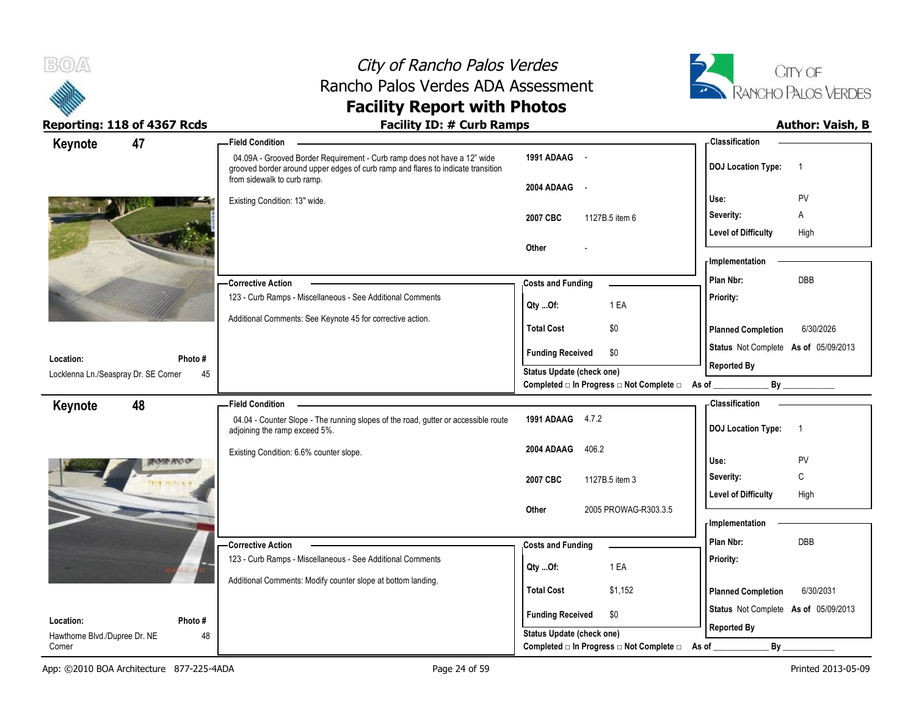



| 47<br>Keynote                              | -Field Condition                                                                                                                                                                            |                                                             | - Classification                                           |                |
|--------------------------------------------|---------------------------------------------------------------------------------------------------------------------------------------------------------------------------------------------|-------------------------------------------------------------|------------------------------------------------------------|----------------|
|                                            | 04.09A - Grooved Border Requirement - Curb ramp does not have a 12" wide<br>grooved border around upper edges of curb ramp and flares to indicate transition<br>from sidewalk to curb ramp. | 1991 ADAAG -                                                | <b>DOJ Location Type:</b>                                  | $\overline{1}$ |
|                                            | Existing Condition: 13" wide.                                                                                                                                                               | 2004 ADAAG -                                                | Use:                                                       | PV             |
|                                            |                                                                                                                                                                                             | 2007 CBC<br>1127B.5 item 6                                  | Severity:                                                  | Α              |
|                                            |                                                                                                                                                                                             |                                                             | <b>Level of Difficulty</b>                                 | High           |
|                                            |                                                                                                                                                                                             | Other                                                       | - Implementation                                           |                |
|                                            |                                                                                                                                                                                             |                                                             | Plan Nbr:                                                  | <b>DBB</b>     |
|                                            | - Corrective Action<br>123 - Curb Ramps - Miscellaneous - See Additional Comments                                                                                                           | <b>Costs and Funding</b>                                    | Priority:                                                  |                |
|                                            |                                                                                                                                                                                             | 1 EA<br>Qty Of:                                             |                                                            |                |
|                                            | Additional Comments: See Keynote 45 for corrective action.                                                                                                                                  | <b>Total Cost</b><br>\$0                                    | <b>Planned Completion</b>                                  | 6/30/2026      |
| Location:<br>Photo #                       |                                                                                                                                                                                             | \$0<br><b>Funding Received</b>                              | Status Not Complete As of 05/09/2013                       |                |
| Locklenna Ln./Seaspray Dr. SE Corner<br>45 |                                                                                                                                                                                             | Status Update (check one)                                   | <b>Reported By</b>                                         |                |
|                                            |                                                                                                                                                                                             | Completed □ In Progress □ Not Complete □ As of              |                                                            |                |
| 48<br>Keynote                              | <b>Field Condition</b>                                                                                                                                                                      |                                                             | <b>Classification</b>                                      |                |
|                                            | 04.04 - Counter Slope - The running slopes of the road, gutter or accessible route<br>adjoining the ramp exceed 5%.                                                                         | 1991 ADAAG 4.7.2                                            | <b>DOJ Location Type:</b>                                  | $\overline{1}$ |
|                                            |                                                                                                                                                                                             |                                                             |                                                            |                |
|                                            | Existing Condition: 6.6% counter slope.                                                                                                                                                     | 406.2<br>2004 ADAAG                                         |                                                            |                |
|                                            |                                                                                                                                                                                             |                                                             | Use:                                                       | PV             |
|                                            |                                                                                                                                                                                             | 2007 CBC<br>1127B.5 item 3                                  | Severity:                                                  | C              |
|                                            |                                                                                                                                                                                             | 2005 PROWAG-R303.3.5<br>Other                               | <b>Level of Difficulty</b>                                 | High           |
|                                            |                                                                                                                                                                                             |                                                             | - Implementation                                           |                |
|                                            | - Corrective Action                                                                                                                                                                         | <b>Costs and Funding</b>                                    | Plan Nbr:                                                  | DBB            |
|                                            | 123 - Curb Ramps - Miscellaneous - See Additional Comments                                                                                                                                  | 1 EA<br>Qty Of:                                             | Priority:                                                  |                |
|                                            | Additional Comments: Modify counter slope at bottom landing.                                                                                                                                | <b>Total Cost</b>                                           |                                                            |                |
|                                            |                                                                                                                                                                                             | \$1,152                                                     | <b>Planned Completion</b>                                  | 6/30/2031      |
| Location:<br>Photo #                       |                                                                                                                                                                                             | <b>Funding Received</b><br>\$0<br>Status Update (check one) | Status Not Complete As of 05/09/2013<br><b>Reported By</b> |                |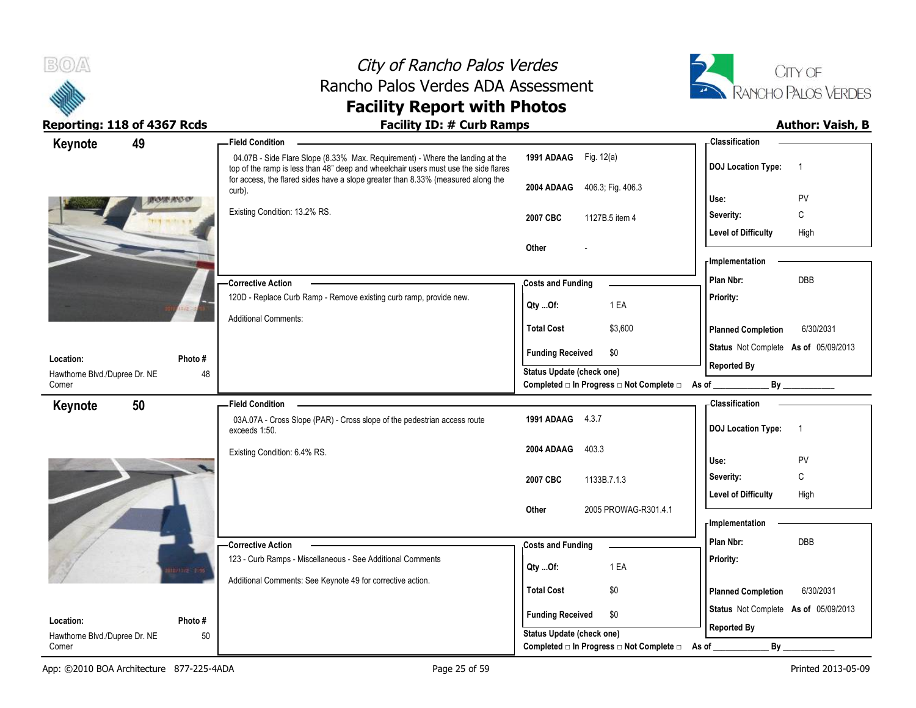



| Keynote                                 | 49 |        | <b>Field Condition</b>                                                                                                                                               |                                                  | - Classification                            |
|-----------------------------------------|----|--------|----------------------------------------------------------------------------------------------------------------------------------------------------------------------|--------------------------------------------------|---------------------------------------------|
|                                         |    |        | 04.07B - Side Flare Slope (8.33% Max. Requirement) - Where the landing at the<br>top of the ramp is less than 48" deep and wheelchair users must use the side flares | 1991 ADAAG Fig. 12(a)                            | <b>DOJ Location Type:</b><br>$\overline{1}$ |
|                                         |    |        | for access, the flared sides have a slope greater than 8.33% (measured along the<br>curb).                                                                           | 406.3; Fig. 406.3<br>2004 ADAAG                  | PV<br>Use:                                  |
|                                         |    |        | Existing Condition: 13.2% RS.                                                                                                                                        | 2007 CBC<br>1127B.5 item 4                       | C<br>Severity:                              |
|                                         |    |        |                                                                                                                                                                      |                                                  | <b>Level of Difficulty</b><br>High          |
|                                         |    |        |                                                                                                                                                                      | Other                                            |                                             |
|                                         |    |        |                                                                                                                                                                      |                                                  | <b>Implementation</b>                       |
|                                         |    |        | <b>Corrective Action</b>                                                                                                                                             | <b>Costs and Funding</b>                         | DBB<br>Plan Nbr:                            |
|                                         |    |        | 120D - Replace Curb Ramp - Remove existing curb ramp, provide new.                                                                                                   | 1 EA<br>Qty Of:                                  | Priority:                                   |
|                                         |    |        | <b>Additional Comments:</b>                                                                                                                                          | <b>Total Cost</b><br>\$3,600                     | <b>Planned Completion</b><br>6/30/2031      |
|                                         |    |        |                                                                                                                                                                      | <b>Funding Received</b><br>\$0                   | Status Not Complete As of 05/09/2013        |
| Location:                               |    | Photo# |                                                                                                                                                                      | <b>Status Update (check one)</b>                 | <b>Reported By</b>                          |
| Hawthorne Blvd./Dupree Dr. NE<br>Corner |    | 48     |                                                                                                                                                                      | Completed □ In Progress □ Not Complete □ As of _ | By                                          |
| Keynote                                 | 50 |        | <b>Field Condition</b>                                                                                                                                               |                                                  | <b>Classification</b>                       |
|                                         |    |        | 03A.07A - Cross Slope (PAR) - Cross slope of the pedestrian access route<br>exceeds 1:50.                                                                            | 1991 ADAAG 4.3.7                                 | <b>DOJ Location Type:</b><br>$\overline{1}$ |
|                                         |    |        | Existing Condition: 6.4% RS.                                                                                                                                         | 2004 ADAAG<br>403.3                              |                                             |
|                                         |    |        |                                                                                                                                                                      |                                                  | Use:<br>PV                                  |
|                                         |    |        |                                                                                                                                                                      | 2007 CBC<br>1133B.7.1.3                          | C<br>Severity:                              |
|                                         |    |        |                                                                                                                                                                      | 2005 PROWAG-R301.4.1<br>Other                    | <b>Level of Difficulty</b><br>High          |
|                                         |    |        |                                                                                                                                                                      |                                                  | <b>Implementation</b>                       |
|                                         |    |        | -Corrective Action                                                                                                                                                   | <b>Costs and Funding</b>                         | DBB<br>Plan Nbr:                            |
|                                         |    |        | 123 - Curb Ramps - Miscellaneous - See Additional Comments                                                                                                           |                                                  | Priority:                                   |
|                                         |    |        | Additional Comments: See Keynote 49 for corrective action.                                                                                                           | 1 EA<br>Qty Of:                                  |                                             |
|                                         |    |        |                                                                                                                                                                      | <b>Total Cost</b><br>\$0                         | <b>Planned Completion</b><br>6/30/2031      |
|                                         |    |        |                                                                                                                                                                      | <b>Funding Received</b><br>\$0                   | Status Not Complete As of 05/09/2013        |
| Location:                               |    | Photo# |                                                                                                                                                                      | Status Update (check one)                        | <b>Reported By</b>                          |
| Hawthorne Blvd./Dupree Dr. NE<br>Corner |    | 50     |                                                                                                                                                                      | Completed □ In Progress □ Not Complete □         | By<br>As of                                 |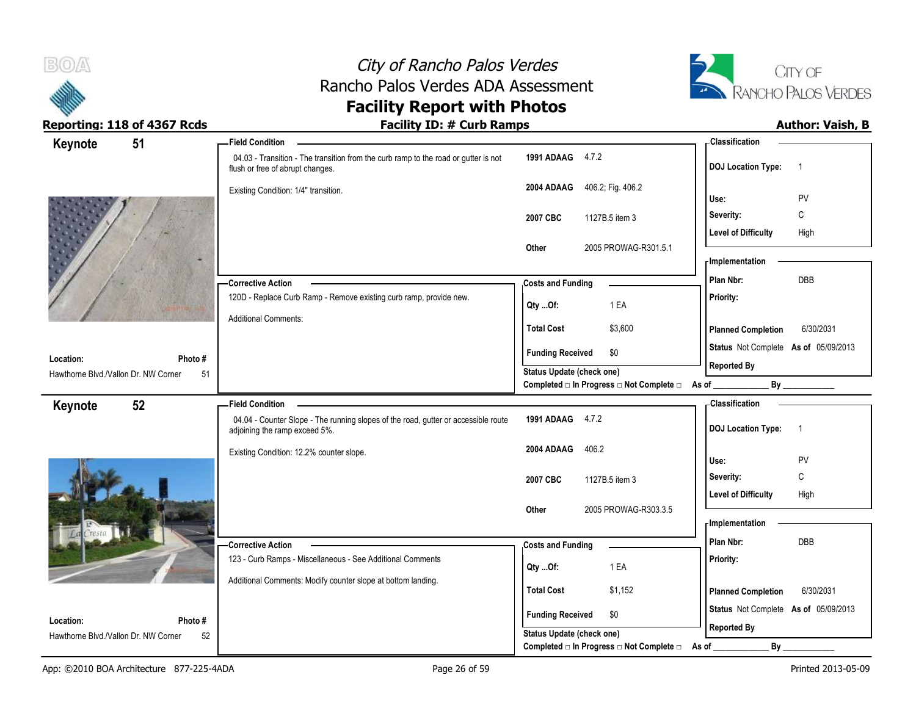



| Keynote<br>51                              | -Field Condition                                                                                                        |                                                                               | - Classification                            |
|--------------------------------------------|-------------------------------------------------------------------------------------------------------------------------|-------------------------------------------------------------------------------|---------------------------------------------|
|                                            | 04.03 - Transition - The transition from the curb ramp to the road or gutter is not<br>flush or free of abrupt changes. | 1991 ADAAG 4.7.2                                                              | <b>DOJ</b> Location Type:<br>$\overline{1}$ |
|                                            | Existing Condition: 1/4" transition.                                                                                    | 406.2; Fig. 406.2<br>2004 ADAAG                                               | PV<br>Use:                                  |
|                                            |                                                                                                                         | 1127B.5 item 3<br>2007 CBC                                                    | C<br>Severity:                              |
|                                            |                                                                                                                         |                                                                               | High<br><b>Level of Difficulty</b>          |
|                                            |                                                                                                                         | 2005 PROWAG-R301.5.1<br>Other                                                 | - Implementation                            |
|                                            | <b>Corrective Action</b>                                                                                                | <b>Costs and Funding</b>                                                      | DBB<br>Plan Nbr:                            |
|                                            | 120D - Replace Curb Ramp - Remove existing curb ramp, provide new.                                                      | 1 EA<br>Qty Of:                                                               | Priority:                                   |
|                                            | <b>Additional Comments:</b>                                                                                             | <b>Total Cost</b><br>\$3,600                                                  | <b>Planned Completion</b><br>6/30/2031      |
| Location:<br>Photo#                        |                                                                                                                         | <b>Funding Received</b><br>\$0                                                | Status Not Complete As of 05/09/2013        |
| Hawthorne Blvd./Vallon Dr. NW Corner<br>51 |                                                                                                                         | Status Update (check one)<br>Completed □ In Progress □ Not Complete □ As of _ | <b>Reported By</b>                          |
| 52                                         | <b>Field Condition</b>                                                                                                  |                                                                               | - Classification                            |
| Keynote                                    | 04.04 - Counter Slope - The running slopes of the road, gutter or accessible route<br>adjoining the ramp exceed 5%.     | 1991 ADAAG 4.7.2                                                              | <b>DOJ</b> Location Type:<br>$\overline{1}$ |
|                                            |                                                                                                                         | 406.2<br>2004 ADAAG                                                           |                                             |
|                                            | Existing Condition: 12.2% counter slope.                                                                                |                                                                               | Use:<br>PV                                  |
|                                            |                                                                                                                         |                                                                               | C<br>Severity:                              |
|                                            |                                                                                                                         | 2007 CBC<br>1127B.5 item 3                                                    | <b>Level of Difficulty</b><br>High          |
|                                            |                                                                                                                         | 2005 PROWAG-R303.3.5<br>Other                                                 |                                             |
|                                            |                                                                                                                         |                                                                               | - Implementation<br>Plan Nbr:<br><b>DBB</b> |
|                                            | -Corrective Action<br>123 - Curb Ramps - Miscellaneous - See Additional Comments                                        | <b>Costs and Funding</b>                                                      | Priority:                                   |
|                                            |                                                                                                                         | 1 EA<br>Qty Of:                                                               |                                             |
|                                            | Additional Comments: Modify counter slope at bottom landing.                                                            | <b>Total Cost</b><br>\$1,152                                                  | 6/30/2031<br><b>Planned Completion</b>      |
| Location:<br>Photo#                        |                                                                                                                         | <b>Funding Received</b><br>\$0                                                | Status Not Complete As of 05/09/2013        |
| Hawthorne Blvd./Vallon Dr. NW Corner<br>52 |                                                                                                                         | Status Update (check one)<br>Completed □ In Progress □ Not Complete □         | <b>Reported By</b><br>By<br>As of           |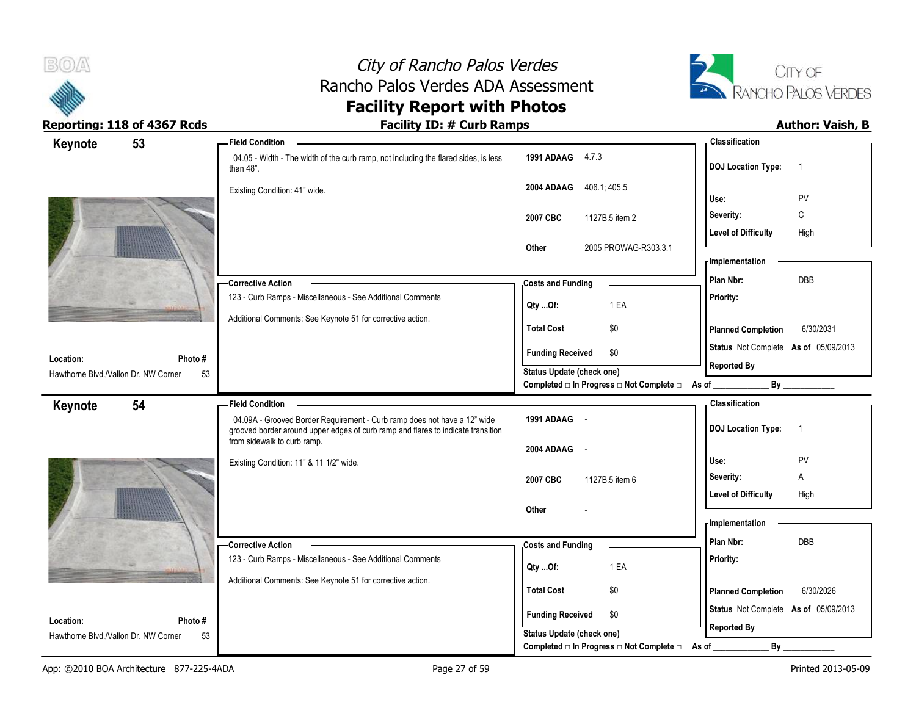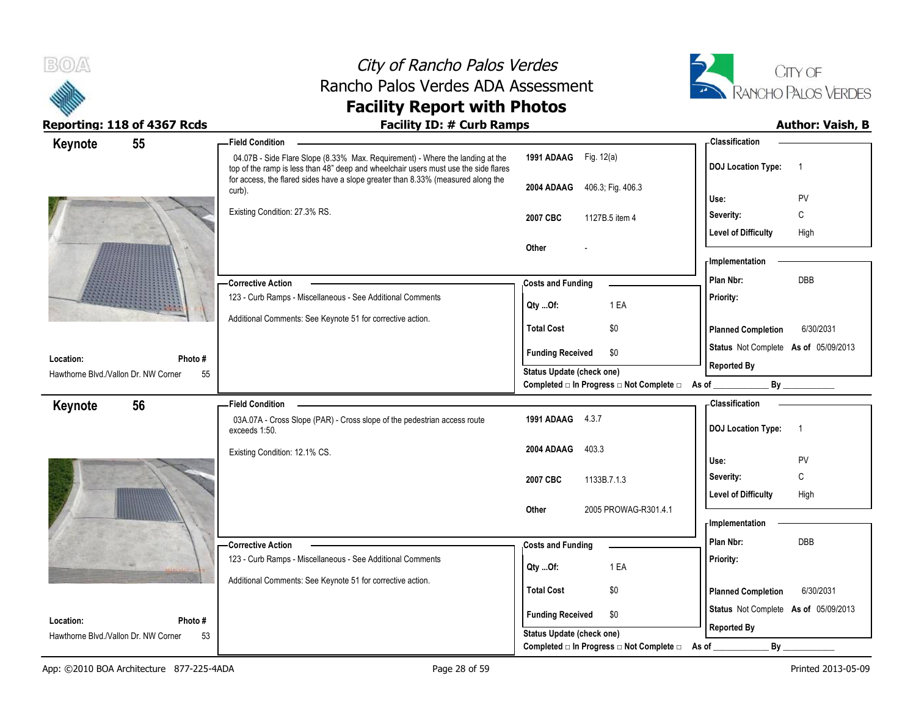



| Keynote                                           | 55            | <b>Field Condition</b>                                                                                                                                               |                                                                       | <b>Classification</b>                       |
|---------------------------------------------------|---------------|----------------------------------------------------------------------------------------------------------------------------------------------------------------------|-----------------------------------------------------------------------|---------------------------------------------|
|                                                   |               | 04.07B - Side Flare Slope (8.33% Max. Requirement) - Where the landing at the<br>top of the ramp is less than 48" deep and wheelchair users must use the side flares | 1991 ADAAG Fig. 12(a)                                                 | <b>DOJ Location Type:</b><br>$\overline{1}$ |
|                                                   |               | for access, the flared sides have a slope greater than 8.33% (measured along the<br>curb).                                                                           | 2004 ADAAG 406.3; Fig. 406.3                                          |                                             |
|                                                   |               | Existing Condition: 27.3% RS.                                                                                                                                        |                                                                       | Use:<br>PV                                  |
|                                                   |               |                                                                                                                                                                      | 2007 CBC<br>1127B.5 item 4                                            | C<br>Severity:                              |
|                                                   |               |                                                                                                                                                                      |                                                                       | <b>Level of Difficulty</b><br>High          |
|                                                   |               |                                                                                                                                                                      | Other                                                                 | - Implementation                            |
|                                                   |               |                                                                                                                                                                      |                                                                       | Plan Nbr:<br>DBB                            |
|                                                   |               | -Corrective Action<br>123 - Curb Ramps - Miscellaneous - See Additional Comments                                                                                     | <b>Costs and Funding</b>                                              |                                             |
|                                                   |               |                                                                                                                                                                      | Qty Of:<br>1 EA                                                       | Priority:                                   |
|                                                   |               | Additional Comments: See Keynote 51 for corrective action.                                                                                                           | <b>Total Cost</b><br>\$0                                              | <b>Planned Completion</b><br>6/30/2031      |
|                                                   |               |                                                                                                                                                                      | <b>Funding Received</b><br>\$0                                        | Status Not Complete As of 05/09/2013        |
| Location:<br>Hawthorne Blvd./Vallon Dr. NW Corner | Photo #<br>55 |                                                                                                                                                                      | Status Update (check one)                                             | <b>Reported By</b>                          |
|                                                   |               |                                                                                                                                                                      | Completed □ In Progress □ Not Complete □ As of                        | By                                          |
| Keynote                                           | 56            | <b>Field Condition</b>                                                                                                                                               |                                                                       | <b>Classification</b>                       |
|                                                   |               | 03A.07A - Cross Slope (PAR) - Cross slope of the pedestrian access route<br>exceeds 1:50.                                                                            | 1991 ADAAG 4.3.7                                                      | <b>DOJ Location Type:</b><br>$\overline{1}$ |
|                                                   |               | Existing Condition: 12.1% CS.                                                                                                                                        | 2004 ADAAG<br>403.3                                                   |                                             |
|                                                   |               |                                                                                                                                                                      |                                                                       | Use:<br><b>PV</b>                           |
|                                                   |               |                                                                                                                                                                      | 2007 CBC<br>1133B.7.1.3                                               | C<br>Severity:                              |
|                                                   |               |                                                                                                                                                                      |                                                                       | <b>Level of Difficulty</b><br>High          |
|                                                   |               |                                                                                                                                                                      | 2005 PROWAG-R301.4.1<br>Other                                         | - Implementation                            |
|                                                   |               |                                                                                                                                                                      |                                                                       |                                             |
|                                                   |               | -Corrective Action                                                                                                                                                   | <b>Costs and Funding</b>                                              | Plan Nbr:<br><b>DBB</b>                     |
|                                                   |               | 123 - Curb Ramps - Miscellaneous - See Additional Comments                                                                                                           | 1 EA<br>Qty Of:                                                       | Priority:                                   |
|                                                   |               | Additional Comments: See Keynote 51 for corrective action.                                                                                                           | <b>Total Cost</b><br>\$0                                              | 6/30/2031                                   |
|                                                   |               |                                                                                                                                                                      |                                                                       | <b>Planned Completion</b>                   |
|                                                   |               |                                                                                                                                                                      |                                                                       | Status Not Complete As of 05/09/2013        |
| Location:                                         | Photo #       |                                                                                                                                                                      | <b>Funding Received</b><br>\$0                                        |                                             |
| Hawthorne Blvd./Vallon Dr. NW Corner              | 53            |                                                                                                                                                                      | Status Update (check one)<br>Completed □ In Progress □ Not Complete □ | <b>Reported By</b><br>By                    |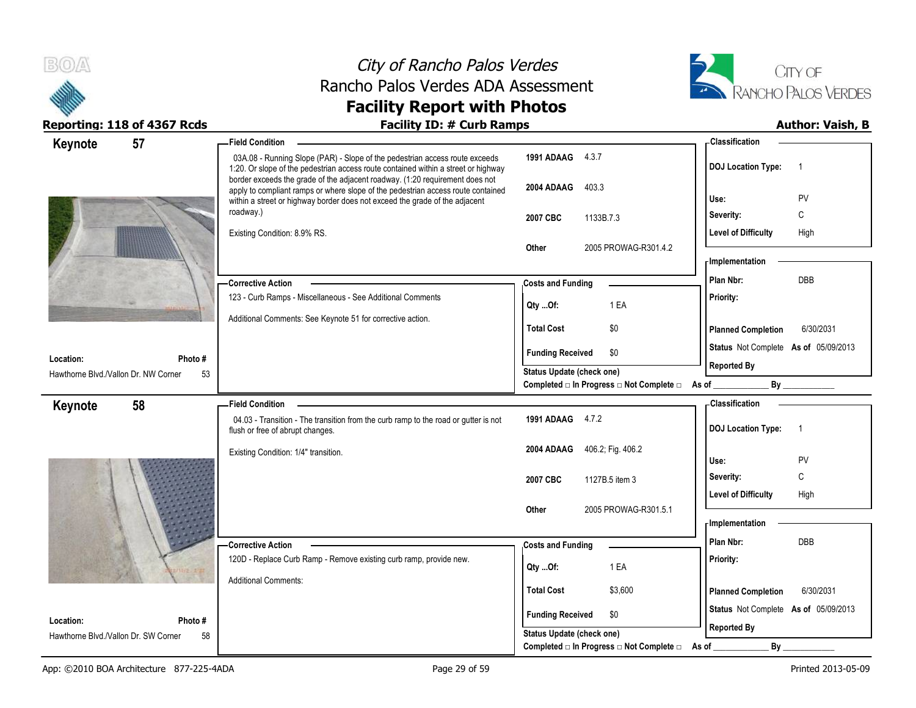



| 57<br>Keynote                                     |               | <b>Field Condition</b>                                                                                                                                            |                                                                    | - Classification                            |
|---------------------------------------------------|---------------|-------------------------------------------------------------------------------------------------------------------------------------------------------------------|--------------------------------------------------------------------|---------------------------------------------|
|                                                   |               | 03A.08 - Running Slope (PAR) - Slope of the pedestrian access route exceeds<br>1:20. Or slope of the pedestrian access route contained within a street or highway | 1991 ADAAG 4.3.7                                                   | <b>DOJ Location Type:</b><br>$\overline{1}$ |
|                                                   |               | border exceeds the grade of the adjacent roadway. (1:20 requirement does not<br>apply to compliant ramps or where slope of the pedestrian access route contained  | 2004 ADAAG<br>403.3                                                | PV<br>Use:                                  |
|                                                   |               | within a street or highway border does not exceed the grade of the adjacent<br>roadway.)                                                                          |                                                                    | Severity:<br>С                              |
|                                                   |               |                                                                                                                                                                   | 2007 CBC<br>1133B.7.3                                              | <b>Level of Difficulty</b>                  |
|                                                   |               | Existing Condition: 8.9% RS.                                                                                                                                      | 2005 PROWAG-R301.4.2<br>Other                                      | High                                        |
|                                                   |               |                                                                                                                                                                   |                                                                    | - Implementation                            |
|                                                   |               | -Corrective Action                                                                                                                                                | <b>Costs and Funding</b>                                           | <b>DBB</b><br>Plan Nbr:                     |
|                                                   |               | 123 - Curb Ramps - Miscellaneous - See Additional Comments                                                                                                        |                                                                    | Priority:                                   |
|                                                   |               | Additional Comments: See Keynote 51 for corrective action.                                                                                                        | 1 EA<br>Qty Of:                                                    |                                             |
|                                                   |               |                                                                                                                                                                   | <b>Total Cost</b><br>\$0                                           | <b>Planned Completion</b><br>6/30/2031      |
|                                                   |               |                                                                                                                                                                   | <b>Funding Received</b><br>\$0                                     | Status Not Complete As of 05/09/2013        |
| Location:<br>Hawthorne Blvd./Vallon Dr. NW Corner | Photo #<br>53 |                                                                                                                                                                   | <b>Status Update (check one)</b>                                   | <b>Reported By</b>                          |
|                                                   |               |                                                                                                                                                                   | Completed □ In Progress □ Not Complete □ As of _                   |                                             |
| 58<br>Keynote                                     |               | <b>Field Condition</b>                                                                                                                                            |                                                                    | - Classification                            |
|                                                   |               | 04.03 - Transition - The transition from the curb ramp to the road or gutter is not<br>flush or free of abrupt changes.                                           | 1991 ADAAG 4.7.2                                                   | <b>DOJ Location Type:</b><br>$\overline{1}$ |
|                                                   |               | Existing Condition: 1/4" transition.                                                                                                                              | 2004 ADAAG<br>406.2; Fig. 406.2                                    |                                             |
|                                                   |               |                                                                                                                                                                   |                                                                    | Use:<br>PV<br>C                             |
|                                                   |               |                                                                                                                                                                   | 2007 CBC<br>1127B.5 item 3                                         | Severity:                                   |
|                                                   |               |                                                                                                                                                                   | 2005 PROWAG-R301.5.1<br>Other                                      | <b>Level of Difficulty</b><br>High          |
|                                                   |               |                                                                                                                                                                   |                                                                    | - Implementation                            |
|                                                   |               | - Corrective Action                                                                                                                                               | <b>Costs and Funding</b>                                           | Plan Nbr:<br>DBB                            |
|                                                   |               | 120D - Replace Curb Ramp - Remove existing curb ramp, provide new.                                                                                                |                                                                    | Priority:                                   |
|                                                   |               | <b>Additional Comments:</b>                                                                                                                                       | 1 EA<br>Qty Of:                                                    |                                             |
|                                                   |               |                                                                                                                                                                   | <b>Total Cost</b><br>\$3,600                                       | 6/30/2031<br><b>Planned Completion</b>      |
|                                                   |               |                                                                                                                                                                   |                                                                    | Status Not Complete As of 05/09/2013        |
|                                                   |               |                                                                                                                                                                   |                                                                    |                                             |
| Location:<br>Hawthorne Blvd./Vallon Dr. SW Corner | Photo#<br>58  |                                                                                                                                                                   | <b>Funding Received</b><br>\$0<br><b>Status Update (check one)</b> | <b>Reported By</b>                          |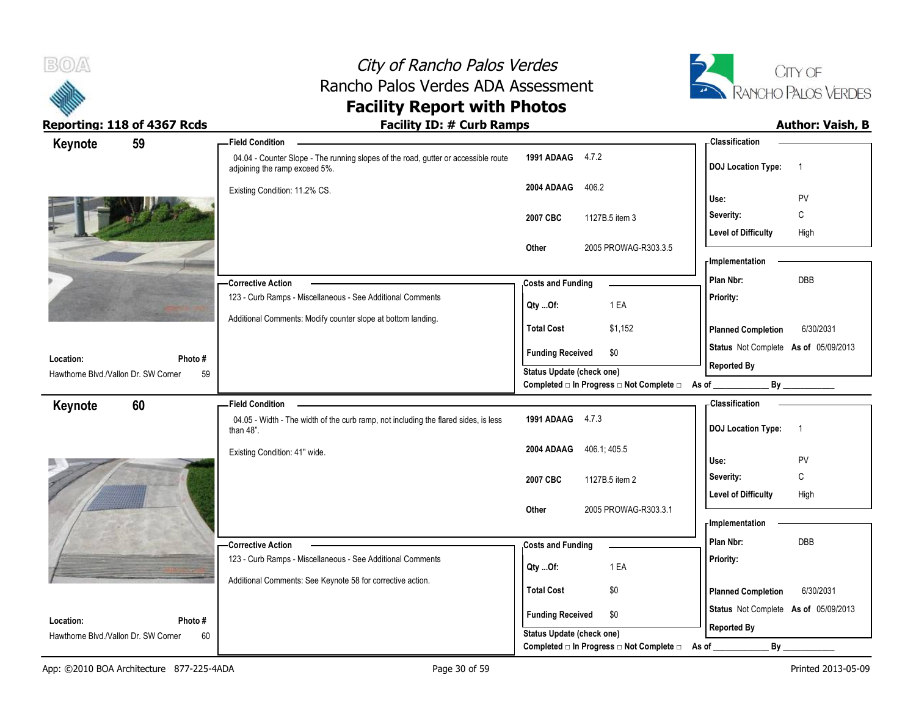



| Keynote                                           | 59           | <b>Field Condition</b>                                                                                              |                                                                              | <b>Classification</b>                       |
|---------------------------------------------------|--------------|---------------------------------------------------------------------------------------------------------------------|------------------------------------------------------------------------------|---------------------------------------------|
|                                                   |              | 04.04 - Counter Slope - The running slopes of the road, gutter or accessible route<br>adjoining the ramp exceed 5%. | 1991 ADAAG 4.7.2                                                             | <b>DOJ Location Type:</b><br>$\overline{1}$ |
|                                                   |              | Existing Condition: 11.2% CS.                                                                                       | 2004 ADAAG<br>406.2                                                          | Use:<br>PV                                  |
|                                                   |              |                                                                                                                     |                                                                              | С                                           |
|                                                   |              |                                                                                                                     | 2007 CBC<br>1127B.5 item 3                                                   | Severity:                                   |
|                                                   |              |                                                                                                                     | 2005 PROWAG-R303.3.5<br>Other                                                | <b>Level of Difficulty</b><br>High          |
|                                                   |              |                                                                                                                     |                                                                              | - Implementation                            |
|                                                   |              | <b>Corrective Action</b>                                                                                            | <b>Costs and Funding</b>                                                     | DBB<br>Plan Nbr:                            |
|                                                   |              | 123 - Curb Ramps - Miscellaneous - See Additional Comments                                                          |                                                                              | Priority:                                   |
|                                                   |              | Additional Comments: Modify counter slope at bottom landing.                                                        | 1 EA<br>Qty Of:                                                              |                                             |
|                                                   |              |                                                                                                                     | <b>Total Cost</b><br>\$1,152                                                 | <b>Planned Completion</b><br>6/30/2031      |
|                                                   |              |                                                                                                                     | <b>Funding Received</b><br>\$0                                               | Status Not Complete As of 05/09/2013        |
| Location:<br>Hawthorne Blvd./Vallon Dr. SW Corner | Photo#<br>59 |                                                                                                                     | <b>Status Update (check one)</b>                                             | <b>Reported By</b>                          |
|                                                   |              |                                                                                                                     | Completed □ In Progress □ Not Complete □ As of _                             | By                                          |
| Keynote                                           | 60           | <b>Field Condition</b>                                                                                              |                                                                              | - Classification                            |
|                                                   |              | 04.05 - Width - The width of the curb ramp, not including the flared sides, is less<br>than 48".                    | 1991 ADAAG 4.7.3                                                             | <b>DOJ Location Type:</b><br>$\overline{1}$ |
|                                                   |              | Existing Condition: 41" wide.                                                                                       | 406.1; 405.5<br>2004 ADAAG                                                   |                                             |
|                                                   |              |                                                                                                                     |                                                                              | Use:<br>PV<br>C<br>Severity:                |
|                                                   |              |                                                                                                                     | 2007 CBC<br>1127B.5 item 2                                                   | <b>Level of Difficulty</b><br>High          |
|                                                   |              |                                                                                                                     | 2005 PROWAG-R303.3.1<br>Other                                                |                                             |
|                                                   |              |                                                                                                                     |                                                                              | - Implementation                            |
|                                                   |              | - Corrective Action                                                                                                 | <b>Costs and Funding</b>                                                     | Plan Nbr:<br><b>DBB</b>                     |
|                                                   |              | 123 - Curb Ramps - Miscellaneous - See Additional Comments                                                          |                                                                              | Priority:                                   |
|                                                   |              |                                                                                                                     |                                                                              |                                             |
|                                                   |              |                                                                                                                     | 1 EA<br>Qty Of:                                                              |                                             |
|                                                   |              | Additional Comments: See Keynote 58 for corrective action.                                                          | <b>Total Cost</b><br>\$0                                                     | <b>Planned Completion</b><br>6/30/2031      |
| Location:                                         | Photo#       |                                                                                                                     | <b>Funding Received</b><br>\$0                                               | Status Not Complete As of 05/09/2013        |
| Hawthorne Blvd./Vallon Dr. SW Corner              | 60           |                                                                                                                     | <b>Status Update (check one)</b><br>Completed □ In Progress □ Not Complete □ | <b>Reported By</b><br>By<br>As of           |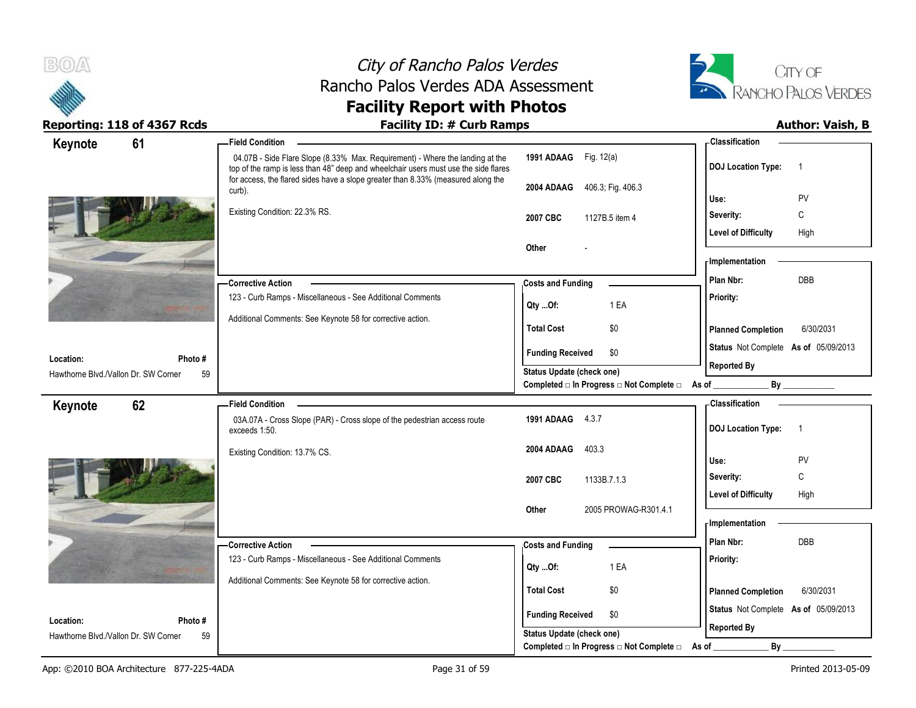

# City of Rancho Palos Verdes Rancho Palos Verdes ADA Assessment



## **Facility Report with Photos**

| Keynote                                           | 61            | <b>Field Condition</b>                                                                                                                                                                                                                                   |                                                                              | <b>Classification</b>                       |
|---------------------------------------------------|---------------|----------------------------------------------------------------------------------------------------------------------------------------------------------------------------------------------------------------------------------------------------------|------------------------------------------------------------------------------|---------------------------------------------|
|                                                   |               | 04.07B - Side Flare Slope (8.33% Max. Requirement) - Where the landing at the<br>top of the ramp is less than 48" deep and wheelchair users must use the side flares<br>for access, the flared sides have a slope greater than 8.33% (measured along the | 1991 ADAAG Fig. 12(a)                                                        | <b>DOJ</b> Location Type:<br>$\overline{1}$ |
|                                                   |               | curb).                                                                                                                                                                                                                                                   | 2004 ADAAG<br>406.3; Fig. 406.3                                              | Use:<br>PV                                  |
|                                                   |               | Existing Condition: 22.3% RS.                                                                                                                                                                                                                            |                                                                              | С<br>Severity:                              |
|                                                   |               |                                                                                                                                                                                                                                                          | 2007 CBC<br>1127B.5 item 4                                                   | <b>Level of Difficulty</b><br>High          |
|                                                   |               |                                                                                                                                                                                                                                                          | Other                                                                        |                                             |
|                                                   |               |                                                                                                                                                                                                                                                          |                                                                              | - Implementation                            |
|                                                   |               | <b>Corrective Action</b>                                                                                                                                                                                                                                 | <b>Costs and Funding</b>                                                     | DBB<br>Plan Nbr:                            |
|                                                   |               | 123 - Curb Ramps - Miscellaneous - See Additional Comments                                                                                                                                                                                               | 1 EA<br>Qty Of:                                                              | Priority:                                   |
|                                                   |               | Additional Comments: See Keynote 58 for corrective action.                                                                                                                                                                                               | <b>Total Cost</b><br>\$0                                                     | <b>Planned Completion</b><br>6/30/2031      |
|                                                   |               |                                                                                                                                                                                                                                                          | <b>Funding Received</b><br>\$0                                               | Status Not Complete As of 05/09/2013        |
| Location:<br>Hawthorne Blvd./Vallon Dr. SW Corner | Photo #<br>59 |                                                                                                                                                                                                                                                          | <b>Status Update (check one)</b>                                             | <b>Reported By</b>                          |
|                                                   |               |                                                                                                                                                                                                                                                          | Completed $\square$ In Progress $\square$ Not Complete $\square$ As of _     | By                                          |
| Keynote                                           | 62            | <b>Field Condition</b>                                                                                                                                                                                                                                   |                                                                              | - Classification                            |
|                                                   |               | 03A.07A - Cross Slope (PAR) - Cross slope of the pedestrian access route<br>exceeds 1:50.                                                                                                                                                                | 1991 ADAAG 4.3.7                                                             | <b>DOJ Location Type:</b><br>$\overline{1}$ |
|                                                   |               | Existing Condition: 13.7% CS.                                                                                                                                                                                                                            | 2004 ADAAG<br>403.3                                                          | Use:<br>PV                                  |
|                                                   |               |                                                                                                                                                                                                                                                          |                                                                              | Severity:<br>C                              |
|                                                   |               |                                                                                                                                                                                                                                                          | 2007 CBC<br>1133B.7.1.3                                                      | <b>Level of Difficulty</b><br>High          |
|                                                   |               |                                                                                                                                                                                                                                                          | 2005 PROWAG-R301.4.1<br>Other                                                |                                             |
|                                                   |               |                                                                                                                                                                                                                                                          |                                                                              | <b>Implementation</b>                       |
|                                                   |               | -Corrective Action                                                                                                                                                                                                                                       | <b>Costs and Funding</b>                                                     | Plan Nbr:<br><b>DBB</b>                     |
|                                                   |               | 123 - Curb Ramps - Miscellaneous - See Additional Comments                                                                                                                                                                                               | 1 EA<br>Qty Of:                                                              | Priority:                                   |
|                                                   |               | Additional Comments: See Keynote 58 for corrective action.                                                                                                                                                                                               |                                                                              |                                             |
|                                                   |               |                                                                                                                                                                                                                                                          | <b>Total Cost</b><br>\$0                                                     | 6/30/2031<br><b>Planned Completion</b>      |
|                                                   |               |                                                                                                                                                                                                                                                          |                                                                              |                                             |
| Location:                                         | Photo #       |                                                                                                                                                                                                                                                          | <b>Funding Received</b><br>\$0                                               | Status Not Complete As of 05/09/2013        |
| Hawthorne Blvd./Vallon Dr. SW Corner              | 59            |                                                                                                                                                                                                                                                          | <b>Status Update (check one)</b><br>Completed □ In Progress □ Not Complete □ | <b>Reported By</b><br>By<br>As of           |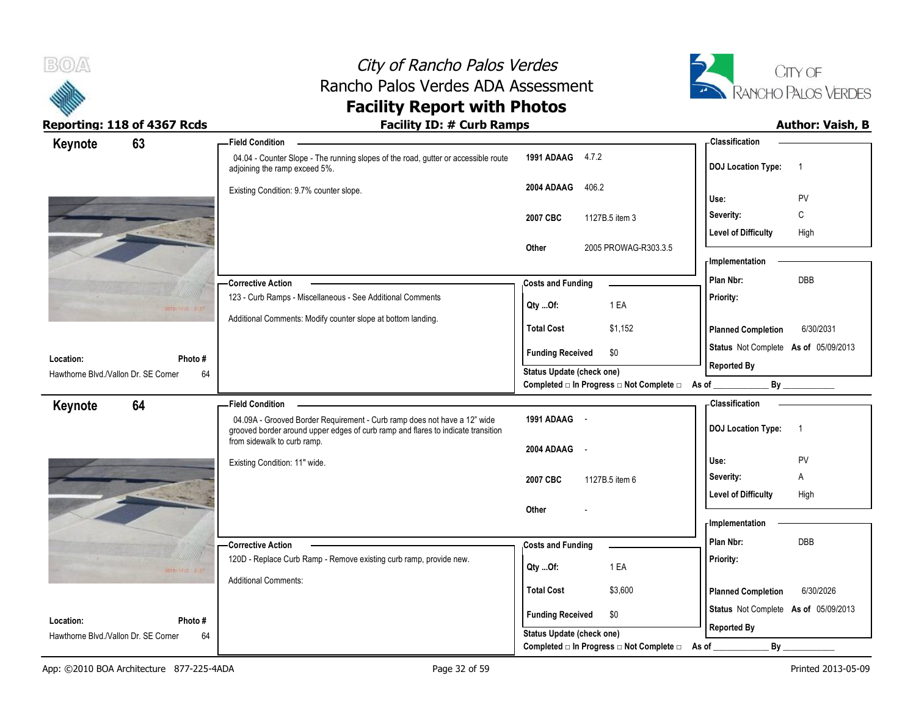



| Keynote                                           | 63                | <b>Field Condition</b>                                                                                                                                       |                                                        | - Classification                            |
|---------------------------------------------------|-------------------|--------------------------------------------------------------------------------------------------------------------------------------------------------------|--------------------------------------------------------|---------------------------------------------|
|                                                   |                   | 04.04 - Counter Slope - The running slopes of the road, gutter or accessible route<br>adjoining the ramp exceed 5%.                                          | 1991 ADAAG 4.7.2                                       | <b>DOJ Location Type:</b><br>$\overline{1}$ |
|                                                   |                   | Existing Condition: 9.7% counter slope.                                                                                                                      | 2004 ADAAG<br>406.2                                    | PV<br>Use:                                  |
|                                                   |                   |                                                                                                                                                              | 2007 CBC<br>1127B.5 item 3                             | C<br>Severity:                              |
|                                                   |                   |                                                                                                                                                              |                                                        | <b>Level of Difficulty</b><br>High          |
|                                                   |                   |                                                                                                                                                              | 2005 PROWAG-R303.3.5<br>Other                          |                                             |
|                                                   |                   |                                                                                                                                                              |                                                        | <b>Implementation</b>                       |
|                                                   |                   | -Corrective Action                                                                                                                                           | <b>Costs and Funding</b>                               | DBB<br>Plan Nbr:                            |
|                                                   | $20100002 = 2.27$ | 123 - Curb Ramps - Miscellaneous - See Additional Comments                                                                                                   | 1 EA<br>Qty Of:                                        | Priority:                                   |
|                                                   |                   | Additional Comments: Modify counter slope at bottom landing.                                                                                                 | \$1,152<br><b>Total Cost</b>                           | <b>Planned Completion</b><br>6/30/2031      |
|                                                   |                   |                                                                                                                                                              | \$0<br><b>Funding Received</b>                         | Status Not Complete As of 05/09/2013        |
| Location:<br>Hawthorne Blvd./Vallon Dr. SE Corner | Photo#<br>64      |                                                                                                                                                              | <b>Status Update (check one)</b>                       | <b>Reported By</b>                          |
|                                                   |                   |                                                                                                                                                              | Completed □ In Progress □ Not Complete □ As of _______ | By                                          |
| Keynote                                           | 64                | <b>Field Condition</b>                                                                                                                                       |                                                        | <b>Classification</b>                       |
|                                                   |                   | 04.09A - Grooved Border Requirement - Curb ramp does not have a 12" wide<br>grooved border around upper edges of curb ramp and flares to indicate transition | 1991 ADAAG -                                           | <b>DOJ Location Type:</b><br>$\overline{1}$ |
|                                                   |                   | from sidewalk to curb ramp.                                                                                                                                  | 2004 ADAAG -                                           |                                             |
|                                                   |                   | Existing Condition: 11" wide.                                                                                                                                |                                                        | Use:<br>PV                                  |
|                                                   |                   |                                                                                                                                                              | 2007 CBC<br>1127B.5 item 6                             | Severity:<br>Α                              |
|                                                   |                   |                                                                                                                                                              |                                                        | <b>Level of Difficulty</b><br>High          |
|                                                   |                   |                                                                                                                                                              | Other                                                  | - Implementation                            |
|                                                   |                   |                                                                                                                                                              |                                                        | DBB<br>Plan Nbr:                            |
|                                                   |                   | <b>Corrective Action</b><br>120D - Replace Curb Ramp - Remove existing curb ramp, provide new.                                                               | <b>Costs and Funding</b>                               | Priority:                                   |
|                                                   |                   |                                                                                                                                                              | 1 EA<br>Qty Of:                                        |                                             |
|                                                   | manne a ri        |                                                                                                                                                              |                                                        |                                             |
|                                                   |                   | <b>Additional Comments:</b>                                                                                                                                  | <b>Total Cost</b><br>\$3,600                           | 6/30/2026<br><b>Planned Completion</b>      |
|                                                   |                   |                                                                                                                                                              | <b>Funding Received</b><br>\$0                         | Status Not Complete As of 05/09/2013        |
| Location:<br>Hawthorne Blvd./Vallon Dr. SE Corner | Photo #<br>64     |                                                                                                                                                              | Status Update (check one)                              | <b>Reported By</b>                          |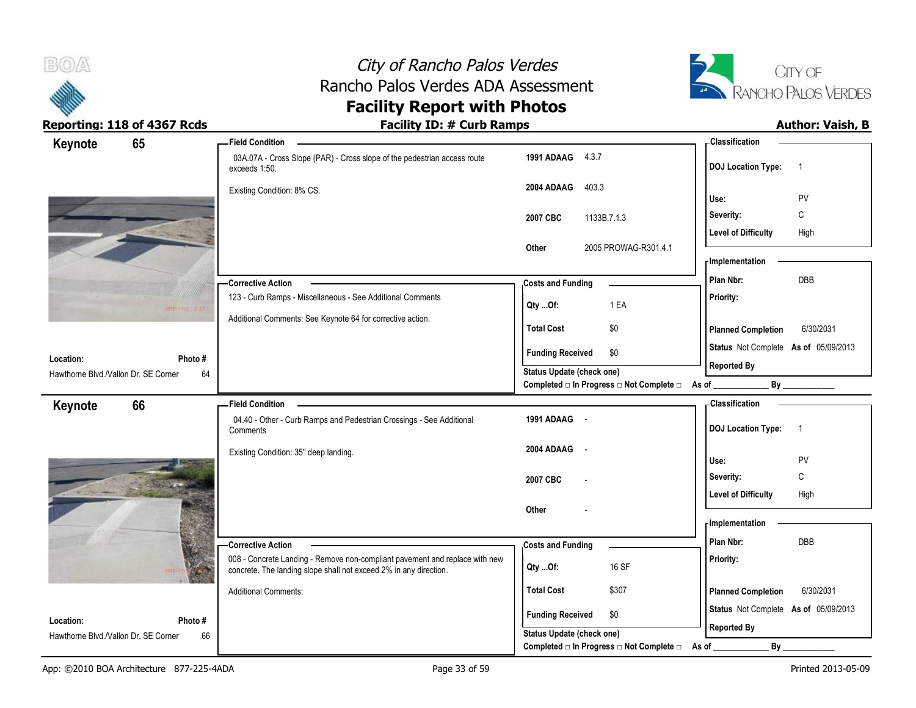



| Keynote                                           | 65              | <b>Field Condition</b>                                                                                                                           |                                                                 | - Classification                            |
|---------------------------------------------------|-----------------|--------------------------------------------------------------------------------------------------------------------------------------------------|-----------------------------------------------------------------|---------------------------------------------|
|                                                   |                 | 03A.07A - Cross Slope (PAR) - Cross slope of the pedestrian access route<br>exceeds 1:50.                                                        | 1991 ADAAG 4.3.7                                                | <b>DOJ Location Type:</b><br>$\overline{1}$ |
|                                                   |                 | Existing Condition: 8% CS.                                                                                                                       | 2004 ADAAG<br>403.3                                             | PV<br>Use:                                  |
|                                                   |                 |                                                                                                                                                  | 2007 CBC<br>1133B.7.1.3                                         | С<br>Severity:                              |
|                                                   |                 |                                                                                                                                                  |                                                                 | <b>Level of Difficulty</b><br>High          |
|                                                   |                 |                                                                                                                                                  | 2005 PROWAG-R301.4.1<br>Other                                   | - Implementation                            |
|                                                   |                 |                                                                                                                                                  |                                                                 | DBB<br>Plan Nbr:                            |
|                                                   |                 | - Corrective Action<br>123 - Curb Ramps - Miscellaneous - See Additional Comments                                                                | <b>Costs and Funding</b>                                        | Priority:                                   |
|                                                   | 2010/01/12 2:27 |                                                                                                                                                  | 1 EA<br>Qty Of:                                                 |                                             |
|                                                   |                 | Additional Comments: See Keynote 64 for corrective action.                                                                                       | <b>Total Cost</b><br>\$0                                        | <b>Planned Completion</b><br>6/30/2031      |
|                                                   |                 |                                                                                                                                                  | <b>Funding Received</b><br>\$0                                  | Status Not Complete As of 05/09/2013        |
| Location:<br>Hawthorne Blvd./Vallon Dr. SE Corner | Photo #<br>64   |                                                                                                                                                  | <b>Status Update (check one)</b>                                | <b>Reported By</b>                          |
|                                                   |                 |                                                                                                                                                  | Completed $\Box$ In Progress $\Box$ Not Complete $\Box$ As of _ | By                                          |
| Keynote                                           | 66              | <b>Field Condition</b>                                                                                                                           |                                                                 | <b>Classification</b>                       |
|                                                   |                 | 04.40 - Other - Curb Ramps and Pedestrian Crossings - See Additional<br>Comments                                                                 | 1991 ADAAG -                                                    | <b>DOJ Location Type:</b><br>$\overline{1}$ |
|                                                   |                 | Existing Condition: 35" deep landing.                                                                                                            | 2004 ADAAG -                                                    |                                             |
|                                                   |                 |                                                                                                                                                  |                                                                 | Use:<br><b>PV</b>                           |
|                                                   |                 |                                                                                                                                                  | 2007 CBC                                                        | $\mathbb C$<br>Severity:                    |
|                                                   |                 |                                                                                                                                                  | Other                                                           | <b>Level of Difficulty</b><br>High          |
|                                                   |                 |                                                                                                                                                  |                                                                 | - Implementation                            |
|                                                   |                 | -Corrective Action                                                                                                                               | <b>Costs and Funding</b>                                        | Plan Nbr:<br>DBB                            |
|                                                   |                 | 008 - Concrete Landing - Remove non-compliant pavement and replace with new<br>concrete. The landing slope shall not exceed 2% in any direction. | 16 SF<br>Qty Of:                                                | Priority:                                   |
|                                                   |                 | <b>Additional Comments:</b>                                                                                                                      | <b>Total Cost</b><br>\$307                                      | <b>Planned Completion</b><br>6/30/2031      |
| Location:                                         | Photo #         |                                                                                                                                                  | <b>Funding Received</b><br>\$0                                  | Status Not Complete As of 05/09/2013        |
|                                                   |                 |                                                                                                                                                  |                                                                 | <b>Reported By</b>                          |
| Hawthorne Blvd./Vallon Dr. SE Corner              | 66              |                                                                                                                                                  | Status Update (check one)                                       |                                             |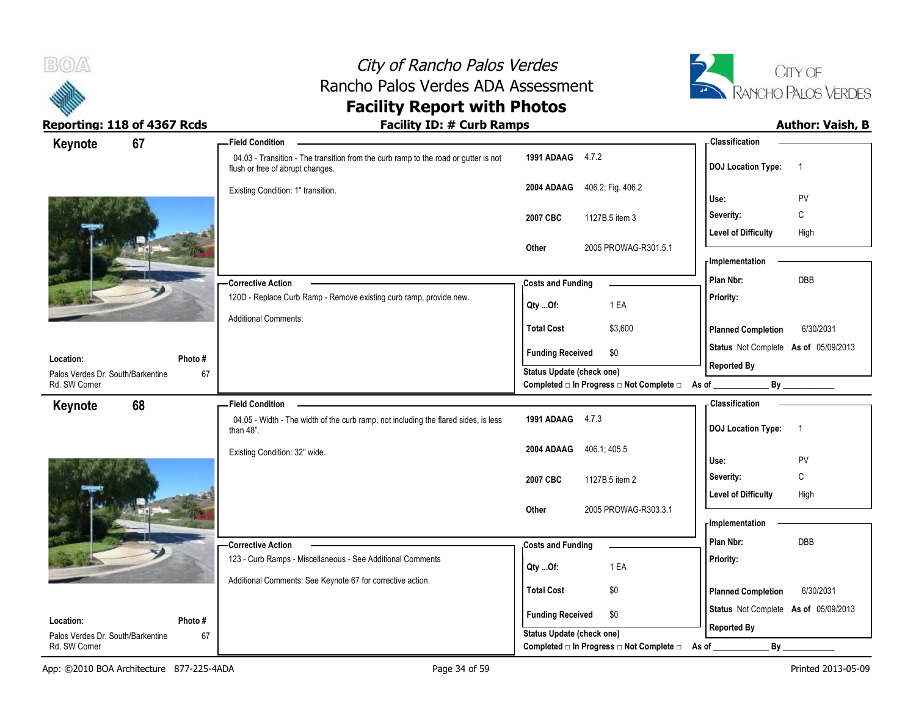



| Keynote<br>67                                            | - Field Condition                                                                                                       |                                                  | - Classification                                     |
|----------------------------------------------------------|-------------------------------------------------------------------------------------------------------------------------|--------------------------------------------------|------------------------------------------------------|
|                                                          | 04.03 - Transition - The transition from the curb ramp to the road or gutter is not<br>flush or free of abrupt changes. | 1991 ADAAG 4.7.2                                 | <b>DOJ</b> Location Type:<br>$\overline{1}$          |
|                                                          | Existing Condition: 1" transition.                                                                                      | 2004 ADAAG 406.2; Fig. 406.2                     |                                                      |
|                                                          |                                                                                                                         |                                                  | PV<br>Use:                                           |
|                                                          |                                                                                                                         | 2007 CBC<br>1127B.5 item 3                       | C<br>Severity:                                       |
|                                                          |                                                                                                                         | 2005 PROWAG-R301.5.1<br>Other                    | <b>Level of Difficulty</b><br>High                   |
|                                                          |                                                                                                                         |                                                  | - Implementation                                     |
|                                                          | <b>Corrective Action</b>                                                                                                | <b>Costs and Funding</b>                         | DBB<br>Plan Nbr:                                     |
|                                                          | 120D - Replace Curb Ramp - Remove existing curb ramp, provide new.                                                      |                                                  | Priority:                                            |
|                                                          | <b>Additional Comments:</b>                                                                                             | 1 EA<br>$Qty$ Of:                                |                                                      |
|                                                          |                                                                                                                         | \$3,600<br><b>Total Cost</b>                     | <b>Planned Completion</b><br>6/30/2031               |
|                                                          |                                                                                                                         | <b>Funding Received</b><br>\$0                   | Status Not Complete As of 05/09/2013                 |
| Location:<br>Photo#<br>Palos Verdes Dr. South/Barkentine | 67                                                                                                                      | Status Update (check one)                        | <b>Reported By</b>                                   |
| Rd. SW Corner                                            |                                                                                                                         | Completed □ In Progress □ Not Complete □ As of _ | By                                                   |
| 68<br>Keynote                                            | <b>Field Condition</b>                                                                                                  |                                                  | - Classification                                     |
|                                                          | 04.05 - Width - The width of the curb ramp, not including the flared sides, is less<br>than $48$ ".                     | 1991 ADAAG 4.7.3                                 | <b>DOJ Location Type:</b><br>$\overline{1}$          |
|                                                          | Existing Condition: 32" wide.                                                                                           | 406.1; 405.5<br>2004 ADAAG                       |                                                      |
|                                                          |                                                                                                                         |                                                  | Use:<br>PV                                           |
|                                                          |                                                                                                                         | 2007 CBC<br>1127B.5 item 2                       | C<br>Severity:<br><b>Level of Difficulty</b><br>High |
|                                                          |                                                                                                                         | 2005 PROWAG-R303.3.1<br>Other                    |                                                      |
|                                                          |                                                                                                                         |                                                  | - Implementation                                     |
|                                                          | <b>Corrective Action</b>                                                                                                | <b>Costs and Funding</b>                         | Plan Nbr:<br>DBB                                     |
|                                                          | 123 - Curb Ramps - Miscellaneous - See Additional Comments                                                              | 1 EA                                             | Priority:                                            |
|                                                          | Additional Comments: See Keynote 67 for corrective action.                                                              | Qty Of:                                          |                                                      |
|                                                          |                                                                                                                         | <b>Total Cost</b><br>\$0                         | <b>Planned Completion</b><br>6/30/2031               |
| Location:<br>Photo#                                      |                                                                                                                         | <b>Funding Received</b><br>\$0                   | Status Not Complete As of 05/09/2013                 |
| Palos Verdes Dr. South/Barkentine                        | 67                                                                                                                      | Status Update (check one)                        | <b>Reported By</b>                                   |
| Rd. SW Corner                                            |                                                                                                                         | Completed □ In Progress □ Not Complete □         | By<br>As of                                          |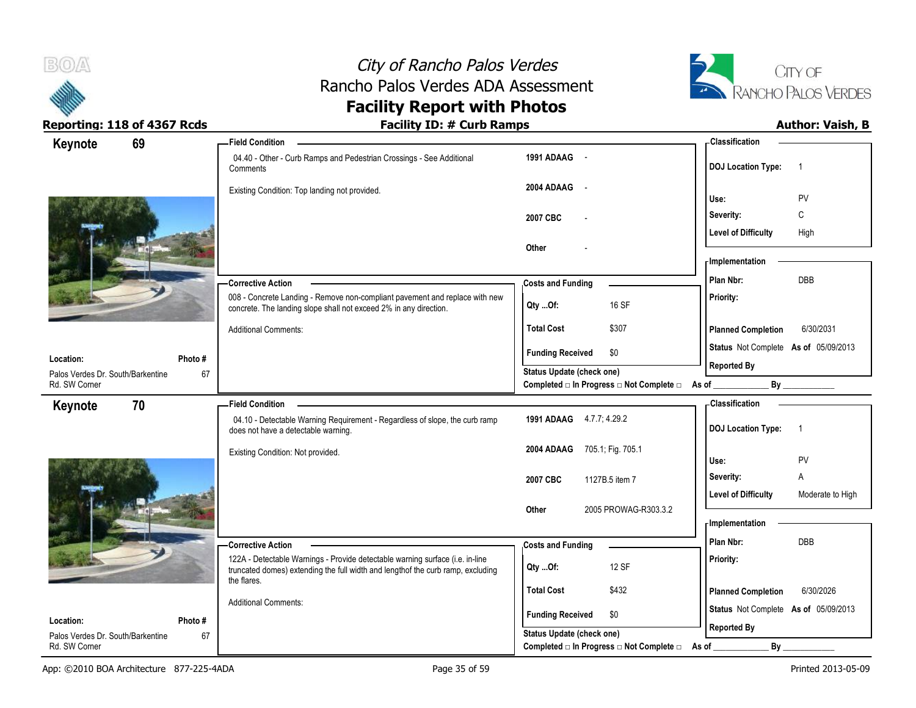



| 69<br>Keynote                                      |         | <b>Field Condition</b>                                                                                                                                           |                                                | <b>Classification</b>                          |
|----------------------------------------------------|---------|------------------------------------------------------------------------------------------------------------------------------------------------------------------|------------------------------------------------|------------------------------------------------|
|                                                    |         | 04.40 - Other - Curb Ramps and Pedestrian Crossings - See Additional<br>Comments                                                                                 | 1991 ADAAG -                                   | <b>DOJ</b> Location Type:                      |
|                                                    |         | Existing Condition: Top landing not provided.                                                                                                                    | 2004 ADAAG -                                   |                                                |
|                                                    |         |                                                                                                                                                                  |                                                | PV<br>Use:                                     |
|                                                    |         |                                                                                                                                                                  | 2007 CBC                                       | C<br>Severity:                                 |
|                                                    |         |                                                                                                                                                                  | Other                                          | High<br><b>Level of Difficulty</b>             |
|                                                    |         |                                                                                                                                                                  |                                                | - Implementation                               |
|                                                    |         | - Corrective Action                                                                                                                                              | <b>Costs and Funding</b>                       | DBB<br>Plan Nbr:                               |
|                                                    |         | 008 - Concrete Landing - Remove non-compliant pavement and replace with new                                                                                      |                                                | Priority:                                      |
|                                                    |         | concrete. The landing slope shall not exceed 2% in any direction.                                                                                                | 16 SF<br>$Qty$ Of:                             |                                                |
|                                                    |         | <b>Additional Comments:</b>                                                                                                                                      | <b>Total Cost</b><br>\$307                     | 6/30/2031<br><b>Planned Completion</b>         |
|                                                    |         |                                                                                                                                                                  | <b>Funding Received</b><br>\$0                 | Status Not Complete As of 05/09/2013           |
| Location:                                          | Photo # |                                                                                                                                                                  | Status Update (check one)                      | <b>Reported By</b>                             |
| Palos Verdes Dr. South/Barkentine<br>Rd. SW Corner | 67      |                                                                                                                                                                  | Completed □ In Progress □ Not Complete □ As of | By                                             |
| 70<br>Keynote                                      |         | <b>Field Condition</b>                                                                                                                                           |                                                | <b>Classification</b>                          |
|                                                    |         | 04.10 - Detectable Warning Requirement - Regardless of slope, the curb ramp<br>does not have a detectable warning.                                               | 1991 ADAAG 4.7.7; 4.29.2                       | <b>DOJ</b> Location Type:<br>$\overline{1}$    |
|                                                    |         | Existing Condition: Not provided.                                                                                                                                | 2004 ADAAG 705.1; Fig. 705.1                   | PV<br>Use:                                     |
|                                                    |         |                                                                                                                                                                  | 2007 CBC<br>1127B.5 item 7                     | Severity:<br>A                                 |
|                                                    |         |                                                                                                                                                                  |                                                | <b>Level of Difficulty</b><br>Moderate to High |
|                                                    |         |                                                                                                                                                                  | Other<br>2005 PROWAG-R303.3.2                  |                                                |
|                                                    |         |                                                                                                                                                                  |                                                | - Implementation                               |
|                                                    |         | - Corrective Action                                                                                                                                              | <b>Costs and Funding</b>                       | DBB<br>Plan Nbr:                               |
|                                                    |         | 122A - Detectable Warnings - Provide detectable warning surface (i.e. in-line<br>truncated domes) extending the full width and lengthof the curb ramp, excluding | 12 SF<br>QtyOf:                                | Priority:                                      |
|                                                    |         | the flares.                                                                                                                                                      | <b>Total Cost</b><br>\$432                     |                                                |
|                                                    |         | <b>Additional Comments:</b>                                                                                                                                      |                                                | <b>Planned Completion</b><br>6/30/2026         |
| Location:                                          | Photo # |                                                                                                                                                                  | <b>Funding Received</b><br>\$0                 | Status Not Complete As of 05/09/2013           |
| Palos Verdes Dr. South/Barkentine                  | 67      |                                                                                                                                                                  | Status Update (check one)                      | <b>Reported By</b>                             |
| Rd. SW Corner                                      |         |                                                                                                                                                                  | Completed □ In Progress □ Not Complete □       | $By_$<br>As of                                 |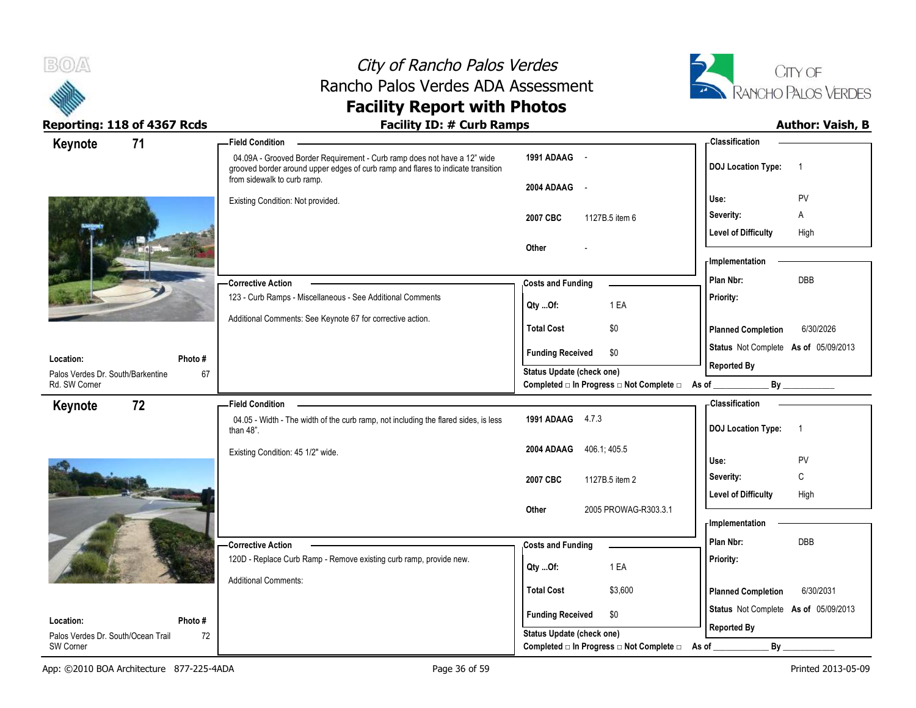



| 71<br>Keynote                                      | <b>Field Condition</b>                                                                                                                                                                      |                                                                                                     | - Classification                            |
|----------------------------------------------------|---------------------------------------------------------------------------------------------------------------------------------------------------------------------------------------------|-----------------------------------------------------------------------------------------------------|---------------------------------------------|
|                                                    | 04.09A - Grooved Border Requirement - Curb ramp does not have a 12" wide<br>grooved border around upper edges of curb ramp and flares to indicate transition<br>from sidewalk to curb ramp. | 1991 ADAAG -                                                                                        | <b>DOJ Location Type:</b><br>$\overline{1}$ |
|                                                    | Existing Condition: Not provided.                                                                                                                                                           | 2004 ADAAG<br>$\sim$ $\sim$                                                                         | PV<br>Use:                                  |
|                                                    |                                                                                                                                                                                             | 2007 CBC<br>1127B.5 item 6                                                                          | Severity:<br>Α                              |
|                                                    |                                                                                                                                                                                             |                                                                                                     | <b>Level of Difficulty</b><br>High          |
|                                                    |                                                                                                                                                                                             | Other                                                                                               |                                             |
|                                                    |                                                                                                                                                                                             |                                                                                                     | - Implementation                            |
|                                                    | -Corrective Action                                                                                                                                                                          | <b>Costs and Funding</b>                                                                            | DBB<br>Plan Nbr:                            |
|                                                    | 123 - Curb Ramps - Miscellaneous - See Additional Comments                                                                                                                                  | 1 EA<br>Qty Of:                                                                                     | Priority:                                   |
|                                                    | Additional Comments: See Keynote 67 for corrective action.                                                                                                                                  | <b>Total Cost</b><br>\$0                                                                            | <b>Planned Completion</b><br>6/30/2026      |
|                                                    |                                                                                                                                                                                             |                                                                                                     | Status Not Complete As of 05/09/2013        |
| Photo#<br>Location:                                |                                                                                                                                                                                             | \$0<br><b>Funding Received</b>                                                                      | <b>Reported By</b>                          |
| Palos Verdes Dr. South/Barkentine<br>Rd. SW Corner | 67                                                                                                                                                                                          | <b>Status Update (check one)</b><br>Completed $\Box$ In Progress $\Box$ Not Complete $\Box$ As of _ | By                                          |
| 72<br>Keynote                                      | <b>Field Condition</b>                                                                                                                                                                      |                                                                                                     | <b>Classification</b>                       |
|                                                    | 04.05 - Width - The width of the curb ramp, not including the flared sides, is less<br>than 48".                                                                                            | 1991 ADAAG 4.7.3                                                                                    | <b>DOJ Location Type:</b><br>$\overline{1}$ |
|                                                    | Existing Condition: 45 1/2" wide.                                                                                                                                                           | 2004 ADAAG<br>406.1, 405.5                                                                          | PV<br>Use:                                  |
|                                                    |                                                                                                                                                                                             | 2007 CBC<br>1127B.5 item 2                                                                          | C<br>Severity:                              |
|                                                    |                                                                                                                                                                                             |                                                                                                     | <b>Level of Difficulty</b><br>High          |
|                                                    |                                                                                                                                                                                             | 2005 PROWAG-R303.3.1<br>Other                                                                       |                                             |
|                                                    |                                                                                                                                                                                             |                                                                                                     | - Implementation                            |
|                                                    | -Corrective Action                                                                                                                                                                          | <b>Costs and Funding</b>                                                                            | DBB<br>Plan Nbr:                            |
|                                                    | 120D - Replace Curb Ramp - Remove existing curb ramp, provide new.                                                                                                                          | 1 EA<br>Qty Of:                                                                                     | Priority:                                   |
|                                                    | <b>Additional Comments:</b>                                                                                                                                                                 |                                                                                                     |                                             |
|                                                    |                                                                                                                                                                                             | <b>Total Cost</b><br>\$3,600                                                                        | 6/30/2031<br><b>Planned Completion</b>      |
|                                                    |                                                                                                                                                                                             |                                                                                                     |                                             |
| Location:<br>Photo#                                |                                                                                                                                                                                             | <b>Funding Received</b><br>\$0                                                                      | Status Not Complete As of 05/09/2013        |
| Palos Verdes Dr. South/Ocean Trail<br>SW Corner    | 72                                                                                                                                                                                          | <b>Status Update (check one)</b><br>Completed □ In Progress □ Not Complete □                        | <b>Reported By</b><br>By<br>As of           |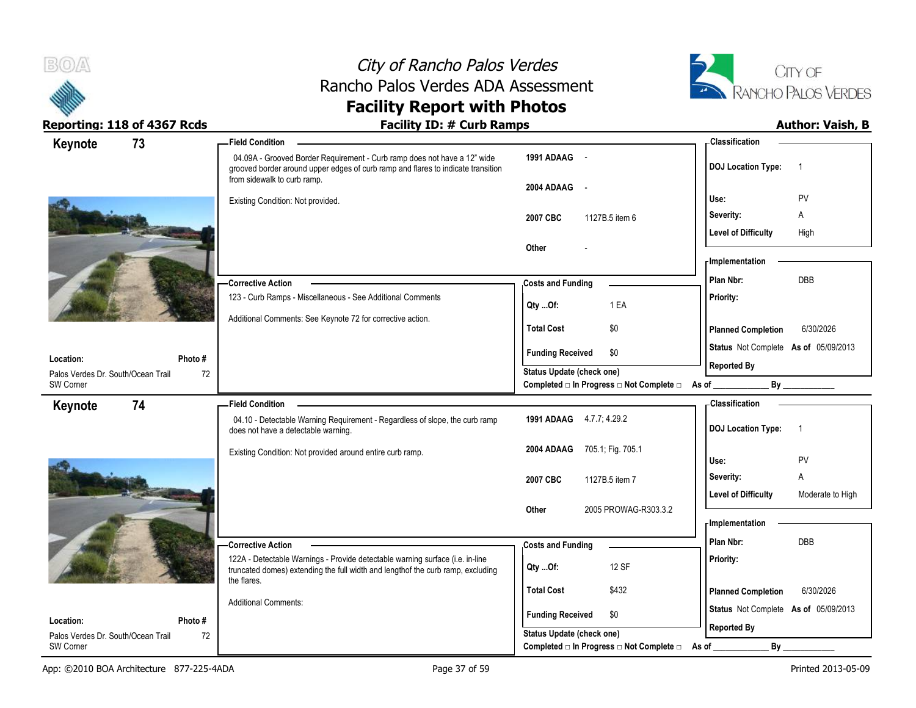



| 73<br>Keynote                      |         | <b>Field Condition</b>                                                                                                                                                                      |                                                         | - Classification                               |
|------------------------------------|---------|---------------------------------------------------------------------------------------------------------------------------------------------------------------------------------------------|---------------------------------------------------------|------------------------------------------------|
|                                    |         | 04.09A - Grooved Border Requirement - Curb ramp does not have a 12" wide<br>grooved border around upper edges of curb ramp and flares to indicate transition<br>from sidewalk to curb ramp. | 1991 ADAAG -                                            | <b>DOJ Location Type:</b><br>$\overline{1}$    |
|                                    |         |                                                                                                                                                                                             | 2004 ADAAG<br>$\sim$                                    | <b>PV</b><br>Use:                              |
|                                    |         | Existing Condition: Not provided.                                                                                                                                                           | 2007 CBC<br>1127B.5 item 6                              | $\mathsf{A}$<br>Severity:                      |
|                                    |         |                                                                                                                                                                                             |                                                         | <b>Level of Difficulty</b><br>High             |
|                                    |         |                                                                                                                                                                                             | Other                                                   |                                                |
|                                    |         |                                                                                                                                                                                             |                                                         | <b>Implementation</b>                          |
|                                    |         | - Corrective Action                                                                                                                                                                         | <b>Costs and Funding</b>                                | <b>DBB</b><br>Plan Nbr:                        |
|                                    |         | 123 - Curb Ramps - Miscellaneous - See Additional Comments                                                                                                                                  | 1 EA<br>Qty Of:                                         | Priority:                                      |
|                                    |         | Additional Comments: See Keynote 72 for corrective action.                                                                                                                                  |                                                         |                                                |
|                                    |         |                                                                                                                                                                                             | \$0<br><b>Total Cost</b>                                | <b>Planned Completion</b><br>6/30/2026         |
| Location:                          | Photo#  |                                                                                                                                                                                             | \$0<br><b>Funding Received</b>                          | Status Not Complete As of 05/09/2013           |
| Palos Verdes Dr. South/Ocean Trail | 72      |                                                                                                                                                                                             | Status Update (check one)                               | <b>Reported By</b>                             |
| SW Corner                          |         |                                                                                                                                                                                             | Completed □ In Progress □ Not Complete □ As of ________ |                                                |
| 74<br>Keynote                      |         | <b>Field Condition</b>                                                                                                                                                                      |                                                         | <b>Classification</b>                          |
|                                    |         | 04.10 - Detectable Warning Requirement - Regardless of slope, the curb ramp<br>does not have a detectable warning.                                                                          | 1991 ADAAG 4.7.7; 4.29.2                                | <b>DOJ Location Type:</b><br>$\overline{1}$    |
|                                    |         | Existing Condition: Not provided around entire curb ramp.                                                                                                                                   | 2004 ADAAG<br>705.1, Fig. 705.1                         | PV                                             |
|                                    |         |                                                                                                                                                                                             |                                                         | Use:<br>A<br>Severity:                         |
|                                    |         |                                                                                                                                                                                             | 2007 CBC<br>1127B.5 item 7                              | <b>Level of Difficulty</b><br>Moderate to High |
|                                    |         |                                                                                                                                                                                             | 2005 PROWAG-R303.3.2<br><b>Other</b>                    |                                                |
|                                    |         |                                                                                                                                                                                             |                                                         | - Implementation                               |
|                                    |         | - Corrective Action                                                                                                                                                                         | <b>Costs and Funding</b>                                | Plan Nbr:<br><b>DBB</b>                        |
|                                    |         | 122A - Detectable Warnings - Provide detectable warning surface (i.e. in-line                                                                                                               |                                                         | Priority:                                      |
|                                    |         | truncated domes) extending the full width and lengthof the curb ramp, excluding<br>the flares.                                                                                              | 12 SF<br>Qty Of:                                        |                                                |
|                                    |         |                                                                                                                                                                                             | <b>Total Cost</b><br>\$432                              | <b>Planned Completion</b><br>6/30/2026         |
|                                    |         | <b>Additional Comments:</b>                                                                                                                                                                 | <b>Funding Received</b><br>\$0                          | Status Not Complete As of 05/09/2013           |
| Location:                          | Photo # |                                                                                                                                                                                             |                                                         | <b>Reported By</b>                             |
| Palos Verdes Dr. South/Ocean Trail | 72      |                                                                                                                                                                                             | Status Update (check one)                               |                                                |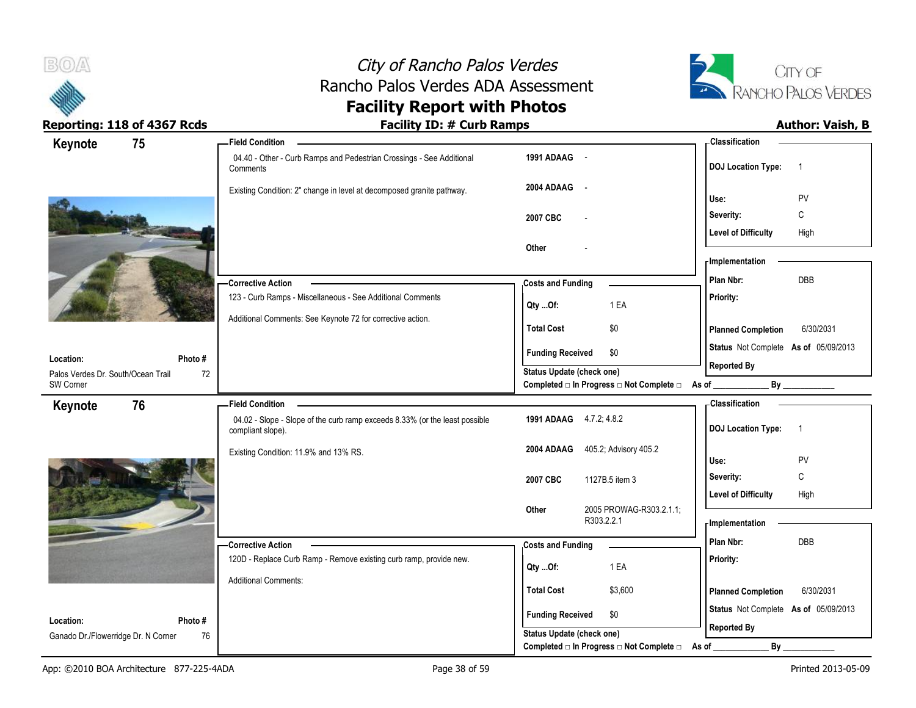



| Keynote                             | 75     | <b>Field Condition</b>                                                                           |                                                  | <b>Classification</b>                       |
|-------------------------------------|--------|--------------------------------------------------------------------------------------------------|--------------------------------------------------|---------------------------------------------|
|                                     |        | 04.40 - Other - Curb Ramps and Pedestrian Crossings - See Additional<br>Comments                 | 1991 ADAAG -                                     | <b>DOJ</b> Location Type:<br>$\overline{1}$ |
|                                     |        | Existing Condition: 2" change in level at decomposed granite pathway.                            | 2004 ADAAG -                                     | Use:<br>PV                                  |
|                                     |        |                                                                                                  | 2007 CBC                                         | Severity:<br>C                              |
|                                     |        |                                                                                                  |                                                  | <b>Level of Difficulty</b><br>High          |
|                                     |        |                                                                                                  | Other                                            | - Implementation                            |
|                                     |        |                                                                                                  |                                                  | DBB<br>Plan Nbr:                            |
|                                     |        | <b>Corrective Action</b><br>123 - Curb Ramps - Miscellaneous - See Additional Comments           | <b>Costs and Funding</b>                         | Priority:                                   |
|                                     |        |                                                                                                  | 1 EA<br>Qty Of:                                  |                                             |
|                                     |        | Additional Comments: See Keynote 72 for corrective action.                                       | <b>Total Cost</b><br>\$0                         | <b>Planned Completion</b><br>6/30/2031      |
| Location:                           | Photo# |                                                                                                  | <b>Funding Received</b><br>\$0                   | Status Not Complete As of 05/09/2013        |
| Palos Verdes Dr. South/Ocean Trail  | 72     |                                                                                                  | Status Update (check one)                        | <b>Reported By</b>                          |
| SW Corner                           |        |                                                                                                  | Completed □ In Progress □ Not Complete □ As of _ | By                                          |
| Keynote                             | 76     | <b>Field Condition</b>                                                                           |                                                  | - Classification                            |
|                                     |        | 04.02 - Slope - Slope of the curb ramp exceeds 8.33% (or the least possible<br>compliant slope). | 1991 ADAAG 4.7.2; 4.8.2                          | <b>DOJ Location Type:</b><br>$\overline{1}$ |
|                                     |        | Existing Condition: 11.9% and 13% RS.                                                            | 405.2; Advisory 405.2<br>2004 ADAAG              | Use:<br>PV                                  |
|                                     |        |                                                                                                  | 2007 CBC<br>1127B.5 item 3                       | C<br>Severity:                              |
|                                     |        |                                                                                                  |                                                  | <b>Level of Difficulty</b><br>High          |
|                                     |        |                                                                                                  | 2005 PROWAG-R303.2.1.1;<br>Other<br>R303.2.2.1   | <b>Implementation</b>                       |
|                                     |        | -Corrective Action                                                                               | <b>Costs and Funding</b>                         | Plan Nbr:<br><b>DBB</b>                     |
|                                     |        | 120D - Replace Curb Ramp - Remove existing curb ramp, provide new.                               |                                                  | Priority:                                   |
|                                     |        |                                                                                                  | 1 EA<br>Qty Of:                                  |                                             |
|                                     |        | <b>Additional Comments:</b>                                                                      | <b>Total Cost</b><br>\$3,600                     | <b>Planned Completion</b><br>6/30/2031      |
| Location:                           | Photo# |                                                                                                  | <b>Funding Received</b><br>\$0                   | Status Not Complete As of 05/09/2013        |
| Ganado Dr./Flowerridge Dr. N Corner | 76     |                                                                                                  | Status Update (check one)                        | <b>Reported By</b>                          |
|                                     |        |                                                                                                  | Completed □ In Progress □ Not Complete □         | By<br>As of                                 |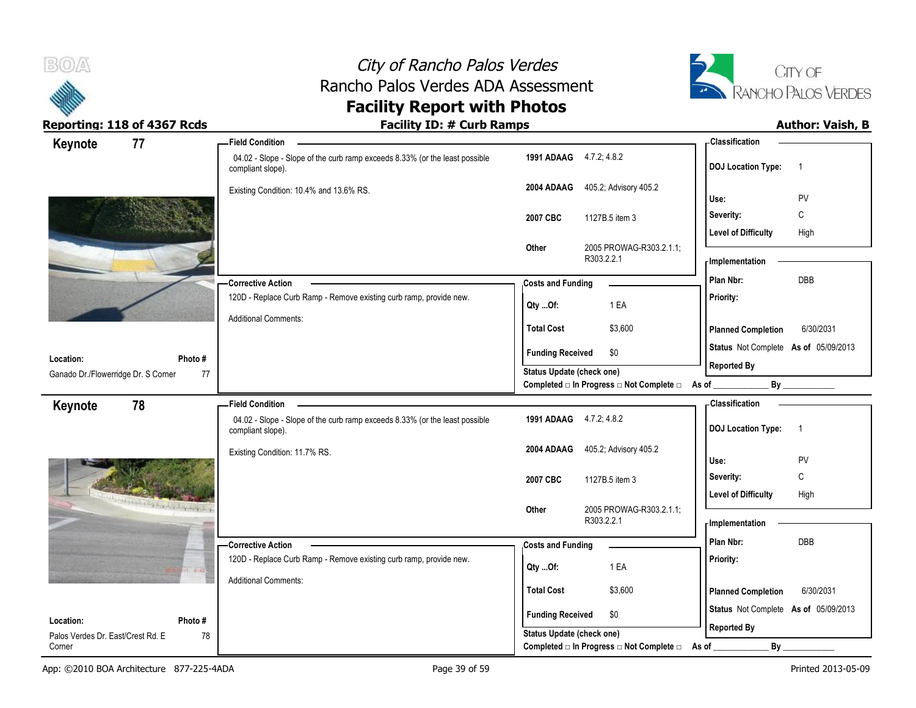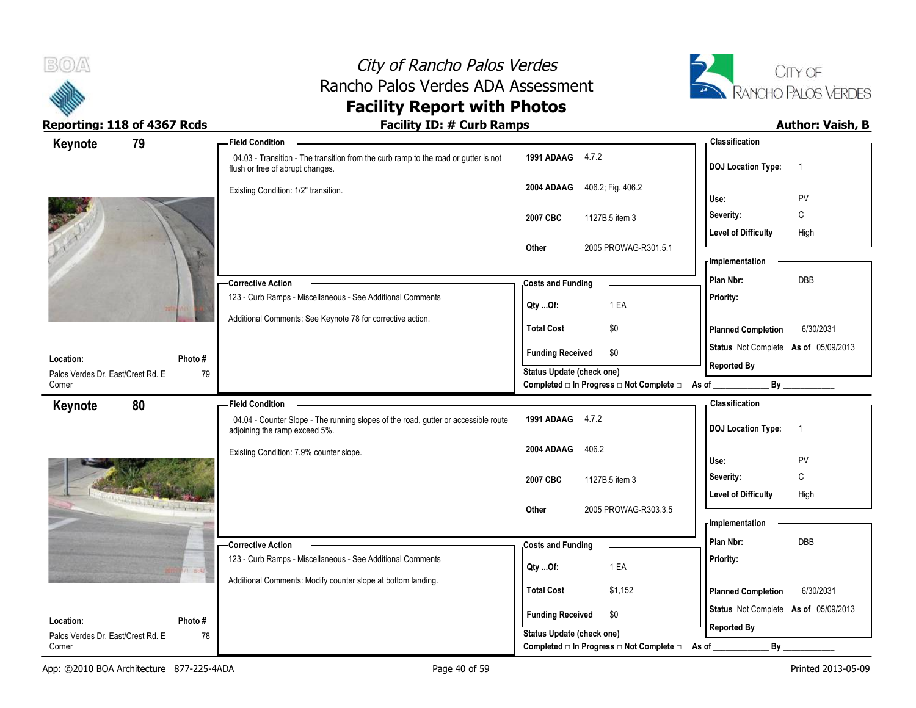



| 79<br>Keynote                                                                                                                                                                                                                  | <b>Field Condition</b>                                                                                                  |                                                             | - Classification                                           |
|--------------------------------------------------------------------------------------------------------------------------------------------------------------------------------------------------------------------------------|-------------------------------------------------------------------------------------------------------------------------|-------------------------------------------------------------|------------------------------------------------------------|
|                                                                                                                                                                                                                                | 04.03 - Transition - The transition from the curb ramp to the road or gutter is not<br>flush or free of abrupt changes. | 1991 ADAAG 4.7.2                                            | <b>DOJ Location Type:</b><br>$\overline{1}$                |
|                                                                                                                                                                                                                                | Existing Condition: 1/2" transition.                                                                                    | 406.2; Fig. 406.2<br>2004 ADAAG                             | PV<br>Use:                                                 |
|                                                                                                                                                                                                                                |                                                                                                                         | 1127B.5 item 3<br>2007 CBC                                  | C<br>Severity:                                             |
|                                                                                                                                                                                                                                |                                                                                                                         |                                                             | <b>Level of Difficulty</b><br>High                         |
|                                                                                                                                                                                                                                |                                                                                                                         | Other<br>2005 PROWAG-R301.5.1                               |                                                            |
|                                                                                                                                                                                                                                |                                                                                                                         |                                                             | - Implementation                                           |
|                                                                                                                                                                                                                                | - Corrective Action                                                                                                     | <b>Costs and Funding</b>                                    | Plan Nbr:<br>DBB                                           |
|                                                                                                                                                                                                                                | 123 - Curb Ramps - Miscellaneous - See Additional Comments                                                              | 1 EA<br>Qty Of:                                             | Priority:                                                  |
|                                                                                                                                                                                                                                | Additional Comments: See Keynote 78 for corrective action.                                                              | <b>Total Cost</b><br>\$0                                    | <b>Planned Completion</b><br>6/30/2031                     |
|                                                                                                                                                                                                                                |                                                                                                                         | <b>Funding Received</b><br>\$0                              | Status Not Complete As of 05/09/2013                       |
| Photo#<br>Location:<br>Palos Verdes Dr. East/Crest Rd. E<br>79                                                                                                                                                                 |                                                                                                                         | <b>Status Update (check one)</b>                            | <b>Reported By</b>                                         |
| Corner                                                                                                                                                                                                                         |                                                                                                                         | Completed □ In Progress □ Not Complete □ As of _            | By                                                         |
| 80<br>Keynote                                                                                                                                                                                                                  | <b>Field Condition</b>                                                                                                  |                                                             | - Classification                                           |
|                                                                                                                                                                                                                                | 04.04 - Counter Slope - The running slopes of the road, gutter or accessible route<br>adjoining the ramp exceed 5%.     | 1991 ADAAG 4.7.2                                            | <b>DOJ</b> Location Type:<br>$\overline{1}$                |
|                                                                                                                                                                                                                                | Existing Condition: 7.9% counter slope.                                                                                 | 2004 ADAAG<br>406.2                                         | PV<br>Use:                                                 |
|                                                                                                                                                                                                                                |                                                                                                                         |                                                             | C<br>Severity:                                             |
|                                                                                                                                                                                                                                |                                                                                                                         | 2007 CBC<br>1127B.5 item 3                                  |                                                            |
|                                                                                                                                                                                                                                |                                                                                                                         |                                                             |                                                            |
| the state of the state of the state of the state of the state of the state of the state of the state of the state of the state of the state of the state of the state of the state of the state of the state of the state of t |                                                                                                                         | 2005 PROWAG-R303.3.5<br>Other                               | <b>Level of Difficulty</b><br>High                         |
|                                                                                                                                                                                                                                |                                                                                                                         |                                                             | - Implementation                                           |
|                                                                                                                                                                                                                                | - Corrective Action                                                                                                     | <b>Costs and Funding</b>                                    | Plan Nbr:<br>DBB                                           |
| <b>Balz</b>                                                                                                                                                                                                                    | 123 - Curb Ramps - Miscellaneous - See Additional Comments                                                              | 1 EA<br>$Qty$ Of:                                           | Priority:                                                  |
|                                                                                                                                                                                                                                | Additional Comments: Modify counter slope at bottom landing.                                                            |                                                             |                                                            |
|                                                                                                                                                                                                                                |                                                                                                                         | <b>Total Cost</b><br>\$1,152                                | <b>Planned Completion</b><br>6/30/2031                     |
| Photo#<br>Location:                                                                                                                                                                                                            |                                                                                                                         | \$0<br><b>Funding Received</b><br>Status Update (check one) | Status Not Complete As of 05/09/2013<br><b>Reported By</b> |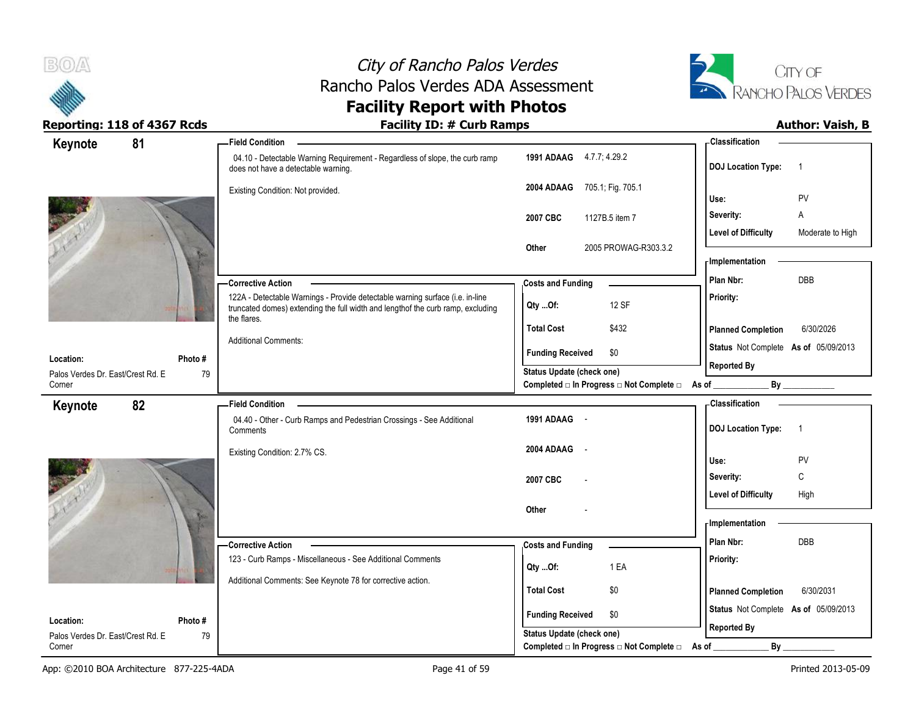



| Keynote                            | 81      | <b>Field Condition</b>                                                                                                                                                          |                                                | <b>Classification</b>                          |
|------------------------------------|---------|---------------------------------------------------------------------------------------------------------------------------------------------------------------------------------|------------------------------------------------|------------------------------------------------|
|                                    |         | 04.10 - Detectable Warning Requirement - Regardless of slope, the curb ramp<br>does not have a detectable warning.                                                              | 1991 ADAAG 4.7.7; 4.29.2                       | <b>DOJ</b> Location Type:<br>$\overline{1}$    |
|                                    |         | Existing Condition: Not provided.                                                                                                                                               | 2004 ADAAG 705.1; Fig. 705.1                   | Use:<br>PV                                     |
|                                    |         |                                                                                                                                                                                 | 2007 CBC<br>1127B.5 item 7                     | Α<br>Severity:                                 |
|                                    |         |                                                                                                                                                                                 |                                                | <b>Level of Difficulty</b><br>Moderate to High |
|                                    |         |                                                                                                                                                                                 | 2005 PROWAG-R303.3.2<br>Other                  |                                                |
|                                    |         |                                                                                                                                                                                 |                                                | <b>Implementation</b>                          |
|                                    |         | <b>Corrective Action</b>                                                                                                                                                        | <b>Costs and Funding</b>                       | DBB<br>Plan Nbr:                               |
|                                    |         | 122A - Detectable Warnings - Provide detectable warning surface (i.e. in-line<br>truncated domes) extending the full width and lengthof the curb ramp, excluding<br>the flares. | 12 SF<br>Qty Of:                               | Priority:                                      |
|                                    |         |                                                                                                                                                                                 | <b>Total Cost</b><br>\$432                     | <b>Planned Completion</b><br>6/30/2026         |
| Location:                          | Photo#  | <b>Additional Comments:</b>                                                                                                                                                     | <b>Funding Received</b><br>\$0                 | Status Not Complete As of 05/09/2013           |
| Palos Verdes Dr. East/Crest Rd. E. | 79      |                                                                                                                                                                                 | Status Update (check one)                      | <b>Reported By</b>                             |
| Corner                             |         |                                                                                                                                                                                 | Completed □ In Progress □ Not Complete □ As of | By                                             |
| Keynote                            | 82      | <b>Field Condition</b>                                                                                                                                                          |                                                | <b>Classification</b>                          |
|                                    |         | 04.40 - Other - Curb Ramps and Pedestrian Crossings - See Additional<br>Comments                                                                                                | 1991 ADAAG -                                   | <b>DOJ Location Type:</b><br>$\overline{1}$    |
|                                    |         | Existing Condition: 2.7% CS.                                                                                                                                                    | 2004 ADAAG<br>$\sim$                           | Use:<br>PV                                     |
|                                    |         |                                                                                                                                                                                 |                                                | C<br>Severity:                                 |
|                                    |         |                                                                                                                                                                                 | 2007 CBC                                       | <b>Level of Difficulty</b><br>High             |
|                                    |         |                                                                                                                                                                                 | Other                                          |                                                |
|                                    |         |                                                                                                                                                                                 |                                                | - Implementation                               |
|                                    |         | -Corrective Action                                                                                                                                                              | <b>Costs and Funding</b>                       | Plan Nbr:<br><b>DBB</b>                        |
|                                    |         | 123 - Curb Ramps - Miscellaneous - See Additional Comments                                                                                                                      | 1 EA<br>Qty Of:                                | Priority:                                      |
|                                    |         | Additional Comments: See Keynote 78 for corrective action.                                                                                                                      |                                                |                                                |
|                                    |         |                                                                                                                                                                                 | <b>Total Cost</b><br>\$0                       | 6/30/2031<br><b>Planned Completion</b>         |
| Location:                          | Photo # |                                                                                                                                                                                 | <b>Funding Received</b><br>\$0                 | Status Not Complete As of 05/09/2013           |
| Palos Verdes Dr. East/Crest Rd. E  | 79      |                                                                                                                                                                                 | Status Update (check one)                      | <b>Reported By</b>                             |
| Corner                             |         |                                                                                                                                                                                 | Completed □ In Progress □ Not Complete □ As of | By                                             |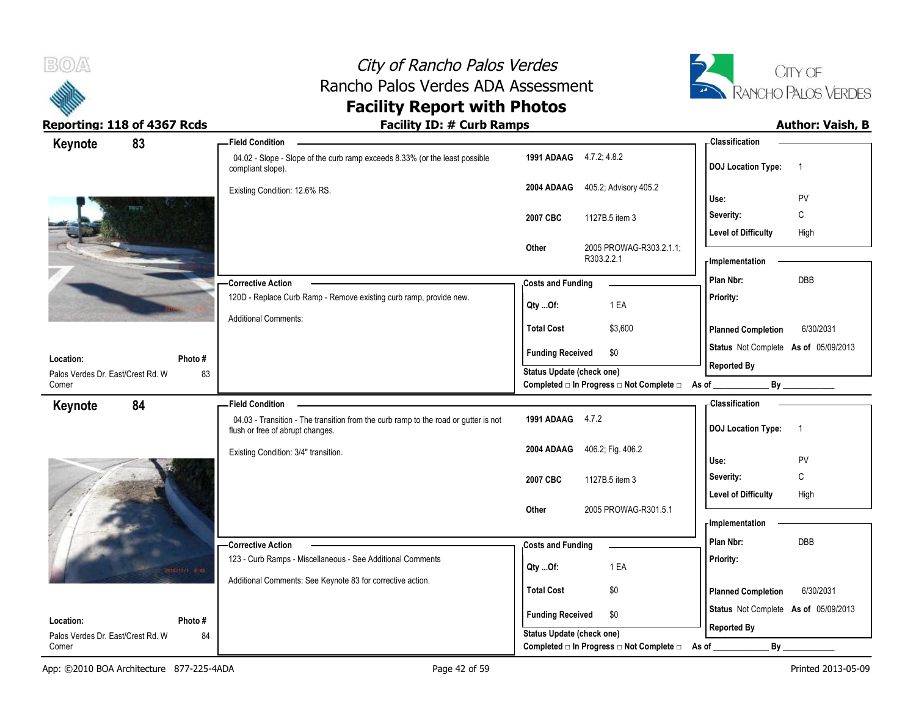



| Keynote                           | 83           | - Field Condition                                                                                                       |                           |                                                  | Classification                              |
|-----------------------------------|--------------|-------------------------------------------------------------------------------------------------------------------------|---------------------------|--------------------------------------------------|---------------------------------------------|
|                                   |              | 04.02 - Slope - Slope of the curb ramp exceeds 8.33% (or the least possible<br>compliant slope).                        | 1991 ADAAG 4.7.2, 4.8.2   |                                                  | <b>DOJ Location Type:</b><br>$\overline{1}$ |
|                                   |              | Existing Condition: 12.6% RS.                                                                                           | 2004 ADAAG                | 405.2; Advisory 405.2                            | PV<br>Use:                                  |
|                                   |              |                                                                                                                         | 2007 CBC                  | 1127B.5 item 3                                   | C<br>Severity:                              |
|                                   |              |                                                                                                                         |                           |                                                  | High<br><b>Level of Difficulty</b>          |
|                                   |              |                                                                                                                         | Other                     | 2005 PROWAG-R303.2.1.1;<br>R303.2.2.1            | - Implementation                            |
|                                   |              | - Corrective Action                                                                                                     | <b>Costs and Funding</b>  |                                                  | DBB<br>Plan Nbr:                            |
|                                   |              | 120D - Replace Curb Ramp - Remove existing curb ramp, provide new.                                                      | Qty Of:                   | 1 EA                                             | Priority:                                   |
|                                   |              | <b>Additional Comments:</b>                                                                                             | <b>Total Cost</b>         | \$3,600                                          | 6/30/2031<br><b>Planned Completion</b>      |
| Location:                         | Photo#       |                                                                                                                         | <b>Funding Received</b>   | \$0                                              | Status Not Complete As of 05/09/2013        |
| Palos Verdes Dr. East/Crest Rd. W | 83           |                                                                                                                         | Status Update (check one) |                                                  | <b>Reported By</b>                          |
| Corner                            |              |                                                                                                                         |                           | Completed □ In Progress □ Not Complete □ As of _ |                                             |
| Keynote                           | 84           | <b>Field Condition</b>                                                                                                  |                           |                                                  | - Classification                            |
|                                   |              | 04.03 - Transition - The transition from the curb ramp to the road or gutter is not<br>flush or free of abrupt changes. | 1991 ADAAG 4.7.2          |                                                  | <b>DOJ</b> Location Type:<br>$\overline{1}$ |
|                                   |              | Existing Condition: 3/4" transition.                                                                                    | 2004 ADAAG                | 406.2; Fig. 406.2                                | Use:<br>PV                                  |
|                                   |              |                                                                                                                         | 2007 CBC                  | 1127B.5 item 3                                   | Severity:<br>C                              |
|                                   |              |                                                                                                                         |                           |                                                  | <b>Level of Difficulty</b><br>High          |
|                                   |              |                                                                                                                         | Other                     | 2005 PROWAG-R301.5.1                             | - Implementation                            |
|                                   |              |                                                                                                                         |                           |                                                  | Plan Nbr:<br><b>DBB</b>                     |
|                                   |              | -Corrective Action<br>123 - Curb Ramps - Miscellaneous - See Additional Comments                                        | <b>Costs and Funding</b>  |                                                  | Priority:                                   |
|                                   | militiri sal |                                                                                                                         | Qty Of:                   | 1 EA                                             |                                             |
|                                   |              | Additional Comments: See Keynote 83 for corrective action.                                                              | <b>Total Cost</b>         | \$0                                              | 6/30/2031<br><b>Planned Completion</b>      |
| Location:                         | Photo#       |                                                                                                                         | <b>Funding Received</b>   | \$0                                              | Status Not Complete As of 05/09/2013        |
| Palos Verdes Dr. East/Crest Rd. W | 84           |                                                                                                                         | Status Update (check one) |                                                  | <b>Reported By</b>                          |
| Corner                            |              |                                                                                                                         |                           | Completed □ In Progress □ Not Complete □         | By<br>As of                                 |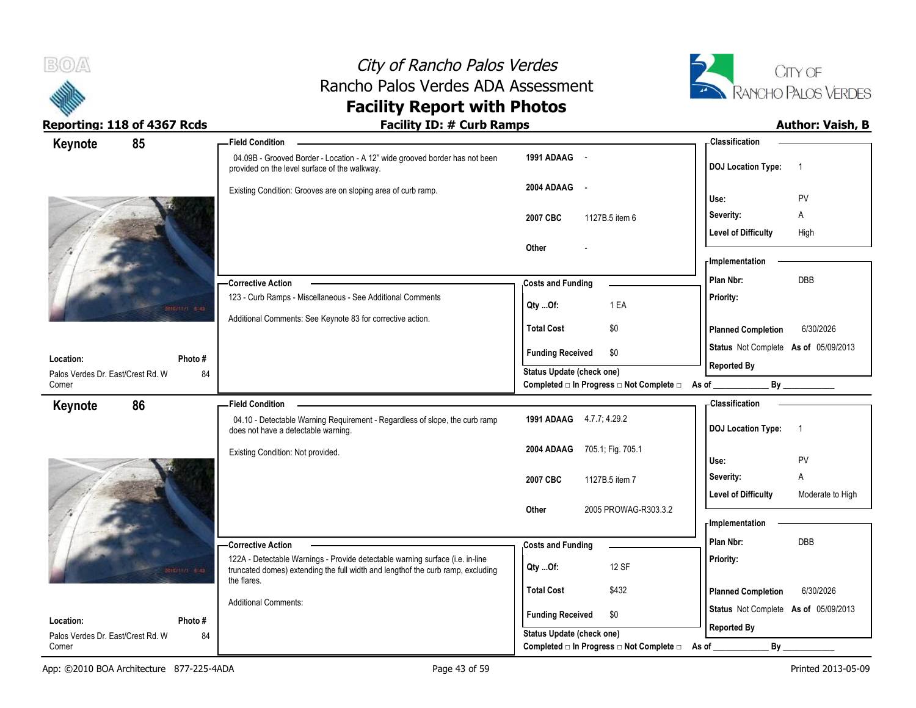



| Keynote                                        | 85           | <b>Field Condition</b>                                                                                                                                            |                                                             | <b>Classification</b>                                      |
|------------------------------------------------|--------------|-------------------------------------------------------------------------------------------------------------------------------------------------------------------|-------------------------------------------------------------|------------------------------------------------------------|
|                                                |              | 04.09B - Grooved Border - Location - A 12" wide grooved border has not been<br>provided on the level surface of the walkway.                                      | 1991 ADAAG -                                                | <b>DOJ Location Type:</b><br>$\overline{1}$                |
|                                                |              | Existing Condition: Grooves are on sloping area of curb ramp.                                                                                                     | 2004 ADAAG<br>$\sim$                                        | <b>PV</b><br>Use:                                          |
|                                                |              |                                                                                                                                                                   | 2007 CBC<br>1127B.5 item 6                                  | Severity:<br>A                                             |
|                                                |              |                                                                                                                                                                   |                                                             | <b>Level of Difficulty</b><br>High                         |
|                                                |              |                                                                                                                                                                   | Other                                                       |                                                            |
|                                                |              |                                                                                                                                                                   |                                                             | - Implementation                                           |
|                                                |              | - Corrective Action                                                                                                                                               | <b>Costs and Funding</b>                                    | DBB<br>Plan Nbr:                                           |
|                                                | onimin elas  | 123 - Curb Ramps - Miscellaneous - See Additional Comments                                                                                                        | 1 EA<br>Qty Of:                                             | <b>Priority:</b>                                           |
|                                                |              | Additional Comments: See Keynote 83 for corrective action.                                                                                                        | <b>Total Cost</b><br>\$0                                    | <b>Planned Completion</b><br>6/30/2026                     |
|                                                |              |                                                                                                                                                                   | <b>Funding Received</b><br>\$0                              | Status Not Complete As of 05/09/2013                       |
| Location:<br>Palos Verdes Dr. East/Crest Rd. W | Photo#<br>84 |                                                                                                                                                                   | <b>Status Update (check one)</b>                            | <b>Reported By</b>                                         |
| Corner                                         |              |                                                                                                                                                                   | Completed □ In Progress □ Not Complete □ As of _________    | By                                                         |
| Keynote                                        | 86           | <b>Field Condition</b>                                                                                                                                            |                                                             | Classification                                             |
|                                                |              | 04.10 - Detectable Warning Requirement - Regardless of slope, the curb ramp<br>does not have a detectable warning.                                                | 1991 ADAAG 4.7.7; 4.29.2                                    | <b>DOJ Location Type:</b><br>-1                            |
|                                                |              | Existing Condition: Not provided.                                                                                                                                 | 2004 ADAAG<br>705.1; Fig. 705.1                             | PV<br>Use:                                                 |
|                                                |              |                                                                                                                                                                   | 2007 CBC<br>1127B.5 item 7                                  | A<br>Severity:                                             |
|                                                |              |                                                                                                                                                                   |                                                             | <b>Level of Difficulty</b><br>Moderate to High             |
|                                                |              |                                                                                                                                                                   |                                                             |                                                            |
|                                                |              |                                                                                                                                                                   | 2005 PROWAG-R303.3.2<br>Other                               |                                                            |
|                                                |              |                                                                                                                                                                   |                                                             | <b>Implementation</b>                                      |
|                                                |              | - Corrective Action                                                                                                                                               | <b>Costs and Funding</b>                                    | Plan Nbr:<br>DBB                                           |
|                                                | primiti 648  | 122A - Detectable Warnings - Provide detectable warning surface (i.e. in-line<br>truncated domes) extending the full width and length of the curb ramp, excluding | 12 SF<br>Qty Of:                                            | Priority:                                                  |
|                                                |              | the flares.                                                                                                                                                       | <b>Total Cost</b>                                           |                                                            |
|                                                |              | <b>Additional Comments:</b>                                                                                                                                       | \$432                                                       | <b>Planned Completion</b><br>6/30/2026                     |
| Location:<br>Palos Verdes Dr. East/Crest Rd. W | Photo #      |                                                                                                                                                                   | \$0<br><b>Funding Received</b><br>Status Update (check one) | Status Not Complete As of 05/09/2013<br><b>Reported By</b> |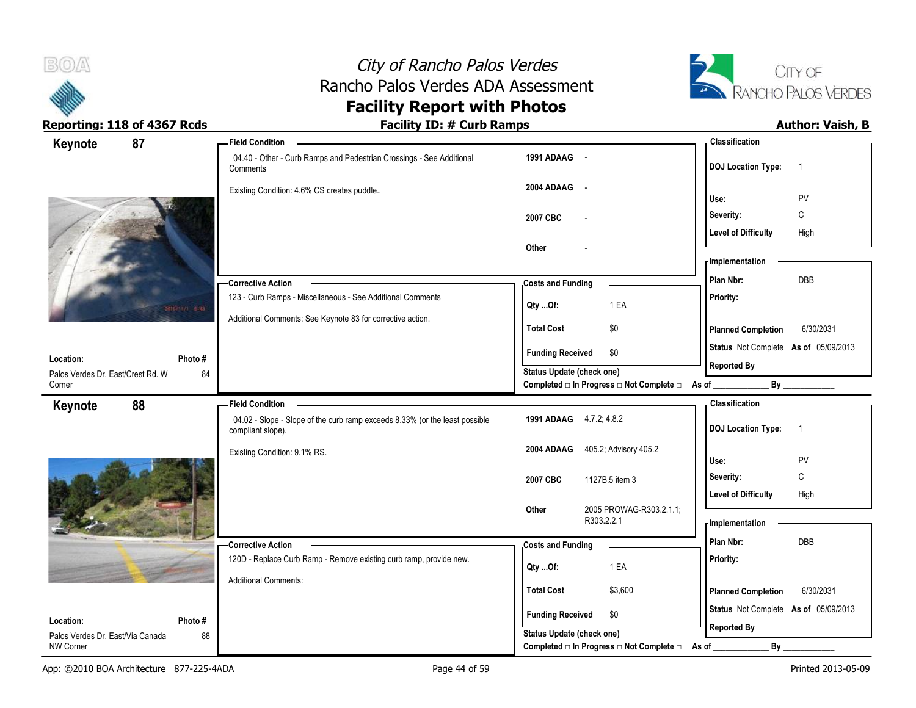



| Keynote                                              | 87           | -Field Condition                                                                                 |                                                                       | - Classification                            |
|------------------------------------------------------|--------------|--------------------------------------------------------------------------------------------------|-----------------------------------------------------------------------|---------------------------------------------|
|                                                      |              | 04.40 - Other - Curb Ramps and Pedestrian Crossings - See Additional<br>Comments                 | 1991 ADAAG -                                                          | <b>DOJ Location Type:</b><br>$\overline{1}$ |
|                                                      |              | Existing Condition: 4.6% CS creates puddle                                                       | 2004 ADAAG -                                                          | Use:<br>PV                                  |
|                                                      |              |                                                                                                  | 2007 CBC                                                              | $\mathbb C$<br>Severity:                    |
|                                                      |              |                                                                                                  |                                                                       | <b>Level of Difficulty</b><br>High          |
|                                                      |              |                                                                                                  | Other                                                                 |                                             |
|                                                      |              |                                                                                                  |                                                                       | - Implementation                            |
|                                                      |              | -Corrective Action                                                                               | <b>Costs and Funding</b>                                              | DBB<br>Plan Nbr:                            |
|                                                      | oficial esas | 123 - Curb Ramps - Miscellaneous - See Additional Comments                                       | 1 EA<br>Qty Of:                                                       | Priority:                                   |
|                                                      |              | Additional Comments: See Keynote 83 for corrective action.                                       |                                                                       |                                             |
|                                                      |              |                                                                                                  | <b>Total Cost</b><br>\$0                                              | 6/30/2031<br><b>Planned Completion</b>      |
| Location:                                            | Photo #      |                                                                                                  | <b>Funding Received</b><br>\$0                                        | Status Not Complete As of 05/09/2013        |
| Palos Verdes Dr. East/Crest Rd. W                    | 84           |                                                                                                  | <b>Status Update (check one)</b>                                      | <b>Reported By</b>                          |
| Corner                                               |              |                                                                                                  | Completed □ In Progress □ Not Complete □ As of _                      |                                             |
| Keynote                                              | 88           | <b>Field Condition</b>                                                                           |                                                                       | - Classification                            |
|                                                      |              | 04.02 - Slope - Slope of the curb ramp exceeds 8.33% (or the least possible<br>compliant slope). | 1991 ADAAG 4.7.2; 4.8.2                                               | <b>DOJ Location Type:</b><br>$\overline{1}$ |
|                                                      |              | Existing Condition: 9.1% RS.                                                                     | 405.2; Advisory 405.2<br>2004 ADAAG                                   |                                             |
|                                                      |              |                                                                                                  |                                                                       | PV<br>Use:                                  |
|                                                      |              |                                                                                                  | 2007 CBC<br>1127B.5 item 3                                            | С<br>Severity:                              |
|                                                      |              |                                                                                                  |                                                                       | <b>Level of Difficulty</b><br>High          |
|                                                      |              |                                                                                                  | 2005 PROWAG-R303.2.1.1;<br>Other<br>R303.2.2.1                        | - Implementation                            |
|                                                      |              |                                                                                                  |                                                                       | Plan Nbr:<br><b>DBB</b>                     |
|                                                      |              | -Corrective Action<br>120D - Replace Curb Ramp - Remove existing curb ramp, provide new.         | <b>Costs and Funding</b>                                              | Priority:                                   |
|                                                      |              |                                                                                                  | 1 EA<br>Qty Of:                                                       |                                             |
|                                                      |              | <b>Additional Comments:</b>                                                                      | <b>Total Cost</b><br>\$3,600                                          | 6/30/2031<br><b>Planned Completion</b>      |
|                                                      |              |                                                                                                  |                                                                       | Status Not Complete As of 05/09/2013        |
| Location:                                            | Photo#       |                                                                                                  | <b>Funding Received</b><br>\$0                                        | <b>Reported By</b>                          |
| Palos Verdes Dr. East/Via Canada<br><b>NW Corner</b> | 88           |                                                                                                  | Status Update (check one)<br>Completed □ In Progress □ Not Complete □ | $By_$<br>As of                              |
|                                                      |              |                                                                                                  |                                                                       |                                             |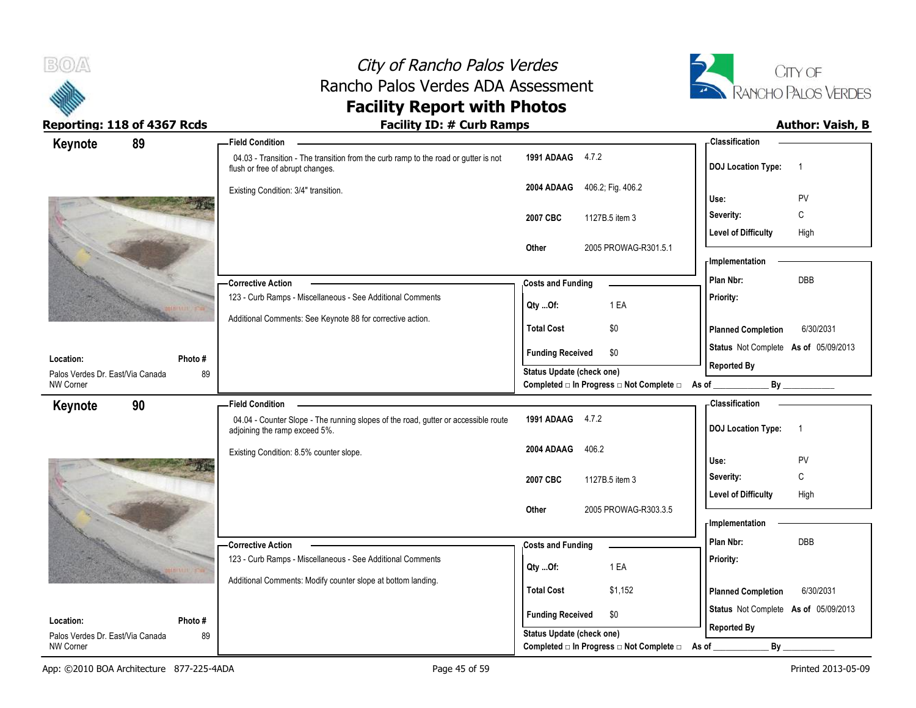



| 89<br>Keynote                                                  | <b>Field Condition</b>                                                                                                  |                                                             | <b>Classification</b>                                             |
|----------------------------------------------------------------|-------------------------------------------------------------------------------------------------------------------------|-------------------------------------------------------------|-------------------------------------------------------------------|
|                                                                | 04.03 - Transition - The transition from the curb ramp to the road or gutter is not<br>flush or free of abrupt changes. | 1991 ADAAG 4.7.2                                            | <b>DOJ Location Type:</b><br>- 1                                  |
|                                                                | Existing Condition: 3/4" transition.                                                                                    | 406.2; Fig. 406.2<br>2004 ADAAG                             | PV<br>Use:                                                        |
|                                                                |                                                                                                                         |                                                             | Severity:<br>C                                                    |
|                                                                |                                                                                                                         | 1127B.5 item 3<br>2007 CBC                                  | <b>Level of Difficulty</b><br>High                                |
|                                                                |                                                                                                                         | Other<br>2005 PROWAG-R301.5.1                               |                                                                   |
|                                                                |                                                                                                                         |                                                             | - Implementation                                                  |
|                                                                | -Corrective Action                                                                                                      | <b>Costs and Funding</b>                                    | DBB<br>Plan Nbr:                                                  |
|                                                                | 123 - Curb Ramps - Miscellaneous - See Additional Comments                                                              |                                                             | Priority:                                                         |
|                                                                | Additional Comments: See Keynote 88 for corrective action.                                                              | 1 EA<br>Qty Of:                                             |                                                                   |
|                                                                |                                                                                                                         | <b>Total Cost</b><br>\$0                                    | 6/30/2031<br><b>Planned Completion</b>                            |
|                                                                |                                                                                                                         | <b>Funding Received</b><br>\$0                              | Status Not Complete As of 05/09/2013                              |
| Location:<br>Photo #<br>Palos Verdes Dr. East/Via Canada<br>89 |                                                                                                                         | <b>Status Update (check one)</b>                            | <b>Reported By</b>                                                |
| <b>NW Corner</b>                                               |                                                                                                                         | Completed □ In Progress □ Not Complete □ As of              | $By$ <sub>___</sub>                                               |
| 90<br>Keynote                                                  | <b>Field Condition</b>                                                                                                  |                                                             | - Classification                                                  |
|                                                                | 04.04 - Counter Slope - The running slopes of the road, gutter or accessible route<br>adjoining the ramp exceed 5%.     | 1991 ADAAG 4.7.2                                            | <b>DOJ</b> Location Type:<br>$\overline{1}$                       |
|                                                                | Existing Condition: 8.5% counter slope.                                                                                 | 406.2<br>2004 ADAAG                                         |                                                                   |
|                                                                |                                                                                                                         |                                                             | Use:<br>PV                                                        |
|                                                                |                                                                                                                         | 2007 CBC<br>1127B.5 item 3                                  | C<br>Severity:                                                    |
|                                                                |                                                                                                                         |                                                             | <b>Level of Difficulty</b><br>High                                |
|                                                                |                                                                                                                         |                                                             |                                                                   |
|                                                                |                                                                                                                         | 2005 PROWAG-R303.3.5<br>Other                               | - Implementation                                                  |
|                                                                |                                                                                                                         |                                                             |                                                                   |
|                                                                | <b>Corrective Action</b>                                                                                                | <b>Costs and Funding</b>                                    | Plan Nbr:<br>DBB                                                  |
|                                                                | 123 - Curb Ramps - Miscellaneous - See Additional Comments                                                              | 1 EA<br>Qty Of:                                             | Priority:                                                         |
|                                                                | Additional Comments: Modify counter slope at bottom landing.                                                            | <b>Total Cost</b><br>\$1,152                                | 6/30/2031                                                         |
|                                                                |                                                                                                                         |                                                             | <b>Planned Completion</b><br>Status Not Complete As of 05/09/2013 |
| Location:<br>Photo#<br>Palos Verdes Dr. East/Via Canada<br>89  |                                                                                                                         | <b>Funding Received</b><br>\$0<br>Status Update (check one) | <b>Reported By</b>                                                |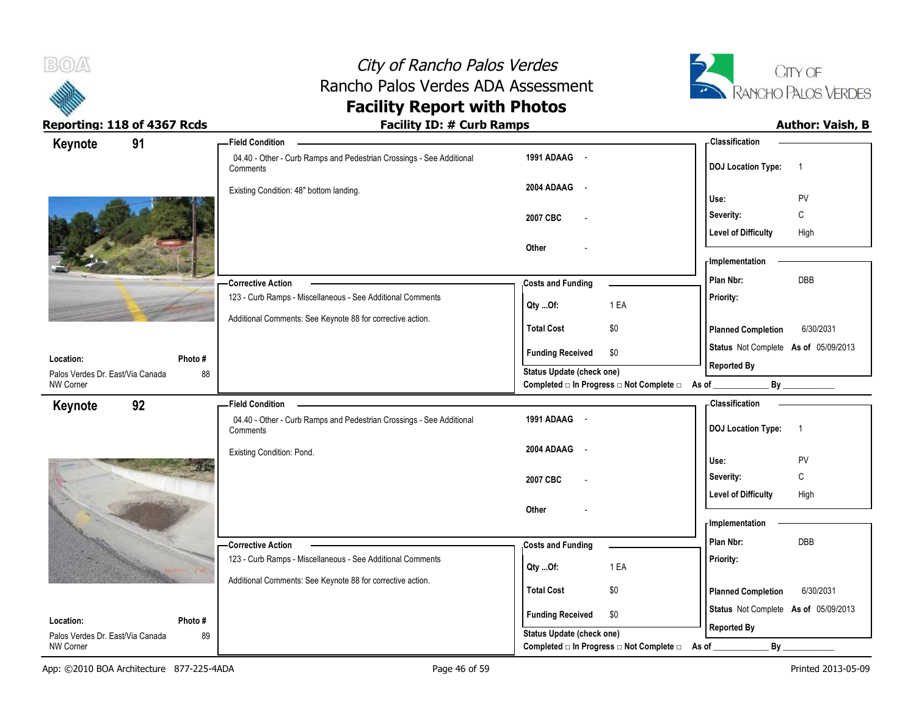



| Keynote                          | 91      | <b>Field Condition</b>                                                            |                                                      |                                                  | - Classification                                           |                |
|----------------------------------|---------|-----------------------------------------------------------------------------------|------------------------------------------------------|--------------------------------------------------|------------------------------------------------------------|----------------|
|                                  |         | 04.40 - Other - Curb Ramps and Pedestrian Crossings - See Additional<br>Comments  | 1991 ADAAG -                                         |                                                  | <b>DOJ Location Type:</b>                                  | $\overline{1}$ |
|                                  |         | Existing Condition: 48" bottom landing.                                           | 2004 ADAAG<br>$\sim$ $-$                             |                                                  | Use:                                                       | PV             |
|                                  |         |                                                                                   | 2007 CBC                                             |                                                  | Severity:                                                  | C              |
|                                  |         |                                                                                   |                                                      |                                                  | <b>Level of Difficulty</b>                                 | High           |
|                                  |         |                                                                                   | Other                                                |                                                  | - Implementation                                           |                |
|                                  |         |                                                                                   |                                                      |                                                  | Plan Nbr:                                                  | DBB            |
|                                  |         | - Corrective Action<br>123 - Curb Ramps - Miscellaneous - See Additional Comments | <b>Costs and Funding</b>                             |                                                  |                                                            |                |
|                                  |         |                                                                                   | Qty Of:                                              | 1 EA                                             | Priority:                                                  |                |
|                                  |         | Additional Comments: See Keynote 88 for corrective action.                        | <b>Total Cost</b>                                    | \$0                                              | <b>Planned Completion</b>                                  | 6/30/2031      |
| Location:                        | Photo#  |                                                                                   | <b>Funding Received</b>                              | \$0                                              | Status Not Complete As of 05/09/2013                       |                |
| Palos Verdes Dr. East/Via Canada | 88      |                                                                                   | Status Update (check one)                            |                                                  | <b>Reported By</b>                                         |                |
| NW Corner                        |         |                                                                                   |                                                      | Completed □ In Progress □ Not Complete □ As of _ |                                                            |                |
| Keynote                          | 92      | <b>Field Condition</b>                                                            |                                                      |                                                  | <b>Classification</b>                                      |                |
|                                  |         | 04.40 - Other - Curb Ramps and Pedestrian Crossings - See Additional<br>Comments  | 1991 ADAAG -                                         |                                                  | <b>DOJ Location Type:</b>                                  | $\overline{1}$ |
|                                  |         | Existing Condition: Pond.                                                         | 2004 ADAAG<br>$\sim$ $-$                             |                                                  |                                                            |                |
|                                  |         |                                                                                   |                                                      |                                                  | Use:                                                       | PV             |
|                                  |         |                                                                                   |                                                      |                                                  |                                                            | C              |
|                                  |         |                                                                                   | 2007 CBC                                             |                                                  | Severity:                                                  |                |
|                                  |         |                                                                                   |                                                      |                                                  | <b>Level of Difficulty</b>                                 | High           |
|                                  |         |                                                                                   | Other                                                |                                                  |                                                            |                |
|                                  |         |                                                                                   |                                                      |                                                  | - Implementation                                           |                |
|                                  |         | Corrective Action                                                                 | <b>Costs and Funding</b>                             |                                                  | Plan Nbr:                                                  | DBB            |
|                                  |         | 123 - Curb Ramps - Miscellaneous - See Additional Comments                        | Qty Of:                                              | 1 EA                                             | Priority:                                                  |                |
|                                  |         | Additional Comments: See Keynote 88 for corrective action.                        | <b>Total Cost</b>                                    | \$0                                              | <b>Planned Completion</b>                                  | 6/30/2031      |
|                                  |         |                                                                                   |                                                      |                                                  |                                                            |                |
| Location:                        | Photo # |                                                                                   | <b>Funding Received</b><br>Status Update (check one) | \$0                                              | Status Not Complete As of 05/09/2013<br><b>Reported By</b> |                |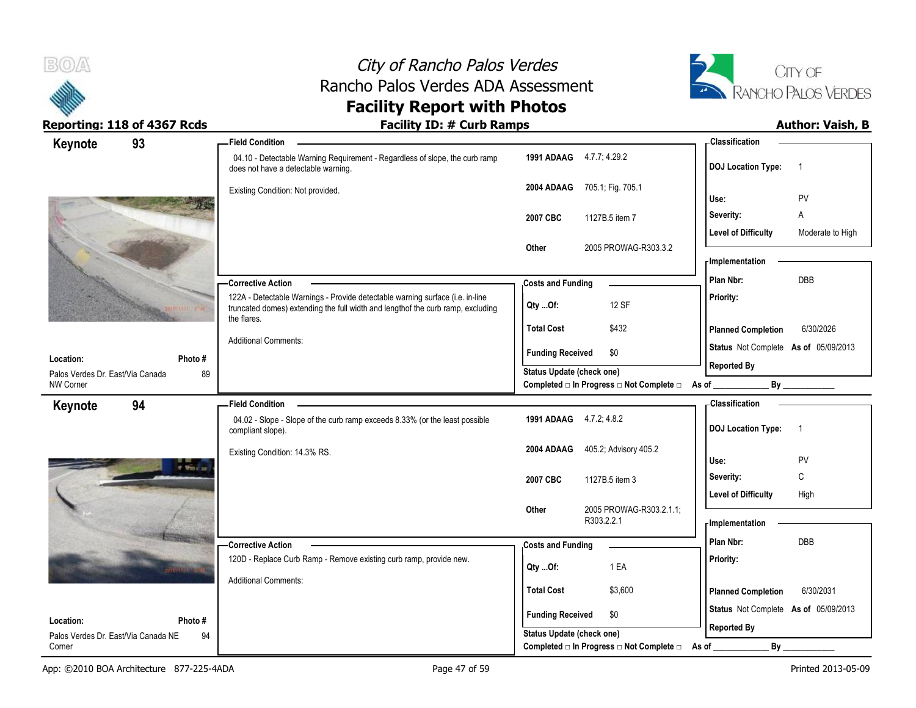



| Keynote                                              | 93            | <b>Field Condition</b>                                                                                                                                                          |                                                             | <b>Classification</b>                          |
|------------------------------------------------------|---------------|---------------------------------------------------------------------------------------------------------------------------------------------------------------------------------|-------------------------------------------------------------|------------------------------------------------|
|                                                      |               | 04.10 - Detectable Warning Requirement - Regardless of slope, the curb ramp<br>does not have a detectable warning.                                                              | 1991 ADAAG 4.7.7, 4.29.2                                    | <b>DOJ</b> Location Type:<br>$\overline{1}$    |
|                                                      |               | Existing Condition: Not provided.                                                                                                                                               | 705.1; Fig. 705.1<br>2004 ADAAG                             | <b>PV</b><br>Use:                              |
|                                                      |               |                                                                                                                                                                                 | 1127B.5 item 7<br>2007 CBC                                  | A<br>Severity:                                 |
|                                                      |               |                                                                                                                                                                                 |                                                             | <b>Level of Difficulty</b><br>Moderate to High |
|                                                      |               |                                                                                                                                                                                 | 2005 PROWAG-R303.3.2<br>Other                               |                                                |
|                                                      |               |                                                                                                                                                                                 |                                                             | - Implementation                               |
|                                                      |               | <b>Corrective Action</b>                                                                                                                                                        | <b>Costs and Funding</b>                                    | <b>DBB</b><br>Plan Nbr:                        |
|                                                      |               | 122A - Detectable Warnings - Provide detectable warning surface (i.e. in-line<br>truncated domes) extending the full width and lengthof the curb ramp, excluding<br>the flares. | 12 SF<br>$Qty$ Of:                                          | Priority:                                      |
|                                                      |               |                                                                                                                                                                                 | \$432<br><b>Total Cost</b>                                  | <b>Planned Completion</b><br>6/30/2026         |
|                                                      |               | <b>Additional Comments:</b>                                                                                                                                                     | \$0<br><b>Funding Received</b>                              | Status Not Complete As of 05/09/2013           |
| Location:                                            | Photo#        |                                                                                                                                                                                 | Status Update (check one)                                   | <b>Reported By</b>                             |
| Palos Verdes Dr. East/Via Canada<br><b>NW Corner</b> | 89            |                                                                                                                                                                                 | Completed □ In Progress □ Not Complete □ As of _            | By                                             |
| Keynote                                              | 94            | <b>Field Condition</b>                                                                                                                                                          |                                                             | <b>Classification</b>                          |
|                                                      |               | 04.02 - Slope - Slope of the curb ramp exceeds 8.33% (or the least possible<br>compliant slope).                                                                                | 1991 ADAAG 4.7.2, 4.8.2                                     | <b>DOJ Location Type:</b><br>-1                |
|                                                      |               | Existing Condition: 14.3% RS.                                                                                                                                                   | 405.2, Advisory 405.2<br>2004 ADAAG                         |                                                |
|                                                      | of Wood and   |                                                                                                                                                                                 |                                                             | Use:<br><b>PV</b>                              |
|                                                      |               |                                                                                                                                                                                 | 2007 CBC<br>1127B.5 item 3                                  | C<br>Severity:                                 |
|                                                      |               |                                                                                                                                                                                 |                                                             | <b>Level of Difficulty</b><br>High             |
|                                                      |               |                                                                                                                                                                                 |                                                             |                                                |
|                                                      |               |                                                                                                                                                                                 | 2005 PROWAG-R303.2.1.1;<br>Other<br>R303.2.2.1              | - Implementation                               |
|                                                      |               |                                                                                                                                                                                 |                                                             | Plan Nbr:<br><b>DBB</b>                        |
|                                                      |               | -Corrective Action                                                                                                                                                              | <b>Costs and Funding</b>                                    |                                                |
|                                                      |               | 120D - Replace Curb Ramp - Remove existing curb ramp, provide new.                                                                                                              | 1 EA<br>Qty Of:                                             | Priority:                                      |
|                                                      |               | <b>Additional Comments:</b>                                                                                                                                                     | <b>Total Cost</b><br>\$3,600                                | <b>Planned Completion</b><br>6/30/2031         |
|                                                      |               |                                                                                                                                                                                 |                                                             | Status Not Complete As of 05/09/2013           |
| Location:<br>Palos Verdes Dr. East/Via Canada NE     | Photo #<br>94 |                                                                                                                                                                                 | <b>Funding Received</b><br>\$0<br>Status Update (check one) | <b>Reported By</b>                             |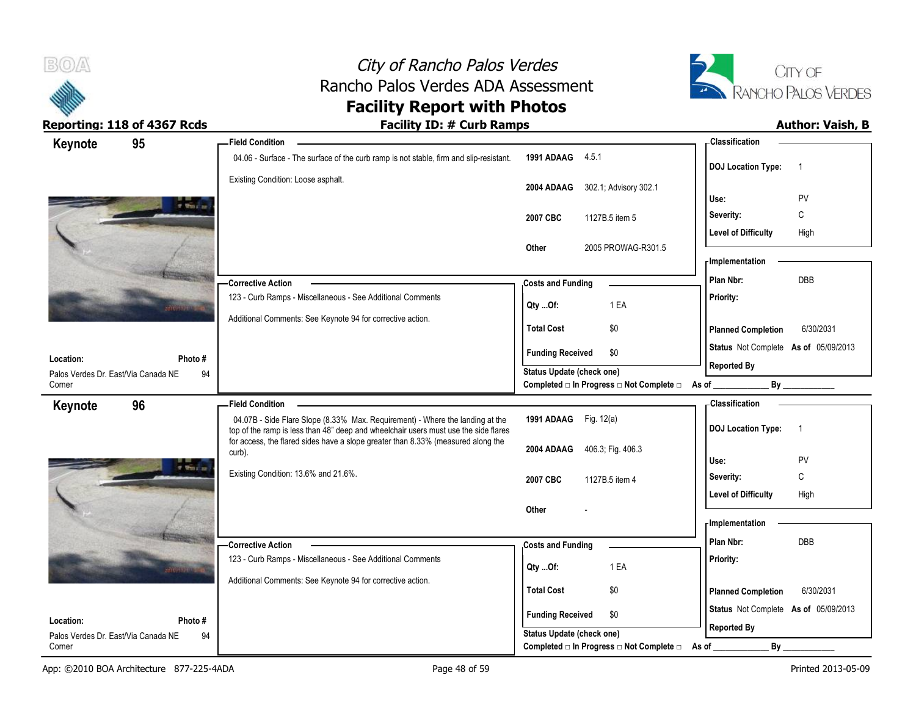

 $B(0)$ 

| Keynote                                          | 95            | <b>Field Condition</b>                                                                                                                                               |                                                  | - Classification                            |
|--------------------------------------------------|---------------|----------------------------------------------------------------------------------------------------------------------------------------------------------------------|--------------------------------------------------|---------------------------------------------|
|                                                  |               | 04.06 - Surface - The surface of the curb ramp is not stable, firm and slip-resistant.                                                                               | 1991 ADAAG 4.5.1                                 | <b>DOJ Location Type:</b><br>$\overline{1}$ |
|                                                  |               | Existing Condition: Loose asphalt.                                                                                                                                   | 2004 ADAAG<br>302.1, Advisory 302.1              |                                             |
|                                                  | o that is     |                                                                                                                                                                      |                                                  | PV<br>Use:                                  |
|                                                  |               |                                                                                                                                                                      | 1127B.5 item 5<br>2007 CBC                       | Severity:<br>С                              |
|                                                  |               |                                                                                                                                                                      |                                                  | <b>Level of Difficulty</b><br>High          |
|                                                  |               |                                                                                                                                                                      | 2005 PROWAG-R301.5<br>Other                      | - Implementation                            |
|                                                  |               |                                                                                                                                                                      |                                                  | DBB<br>Plan Nbr:                            |
|                                                  |               | -Corrective Action<br>123 - Curb Ramps - Miscellaneous - See Additional Comments                                                                                     | <b>Costs and Funding</b>                         |                                             |
|                                                  |               |                                                                                                                                                                      | 1 EA<br>Qty Of:                                  | Priority:                                   |
|                                                  |               | Additional Comments: See Keynote 94 for corrective action.                                                                                                           | <b>Total Cost</b><br>\$0                         | <b>Planned Completion</b><br>6/30/2031      |
|                                                  |               |                                                                                                                                                                      | <b>Funding Received</b><br>\$0                   | Status Not Complete As of 05/09/2013        |
| Location:<br>Palos Verdes Dr. East/Via Canada NE | Photo #<br>94 |                                                                                                                                                                      | <b>Status Update (check one)</b>                 | <b>Reported By</b>                          |
| Corner                                           |               |                                                                                                                                                                      | Completed □ In Progress □ Not Complete □ As of _ | By                                          |
| Keynote                                          | 96            | <b>Field Condition</b>                                                                                                                                               |                                                  | - Classification                            |
|                                                  |               | 04.07B - Side Flare Slope (8.33% Max. Requirement) - Where the landing at the<br>top of the ramp is less than 48" deep and wheelchair users must use the side flares | 1991 ADAAG Fig. 12(a)                            | <b>DOJ Location Type:</b><br>$\overline{1}$ |
|                                                  |               | for access, the flared sides have a slope greater than 8.33% (measured along the<br>curb).                                                                           | 2004 ADAAG<br>406.3; Fig. 406.3                  |                                             |
|                                                  | of the case   |                                                                                                                                                                      |                                                  | Use:<br>PV                                  |
|                                                  |               | Existing Condition: 13.6% and 21.6%.                                                                                                                                 | 2007 CBC<br>1127B.5 item 4                       | C<br>Severity:                              |
|                                                  |               |                                                                                                                                                                      |                                                  | <b>Level of Difficulty</b><br>High          |
|                                                  |               |                                                                                                                                                                      | Other                                            |                                             |
|                                                  |               |                                                                                                                                                                      |                                                  | - Implementation                            |
|                                                  |               |                                                                                                                                                                      |                                                  |                                             |
|                                                  |               | - Corrective Action                                                                                                                                                  | <b>Costs and Funding</b>                         | Plan Nbr:<br>DBB                            |
|                                                  |               | 123 - Curb Ramps - Miscellaneous - See Additional Comments                                                                                                           | 1 EA<br>Qty Of:                                  | Priority:                                   |
|                                                  |               | Additional Comments: See Keynote 94 for corrective action.                                                                                                           |                                                  |                                             |
|                                                  |               |                                                                                                                                                                      | <b>Total Cost</b><br>\$0                         | <b>Planned Completion</b><br>6/30/2031      |
| Location:                                        | Photo#        |                                                                                                                                                                      | <b>Funding Received</b><br>\$0                   | Status Not Complete As of 05/09/2013        |
| Palos Verdes Dr. East/Via Canada NE              | 94            |                                                                                                                                                                      | <b>Status Update (check one)</b>                 | <b>Reported By</b>                          |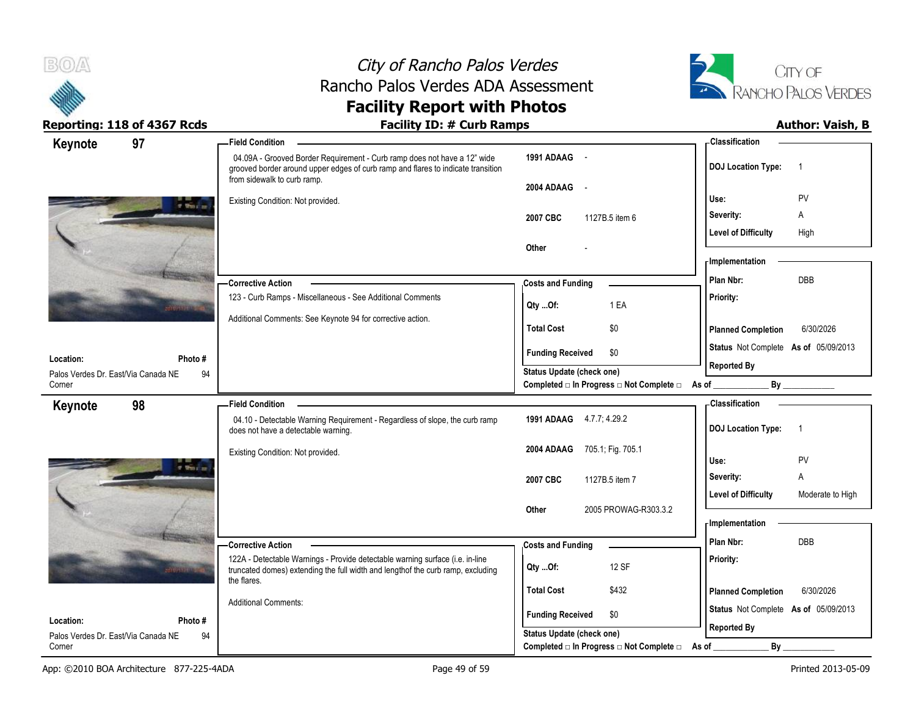



| Keynote                                       | 97            | <b>Field Condition</b>                                                                                                                                                                      |                                                                       | <b>Classification</b>                          |
|-----------------------------------------------|---------------|---------------------------------------------------------------------------------------------------------------------------------------------------------------------------------------------|-----------------------------------------------------------------------|------------------------------------------------|
|                                               |               | 04.09A - Grooved Border Requirement - Curb ramp does not have a 12" wide<br>grooved border around upper edges of curb ramp and flares to indicate transition<br>from sidewalk to curb ramp. | 1991 ADAAG -                                                          | <b>DOJ</b> Location Type:                      |
|                                               | of White Inc. | Existing Condition: Not provided.                                                                                                                                                           | 2004 ADAAG -                                                          | PV<br>Use:                                     |
|                                               |               |                                                                                                                                                                                             | 2007 CBC<br>1127B.5 item 6                                            | A<br>Severity:                                 |
|                                               |               |                                                                                                                                                                                             |                                                                       | <b>Level of Difficulty</b><br>High             |
|                                               |               |                                                                                                                                                                                             | Other                                                                 | - Implementation                               |
|                                               |               | -Corrective Action                                                                                                                                                                          | <b>Costs and Funding</b>                                              | <b>DBB</b><br>Plan Nbr:                        |
|                                               |               | 123 - Curb Ramps - Miscellaneous - See Additional Comments                                                                                                                                  | 1 EA<br>Qty Of:                                                       | Priority:                                      |
|                                               |               | Additional Comments: See Keynote 94 for corrective action.                                                                                                                                  | \$0<br><b>Total Cost</b>                                              | <b>Planned Completion</b><br>6/30/2026         |
| Location:                                     | Photo #       |                                                                                                                                                                                             | <b>Funding Received</b><br>\$0                                        | Status Not Complete As of 05/09/2013           |
| Palos Verdes Dr. East/Via Canada NE           | 94            |                                                                                                                                                                                             | Status Update (check one)                                             | <b>Reported By</b>                             |
| Corner                                        |               |                                                                                                                                                                                             | Completed □ In Progress □ Not Complete □                              | As of                                          |
| Keynote                                       | 98            | <b>Field Condition</b>                                                                                                                                                                      |                                                                       | <b>Classification</b>                          |
|                                               |               | 04.10 - Detectable Warning Requirement - Regardless of slope, the curb ramp<br>does not have a detectable warning.                                                                          | 1991 ADAAG 4.7.7, 4.29.2                                              | <b>DOJ Location Type:</b><br>$\overline{1}$    |
|                                               |               | Existing Condition: Not provided.                                                                                                                                                           | 2004 ADAAG<br>705.1; Fig. 705.1                                       | PV<br>Use:                                     |
|                                               | o that is     |                                                                                                                                                                                             | 2007 CBC<br>1127B.5 item 7                                            | A<br>Severity:                                 |
|                                               |               |                                                                                                                                                                                             |                                                                       | <b>Level of Difficulty</b><br>Moderate to High |
|                                               |               |                                                                                                                                                                                             | 2005 PROWAG-R303.3.2<br>Other                                         |                                                |
|                                               |               |                                                                                                                                                                                             |                                                                       | - Implementation                               |
|                                               |               | - Corrective Action                                                                                                                                                                         | <b>Costs and Funding</b>                                              | Plan Nbr:<br><b>DBB</b>                        |
|                                               |               | 122A - Detectable Warnings - Provide detectable warning surface (i.e. in-line<br>truncated domes) extending the full width and lengthof the curb ramp, excluding                            | 12 SF<br>Qty Of:                                                      | Priority:                                      |
|                                               |               | the flares.                                                                                                                                                                                 | <b>Total Cost</b><br>\$432                                            | <b>Planned Completion</b><br>6/30/2026         |
|                                               |               |                                                                                                                                                                                             |                                                                       |                                                |
|                                               |               | <b>Additional Comments:</b>                                                                                                                                                                 |                                                                       |                                                |
| Location:                                     | Photo #       |                                                                                                                                                                                             | <b>Funding Received</b><br>\$0                                        | Status Not Complete As of 05/09/2013           |
| Palos Verdes Dr. East/Via Canada NE<br>Corner | 94            |                                                                                                                                                                                             | Status Update (check one)<br>Completed □ In Progress □ Not Complete □ | <b>Reported By</b><br>By<br>As of              |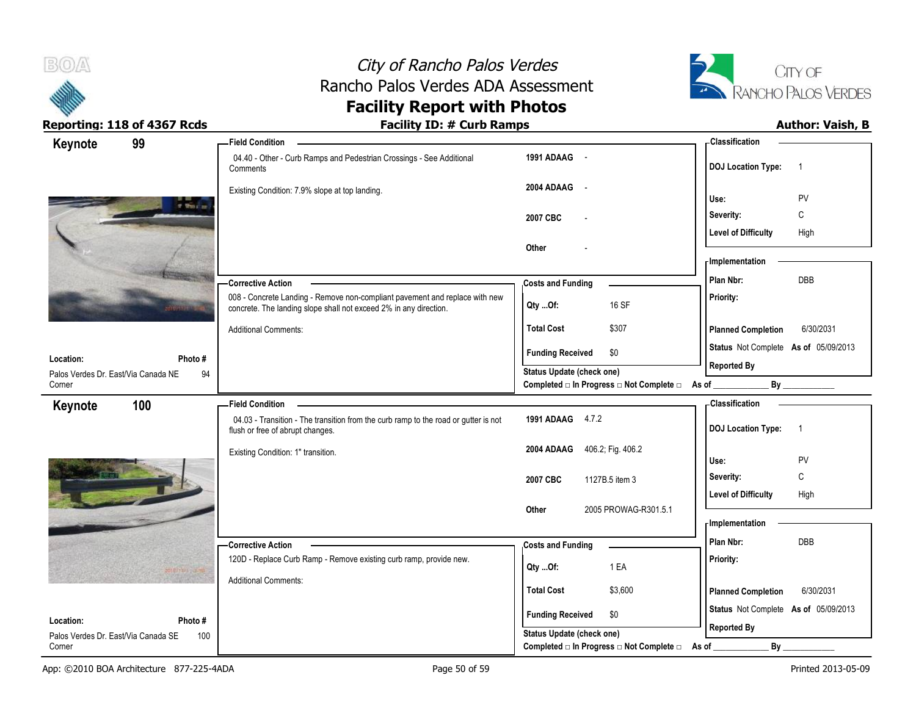



| Keynote                                          | 99            | - Field Condition                                                                                                                                |                                                                               | - Classification                            |
|--------------------------------------------------|---------------|--------------------------------------------------------------------------------------------------------------------------------------------------|-------------------------------------------------------------------------------|---------------------------------------------|
|                                                  |               | 04.40 - Other - Curb Ramps and Pedestrian Crossings - See Additional<br>Comments                                                                 | 1991 ADAAG -                                                                  | <b>DOJ Location Type:</b><br>$\overline{1}$ |
|                                                  |               | Existing Condition: 7.9% slope at top landing.                                                                                                   | 2004 ADAAG<br>$\overline{\phantom{a}}$                                        | PV<br>Use:                                  |
|                                                  | of Wood and   |                                                                                                                                                  | 2007 CBC                                                                      | C<br>Severity:                              |
|                                                  |               |                                                                                                                                                  |                                                                               | <b>Level of Difficulty</b><br>High          |
|                                                  |               |                                                                                                                                                  | Other                                                                         |                                             |
|                                                  |               |                                                                                                                                                  |                                                                               | - Implementation                            |
|                                                  |               | -Corrective Action                                                                                                                               | <b>Costs and Funding</b>                                                      | <b>DBB</b><br>Plan Nbr:                     |
|                                                  |               | 008 - Concrete Landing - Remove non-compliant pavement and replace with new<br>concrete. The landing slope shall not exceed 2% in any direction. | 16 SF<br>Qty Of:                                                              | Priority:                                   |
|                                                  |               | <b>Additional Comments:</b>                                                                                                                      | \$307<br><b>Total Cost</b>                                                    | <b>Planned Completion</b><br>6/30/2031      |
|                                                  |               |                                                                                                                                                  | <b>Funding Received</b><br>\$0                                                | Status Not Complete As of 05/09/2013        |
| Location:<br>Palos Verdes Dr. East/Via Canada NE | Photo #<br>94 |                                                                                                                                                  | Status Update (check one)                                                     | <b>Reported By</b>                          |
| Corner                                           |               |                                                                                                                                                  | Completed □ In Progress □ Not Complete □ As of __                             | By                                          |
| Keynote                                          | 100           | <b>Field Condition</b>                                                                                                                           |                                                                               | <b>Classification</b>                       |
|                                                  |               | 04.03 - Transition - The transition from the curb ramp to the road or gutter is not<br>flush or free of abrupt changes.                          | 1991 ADAAG 4.7.2                                                              | <b>DOJ Location Type:</b><br>$\overline{1}$ |
|                                                  |               | Existing Condition: 1" transition.                                                                                                               | 406.2; Fig. 406.2<br>2004 ADAAG                                               |                                             |
|                                                  |               |                                                                                                                                                  |                                                                               | Use:<br><b>PV</b><br>C<br>Severity:         |
|                                                  |               |                                                                                                                                                  | 2007 CBC<br>1127B.5 item 3                                                    | <b>Level of Difficulty</b><br>High          |
|                                                  |               |                                                                                                                                                  | 2005 PROWAG-R301.5.1<br>Other                                                 |                                             |
|                                                  |               |                                                                                                                                                  |                                                                               | - Implementation                            |
|                                                  |               | - Corrective Action                                                                                                                              | <b>Costs and Funding</b>                                                      | Plan Nbr:<br><b>DBB</b>                     |
|                                                  |               | 120D - Replace Curb Ramp - Remove existing curb ramp, provide new.                                                                               | 1 EA<br>$Qty$ Of:                                                             | Priority:                                   |
|                                                  |               | <b>Additional Comments:</b>                                                                                                                      |                                                                               |                                             |
|                                                  |               |                                                                                                                                                  | <b>Total Cost</b><br>\$3,600                                                  | <b>Planned Completion</b><br>6/30/2031      |
| Location:                                        | Photo #       |                                                                                                                                                  | \$0<br><b>Funding Received</b>                                                | Status Not Complete As of 05/09/2013        |
|                                                  |               |                                                                                                                                                  |                                                                               | <b>Reported By</b>                          |
| Palos Verdes Dr. East/Via Canada SE              | 100           |                                                                                                                                                  | Status Update (check one)<br>Completed □ In Progress □ Not Complete □ As of _ | By                                          |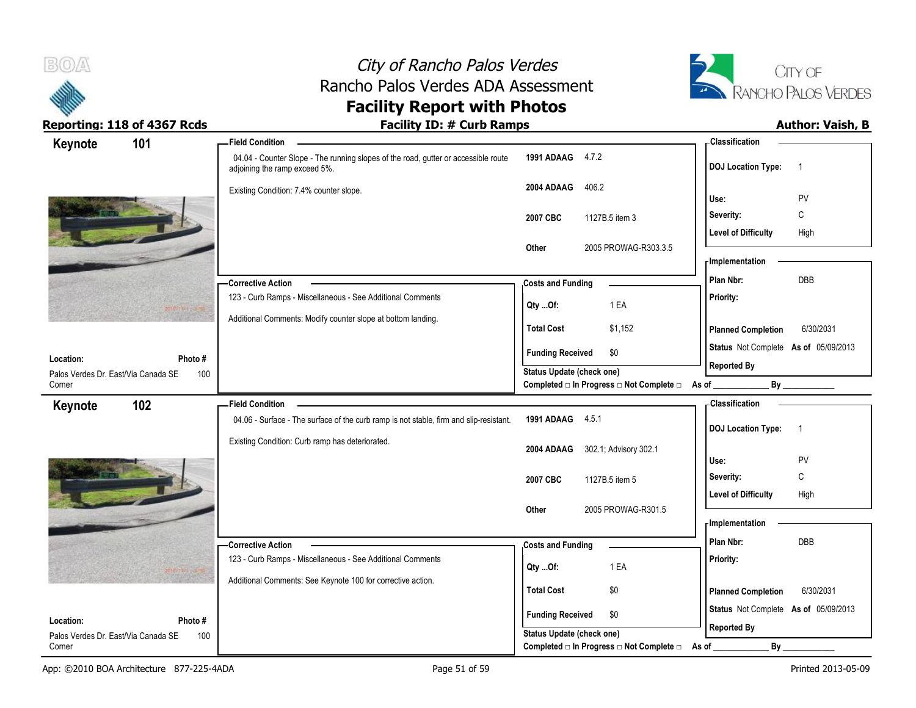



| Keynote                                          | 101            | <b>Field Condition</b>                                                                                              |                                                                    | - Classification                            |
|--------------------------------------------------|----------------|---------------------------------------------------------------------------------------------------------------------|--------------------------------------------------------------------|---------------------------------------------|
|                                                  |                | 04.04 - Counter Slope - The running slopes of the road, gutter or accessible route<br>adjoining the ramp exceed 5%. | 1991 ADAAG 4.7.2                                                   | <b>DOJ Location Type:</b><br>$\overline{1}$ |
|                                                  |                | Existing Condition: 7.4% counter slope.                                                                             | 406.2<br>2004 ADAAG                                                | PV<br>Use:                                  |
|                                                  |                |                                                                                                                     | 2007 CBC<br>1127B.5 item 3                                         | C<br>Severity:                              |
|                                                  |                |                                                                                                                     |                                                                    | <b>Level of Difficulty</b><br>High          |
|                                                  |                |                                                                                                                     | 2005 PROWAG-R303.3.5<br>Other                                      |                                             |
|                                                  |                |                                                                                                                     |                                                                    | <b>Implementation</b>                       |
|                                                  |                | <b>Corrective Action</b>                                                                                            | <b>Costs and Funding</b>                                           | DBB<br>Plan Nbr:                            |
|                                                  |                | 123 - Curb Ramps - Miscellaneous - See Additional Comments                                                          | 1 EA<br>Qty Of:                                                    | Priority:                                   |
|                                                  |                | Additional Comments: Modify counter slope at bottom landing.                                                        |                                                                    |                                             |
|                                                  |                |                                                                                                                     | \$1,152<br><b>Total Cost</b>                                       | <b>Planned Completion</b><br>6/30/2031      |
| Location:                                        | Photo#         |                                                                                                                     | <b>Funding Received</b><br>\$0                                     | Status Not Complete As of 05/09/2013        |
| Palos Verdes Dr. East/Via Canada SE              | 100            |                                                                                                                     | Status Update (check one)                                          | <b>Reported By</b>                          |
| Corner                                           |                |                                                                                                                     | Completed □ In Progress □ Not Complete □ As of _                   | $\mathsf{By}$                               |
| Keynote                                          | 102            | <b>Field Condition</b>                                                                                              |                                                                    | <b>Classification</b>                       |
|                                                  |                | 04.06 - Surface - The surface of the curb ramp is not stable, firm and slip-resistant.                              | 1991 ADAAG 4.5.1                                                   | <b>DOJ Location Type:</b><br>$\overline{1}$ |
|                                                  |                | Existing Condition: Curb ramp has deteriorated.                                                                     | 2004 ADAAG<br>302.1; Advisory 302.1                                |                                             |
|                                                  |                |                                                                                                                     |                                                                    | Use:<br>PV                                  |
|                                                  |                |                                                                                                                     | 2007 CBC<br>1127B.5 item 5                                         | C<br>Severity:                              |
|                                                  |                |                                                                                                                     |                                                                    | <b>Level of Difficulty</b><br>High          |
|                                                  |                |                                                                                                                     | 2005 PROWAG-R301.5<br>Other                                        | <b>Implementation</b>                       |
|                                                  |                |                                                                                                                     |                                                                    | Plan Nbr:<br>DBB                            |
|                                                  |                | <b>Corrective Action</b><br>123 - Curb Ramps - Miscellaneous - See Additional Comments                              | <b>Costs and Funding</b>                                           | Priority:                                   |
|                                                  |                | Additional Comments: See Keynote 100 for corrective action.                                                         | 1 EA<br>Qty Of:                                                    |                                             |
|                                                  |                |                                                                                                                     | <b>Total Cost</b><br>\$0                                           | <b>Planned Completion</b><br>6/30/2031      |
|                                                  |                |                                                                                                                     |                                                                    | Status Not Complete As of 05/09/2013        |
|                                                  |                |                                                                                                                     |                                                                    |                                             |
| Location:<br>Palos Verdes Dr. East/Via Canada SE | Photo #<br>100 |                                                                                                                     | <b>Funding Received</b><br>\$0<br><b>Status Update (check one)</b> | <b>Reported By</b>                          |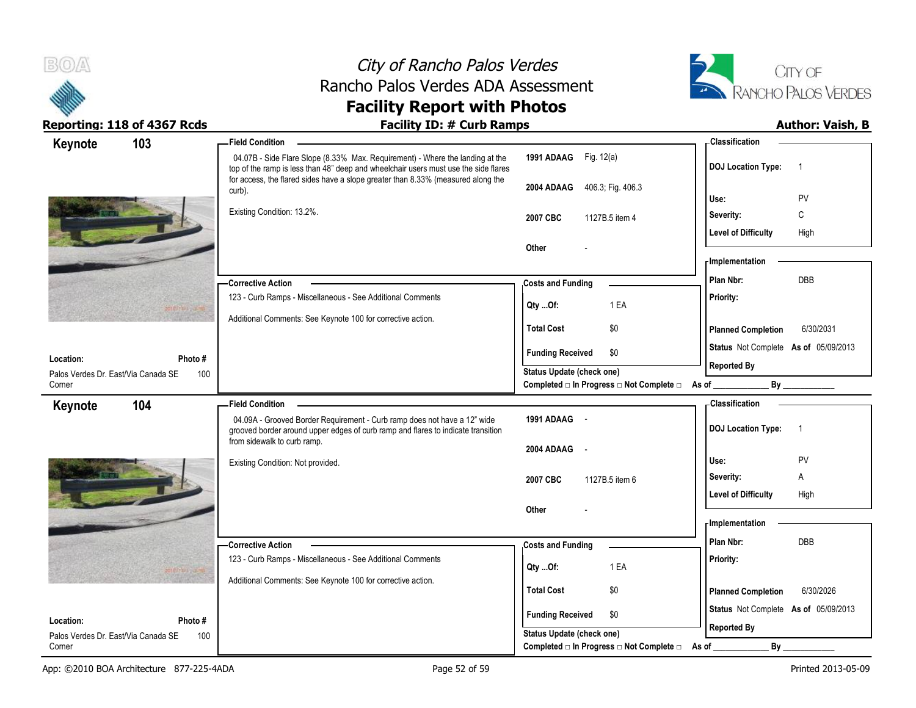

# City of Rancho Palos Verdes Rancho Palos Verdes ADA Assessment



## **Facility Report with Photos**

| Keynote<br>1991 ADAAG Fig. 12(a)<br>04.07B - Side Flare Slope (8.33% Max. Requirement) - Where the landing at the<br><b>DOJ</b> Location Type:<br>-1<br>top of the ramp is less than 48" deep and wheelchair users must use the side flares<br>for access, the flared sides have a slope greater than 8.33% (measured along the<br>2004 ADAAG<br>406.3, Fig. 406.3<br>curb).<br>Use:<br>PV<br>Existing Condition: 13.2%.<br>C<br>Severity:<br>2007 CBC<br>1127B.5 item 4<br><b>Level of Difficulty</b><br>High<br>Other<br>- Implementation<br>Plan Nbr:<br>DBB<br><b>Corrective Action</b><br><b>Costs and Funding</b><br>123 - Curb Ramps - Miscellaneous - See Additional Comments<br>Priority:<br>1 EA<br>Qty Of:<br>Additional Comments: See Keynote 100 for corrective action.<br>\$0<br><b>Total Cost</b><br><b>Planned Completion</b><br>6/30/2031<br>Status Not Complete As of 05/09/2013<br><b>Funding Received</b><br>\$0<br>Location:<br>Photo#<br><b>Reported By</b><br>Status Update (check one)<br>Palos Verdes Dr. East/Via Canada SE<br>100<br>Corner<br>Completed □ In Progress □ Not Complete □ As of _<br>By<br><b>Classification</b><br>104<br><b>Field Condition</b><br>Keynote |  |
|-------------------------------------------------------------------------------------------------------------------------------------------------------------------------------------------------------------------------------------------------------------------------------------------------------------------------------------------------------------------------------------------------------------------------------------------------------------------------------------------------------------------------------------------------------------------------------------------------------------------------------------------------------------------------------------------------------------------------------------------------------------------------------------------------------------------------------------------------------------------------------------------------------------------------------------------------------------------------------------------------------------------------------------------------------------------------------------------------------------------------------------------------------------------------------------------------------|--|
|                                                                                                                                                                                                                                                                                                                                                                                                                                                                                                                                                                                                                                                                                                                                                                                                                                                                                                                                                                                                                                                                                                                                                                                                       |  |
|                                                                                                                                                                                                                                                                                                                                                                                                                                                                                                                                                                                                                                                                                                                                                                                                                                                                                                                                                                                                                                                                                                                                                                                                       |  |
|                                                                                                                                                                                                                                                                                                                                                                                                                                                                                                                                                                                                                                                                                                                                                                                                                                                                                                                                                                                                                                                                                                                                                                                                       |  |
|                                                                                                                                                                                                                                                                                                                                                                                                                                                                                                                                                                                                                                                                                                                                                                                                                                                                                                                                                                                                                                                                                                                                                                                                       |  |
|                                                                                                                                                                                                                                                                                                                                                                                                                                                                                                                                                                                                                                                                                                                                                                                                                                                                                                                                                                                                                                                                                                                                                                                                       |  |
|                                                                                                                                                                                                                                                                                                                                                                                                                                                                                                                                                                                                                                                                                                                                                                                                                                                                                                                                                                                                                                                                                                                                                                                                       |  |
|                                                                                                                                                                                                                                                                                                                                                                                                                                                                                                                                                                                                                                                                                                                                                                                                                                                                                                                                                                                                                                                                                                                                                                                                       |  |
|                                                                                                                                                                                                                                                                                                                                                                                                                                                                                                                                                                                                                                                                                                                                                                                                                                                                                                                                                                                                                                                                                                                                                                                                       |  |
|                                                                                                                                                                                                                                                                                                                                                                                                                                                                                                                                                                                                                                                                                                                                                                                                                                                                                                                                                                                                                                                                                                                                                                                                       |  |
|                                                                                                                                                                                                                                                                                                                                                                                                                                                                                                                                                                                                                                                                                                                                                                                                                                                                                                                                                                                                                                                                                                                                                                                                       |  |
|                                                                                                                                                                                                                                                                                                                                                                                                                                                                                                                                                                                                                                                                                                                                                                                                                                                                                                                                                                                                                                                                                                                                                                                                       |  |
|                                                                                                                                                                                                                                                                                                                                                                                                                                                                                                                                                                                                                                                                                                                                                                                                                                                                                                                                                                                                                                                                                                                                                                                                       |  |
|                                                                                                                                                                                                                                                                                                                                                                                                                                                                                                                                                                                                                                                                                                                                                                                                                                                                                                                                                                                                                                                                                                                                                                                                       |  |
| 1991 ADAAG -<br>04.09A - Grooved Border Requirement - Curb ramp does not have a 12" wide<br><b>DOJ</b> Location Type:<br>$\overline{1}$<br>grooved border around upper edges of curb ramp and flares to indicate transition                                                                                                                                                                                                                                                                                                                                                                                                                                                                                                                                                                                                                                                                                                                                                                                                                                                                                                                                                                           |  |
| from sidewalk to curb ramp.<br>2004 ADAAG<br>$\sim$                                                                                                                                                                                                                                                                                                                                                                                                                                                                                                                                                                                                                                                                                                                                                                                                                                                                                                                                                                                                                                                                                                                                                   |  |
| Use:<br><b>PV</b><br>Existing Condition: Not provided.                                                                                                                                                                                                                                                                                                                                                                                                                                                                                                                                                                                                                                                                                                                                                                                                                                                                                                                                                                                                                                                                                                                                                |  |
| Severity:<br>Α<br>2007 CBC<br>1127B.5 item 6                                                                                                                                                                                                                                                                                                                                                                                                                                                                                                                                                                                                                                                                                                                                                                                                                                                                                                                                                                                                                                                                                                                                                          |  |
| <b>Level of Difficulty</b><br>High                                                                                                                                                                                                                                                                                                                                                                                                                                                                                                                                                                                                                                                                                                                                                                                                                                                                                                                                                                                                                                                                                                                                                                    |  |
| Other<br>- Implementation                                                                                                                                                                                                                                                                                                                                                                                                                                                                                                                                                                                                                                                                                                                                                                                                                                                                                                                                                                                                                                                                                                                                                                             |  |
| Plan Nbr:<br>DBB                                                                                                                                                                                                                                                                                                                                                                                                                                                                                                                                                                                                                                                                                                                                                                                                                                                                                                                                                                                                                                                                                                                                                                                      |  |
| <b>Corrective Action</b><br><b>Costs and Funding</b>                                                                                                                                                                                                                                                                                                                                                                                                                                                                                                                                                                                                                                                                                                                                                                                                                                                                                                                                                                                                                                                                                                                                                  |  |
| 123 - Curb Ramps - Miscellaneous - See Additional Comments<br>Priority:<br>1 EA<br>QtyOf:                                                                                                                                                                                                                                                                                                                                                                                                                                                                                                                                                                                                                                                                                                                                                                                                                                                                                                                                                                                                                                                                                                             |  |
| Additional Comments: See Keynote 100 for corrective action.<br><b>Total Cost</b><br>\$0<br><b>Planned Completion</b><br>6/30/2026                                                                                                                                                                                                                                                                                                                                                                                                                                                                                                                                                                                                                                                                                                                                                                                                                                                                                                                                                                                                                                                                     |  |
| Status Not Complete As of 05/09/2013                                                                                                                                                                                                                                                                                                                                                                                                                                                                                                                                                                                                                                                                                                                                                                                                                                                                                                                                                                                                                                                                                                                                                                  |  |
| <b>Funding Received</b><br>\$0<br>Location:<br>Photo#<br><b>Reported By</b>                                                                                                                                                                                                                                                                                                                                                                                                                                                                                                                                                                                                                                                                                                                                                                                                                                                                                                                                                                                                                                                                                                                           |  |
| <b>Status Update (check one)</b><br>Palos Verdes Dr. East/Via Canada SE<br>100<br>Completed □ In Progress □ Not Complete □ As of<br>By<br>Corner                                                                                                                                                                                                                                                                                                                                                                                                                                                                                                                                                                                                                                                                                                                                                                                                                                                                                                                                                                                                                                                      |  |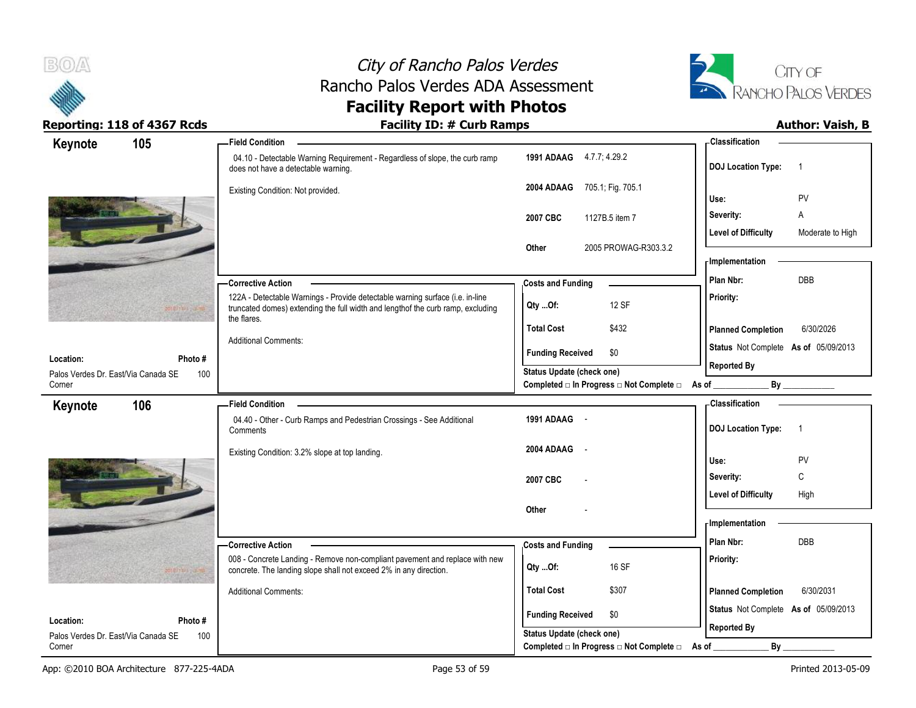



| Keynote                                          | 105     | <b>Field Condition</b>                                                                                                                                                          |                                                                       | -Classification                                |
|--------------------------------------------------|---------|---------------------------------------------------------------------------------------------------------------------------------------------------------------------------------|-----------------------------------------------------------------------|------------------------------------------------|
|                                                  |         | 04.10 - Detectable Warning Requirement - Regardless of slope, the curb ramp<br>does not have a detectable warning.                                                              | 1991 ADAAG 4.7.7; 4.29.2                                              | <b>DOJ</b> Location Type:<br>$\overline{1}$    |
|                                                  |         | Existing Condition: Not provided.                                                                                                                                               | 2004 ADAAG<br>705.1, Fig. 705.1                                       | <b>PV</b><br>Use:                              |
|                                                  |         |                                                                                                                                                                                 | 1127B.5 item 7<br>2007 CBC                                            | A<br>Severity:                                 |
|                                                  |         |                                                                                                                                                                                 |                                                                       | <b>Level of Difficulty</b><br>Moderate to High |
|                                                  |         |                                                                                                                                                                                 | 2005 PROWAG-R303.3.2<br>Other                                         |                                                |
|                                                  |         |                                                                                                                                                                                 |                                                                       | - Implementation                               |
|                                                  |         | <b>Corrective Action</b>                                                                                                                                                        | <b>Costs and Funding</b>                                              | <b>DBB</b><br>Plan Nbr:                        |
|                                                  |         | 122A - Detectable Warnings - Provide detectable warning surface (i.e. in-line<br>truncated domes) extending the full width and lengthof the curb ramp, excluding<br>the flares. | 12 SF<br>Qty Of:                                                      | Priority:                                      |
|                                                  |         |                                                                                                                                                                                 | <b>Total Cost</b><br>\$432                                            | 6/30/2026<br><b>Planned Completion</b>         |
|                                                  | Photo#  | <b>Additional Comments:</b>                                                                                                                                                     | \$0<br><b>Funding Received</b>                                        | Status Not Complete As of 05/09/2013           |
| Location:<br>Palos Verdes Dr. East/Via Canada SE | 100     |                                                                                                                                                                                 | Status Update (check one)                                             | <b>Reported By</b>                             |
| Corner                                           |         |                                                                                                                                                                                 | Completed □ In Progress □ Not Complete □ As of                        | By                                             |
| Keynote                                          | 106     | <b>Field Condition</b>                                                                                                                                                          |                                                                       | <b>Classification</b>                          |
|                                                  |         | 04.40 - Other - Curb Ramps and Pedestrian Crossings - See Additional                                                                                                            | 1991 ADAAG -                                                          | <b>DOJ Location Type:</b><br>-1                |
|                                                  |         | Comments                                                                                                                                                                        |                                                                       |                                                |
|                                                  |         | Existing Condition: 3.2% slope at top landing.                                                                                                                                  | 2004 ADAAG<br>$\sim$                                                  |                                                |
|                                                  |         |                                                                                                                                                                                 |                                                                       | Use:<br><b>PV</b>                              |
|                                                  |         |                                                                                                                                                                                 | 2007 CBC                                                              | C<br>Severity:                                 |
|                                                  |         |                                                                                                                                                                                 | Other                                                                 | <b>Level of Difficulty</b><br>High             |
|                                                  |         |                                                                                                                                                                                 |                                                                       | - Implementation                               |
|                                                  |         | <b>Corrective Action</b>                                                                                                                                                        | <b>Costs and Funding</b>                                              | Plan Nbr:<br><b>DBB</b>                        |
|                                                  |         | 008 - Concrete Landing - Remove non-compliant pavement and replace with new<br>concrete. The landing slope shall not exceed 2% in any direction.                                | 16 SF<br>Qty  Of:                                                     | Priority:                                      |
|                                                  |         | <b>Additional Comments:</b>                                                                                                                                                     | <b>Total Cost</b><br>\$307                                            | <b>Planned Completion</b><br>6/30/2031         |
| Location:                                        | Photo # |                                                                                                                                                                                 | <b>Funding Received</b><br>\$0                                        | Status Not Complete As of 05/09/2013           |
| Palos Verdes Dr. East/Via Canada SE              | 100     |                                                                                                                                                                                 | Status Update (check one)<br>Completed □ In Progress □ Not Complete □ | <b>Reported By</b><br>By                       |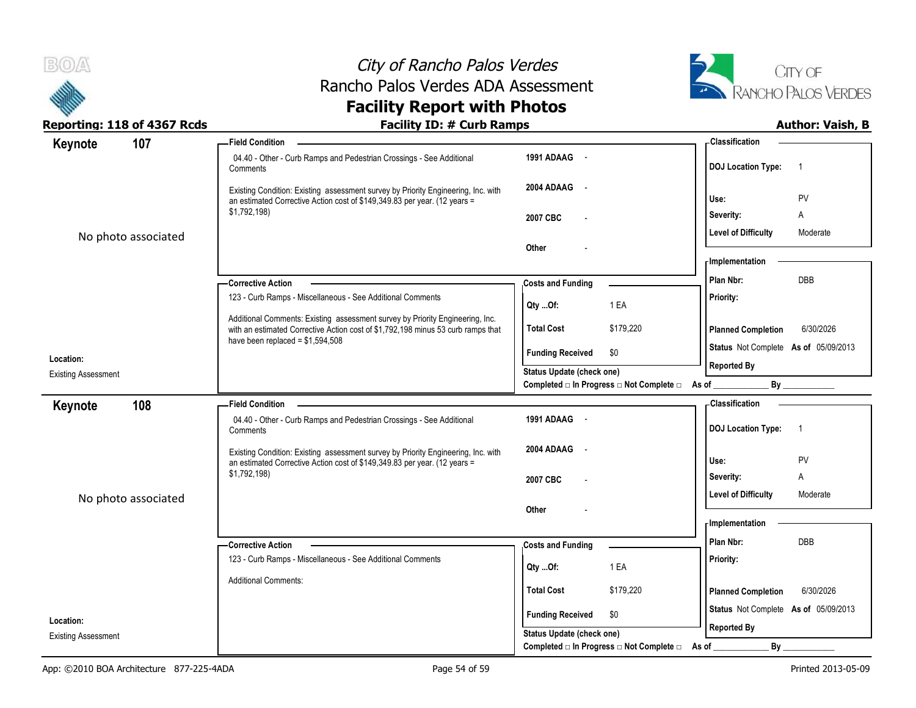



| Reporting: 118 of 4367 Rcds             | <b>Facility ID: # Curb Ramps</b>                                                                                                                                  |                                                                             |                                      | <b>Author: Vaish, B</b>    |
|-----------------------------------------|-------------------------------------------------------------------------------------------------------------------------------------------------------------------|-----------------------------------------------------------------------------|--------------------------------------|----------------------------|
| 107<br>Keynote                          | <b>Field Condition</b>                                                                                                                                            |                                                                             | <b>Classification</b>                |                            |
|                                         | 04.40 - Other - Curb Ramps and Pedestrian Crossings - See Additional<br>Comments                                                                                  | 1991 ADAAG -                                                                | <b>DOJ Location Type:</b>            | $\overline{\phantom{0}}$ 1 |
|                                         | Existing Condition: Existing assessment survey by Priority Engineering, Inc. with<br>an estimated Corrective Action cost of \$149,349.83 per year. (12 years =    | 2004 ADAAG -                                                                | Use:                                 | PV                         |
|                                         | \$1,792,198)                                                                                                                                                      | 2007 CBC                                                                    | Severity:                            | Α                          |
| No photo associated                     |                                                                                                                                                                   |                                                                             | <b>Level of Difficulty</b>           | Moderate                   |
|                                         |                                                                                                                                                                   | Other                                                                       | - Implementation                     |                            |
|                                         | -Corrective Action                                                                                                                                                | <b>Costs and Funding</b>                                                    | Plan Nbr:                            | DBB                        |
|                                         | 123 - Curb Ramps - Miscellaneous - See Additional Comments                                                                                                        | 1 EA<br>QtyOf:                                                              | <b>Priority:</b>                     |                            |
|                                         | Additional Comments: Existing assessment survey by Priority Engineering, Inc.<br>with an estimated Corrective Action cost of \$1,792,198 minus 53 curb ramps that | \$179,220<br><b>Total Cost</b>                                              | <b>Planned Completion</b>            | 6/30/2026                  |
|                                         | have been replaced = $$1,594,508$                                                                                                                                 | <b>Funding Received</b><br>\$0                                              | Status Not Complete As of 05/09/2013 |                            |
| Location:<br><b>Existing Assessment</b> |                                                                                                                                                                   | <b>Status Update (check one)</b>                                            | <b>Reported By</b>                   |                            |
|                                         |                                                                                                                                                                   | Completed □ In Progress □ Not Complete □ As of                              |                                      |                            |
| 108<br>Keynote                          | -Field Condition                                                                                                                                                  |                                                                             | Classification                       |                            |
|                                         | 04.40 - Other - Curb Ramps and Pedestrian Crossings - See Additional<br>Comments                                                                                  | 1991 ADAAG -                                                                | DOJ Location Type: 1                 |                            |
|                                         | Existing Condition: Existing assessment survey by Priority Engineering, Inc. with<br>an estimated Corrective Action cost of \$149,349.83 per year. (12 years =    | 2004 ADAAG -                                                                | Use:                                 | PV                         |
|                                         | \$1,792,198)                                                                                                                                                      | 2007 CBC                                                                    | Severity:                            | Α                          |
|                                         |                                                                                                                                                                   |                                                                             | <b>Level of Difficulty</b>           | Moderate                   |
| No photo associated                     |                                                                                                                                                                   | Other                                                                       | - Implementation                     |                            |
|                                         |                                                                                                                                                                   |                                                                             |                                      |                            |
|                                         | <b>Corrective Action</b>                                                                                                                                          | <b>Costs and Funding</b>                                                    | Plan Nbr:                            | <b>DBB</b>                 |
|                                         | 123 - Curb Ramps - Miscellaneous - See Additional Comments                                                                                                        | 1 EA<br>QtyOf:                                                              | Priority:                            |                            |
|                                         | <b>Additional Comments:</b>                                                                                                                                       | \$179,220<br><b>Total Cost</b>                                              | <b>Planned Completion</b>            | 6/30/2026                  |
| Location:                               |                                                                                                                                                                   | <b>Funding Received</b><br>\$0                                              | Status Not Complete As of 05/09/2013 |                            |
| <b>Existing Assessment</b>              |                                                                                                                                                                   | Status Update (check one)<br>Completed □ In Progress □ Not Complete □ As of | <b>Reported By</b><br>By             |                            |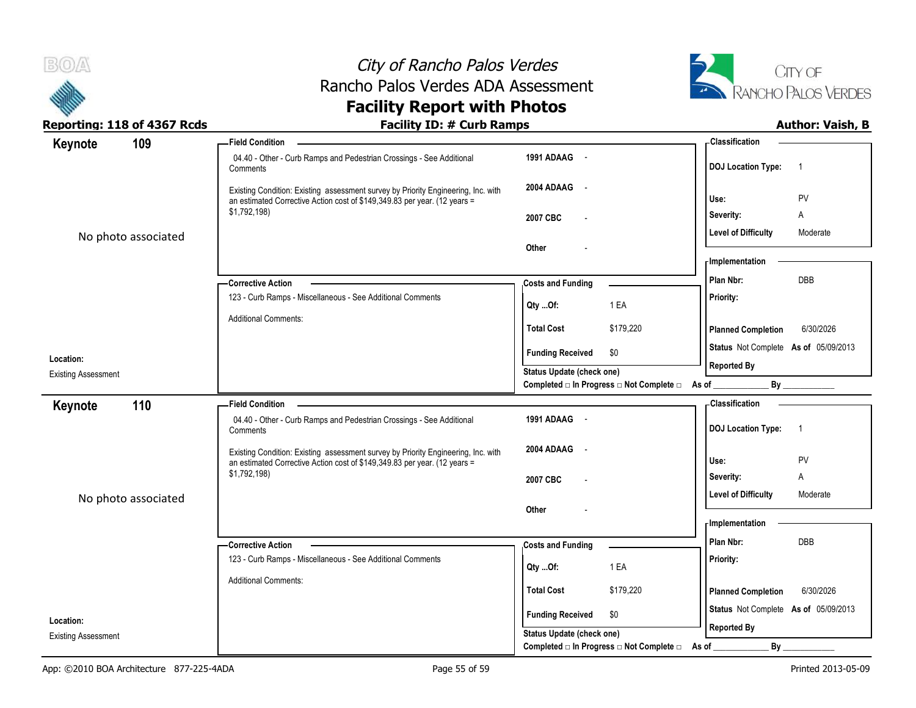



| Reporting: 118 of 4367 Rcds | <b>Facility ID: # Curb Ramps</b>                                                                                                                               |                                                  | <b>Author: Vaish, B</b>                     |
|-----------------------------|----------------------------------------------------------------------------------------------------------------------------------------------------------------|--------------------------------------------------|---------------------------------------------|
| 109<br>Keynote              | <b>Field Condition</b>                                                                                                                                         |                                                  | - Classification                            |
|                             | 04.40 - Other - Curb Ramps and Pedestrian Crossings - See Additional<br>Comments                                                                               | 1991 ADAAG -                                     | <b>DOJ Location Type:</b><br>$\overline{1}$ |
|                             | Existing Condition: Existing assessment survey by Priority Engineering, Inc. with<br>an estimated Corrective Action cost of \$149,349.83 per year. (12 years = | 2004 ADAAG -                                     | PV<br>Use:                                  |
|                             | \$1,792,198)                                                                                                                                                   | 2007 CBC                                         | Severity:<br>A                              |
| No photo associated         |                                                                                                                                                                | Other                                            | <b>Level of Difficulty</b><br>Moderate      |
|                             |                                                                                                                                                                |                                                  | - Implementation                            |
|                             | <b>Corrective Action</b>                                                                                                                                       | <b>Costs and Funding</b>                         | <b>DBB</b><br>Plan Nbr:                     |
|                             | 123 - Curb Ramps - Miscellaneous - See Additional Comments                                                                                                     | Qty Of:<br>1 EA                                  | Priority:                                   |
|                             | <b>Additional Comments:</b>                                                                                                                                    | <b>Total Cost</b><br>\$179,220                   | <b>Planned Completion</b><br>6/30/2026      |
| Location:                   |                                                                                                                                                                | <b>Funding Received</b><br>\$0                   | Status Not Complete As of 05/09/2013        |
| <b>Existing Assessment</b>  |                                                                                                                                                                | <b>Status Update (check one)</b>                 | <b>Reported By</b>                          |
|                             |                                                                                                                                                                | Completed □ In Progress □ Not Complete □ As of _ |                                             |
| 110<br>Keynote              | <b>Field Condition</b>                                                                                                                                         |                                                  | <b>Classification</b>                       |
|                             | 04.40 - Other - Curb Ramps and Pedestrian Crossings - See Additional<br>Comments                                                                               | 1991 ADAAG -                                     | <b>DOJ Location Type:</b><br>$\overline{1}$ |
|                             | Existing Condition: Existing assessment survey by Priority Engineering, Inc. with<br>an estimated Corrective Action cost of \$149,349.83 per year. (12 years = | 2004 ADAAG<br>$\sim$                             | PV<br>Use:                                  |
|                             | \$1,792,198)                                                                                                                                                   | 2007 CBC<br>$\overline{\phantom{a}}$             | A<br>Severity:                              |
| No photo associated         |                                                                                                                                                                |                                                  | <b>Level of Difficulty</b><br>Moderate      |
|                             |                                                                                                                                                                | Other                                            | - Implementation                            |
|                             |                                                                                                                                                                |                                                  |                                             |
|                             | <b>Corrective Action</b>                                                                                                                                       | <b>Costs and Funding</b>                         | Plan Nbr:<br>DBB                            |
|                             | 123 - Curb Ramps - Miscellaneous - See Additional Comments                                                                                                     | 1 EA<br>QtyOf:                                   | <b>Priority:</b>                            |
|                             | <b>Additional Comments:</b>                                                                                                                                    | <b>Total Cost</b><br>\$179,220                   | 6/30/2026<br><b>Planned Completion</b>      |
|                             |                                                                                                                                                                |                                                  | Status Not Complete As of 05/09/2013        |
| Location:                   |                                                                                                                                                                | <b>Funding Received</b><br>\$0                   | <b>Reported By</b>                          |
| <b>Existing Assessment</b>  |                                                                                                                                                                | <b>Status Update (check one)</b>                 |                                             |
|                             |                                                                                                                                                                | Completed □ In Progress □ Not Complete □         | $By$ <sub>—</sub><br>As of                  |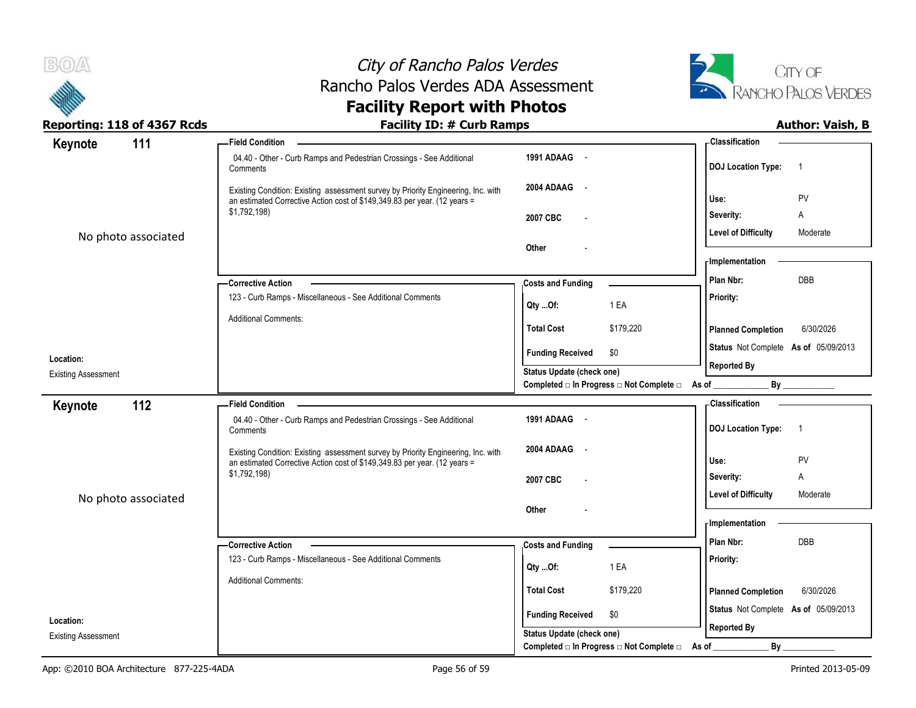



| Reporting: 118 of 4367 Rcds             | <b>Facility ID: # Curb Ramps</b>                                                                                                                               |                                                |           |                                      | <b>Author: Vaish, B</b> |
|-----------------------------------------|----------------------------------------------------------------------------------------------------------------------------------------------------------------|------------------------------------------------|-----------|--------------------------------------|-------------------------|
| 111<br>Keynote                          | - Field Condition                                                                                                                                              |                                                |           | - Classification                     |                         |
|                                         | 04.40 - Other - Curb Ramps and Pedestrian Crossings - See Additional<br>Comments                                                                               | 1991 ADAAG -                                   |           | DOJ Location Type: 1                 |                         |
|                                         | Existing Condition: Existing assessment survey by Priority Engineering, Inc. with<br>an estimated Corrective Action cost of \$149,349.83 per year. (12 years = | 2004 ADAAG -                                   |           | Use:                                 | PV                      |
|                                         | \$1,792,198)                                                                                                                                                   | 2007 CBC<br>$\overline{\phantom{a}}$           |           | Severity:                            | A                       |
| No photo associated                     |                                                                                                                                                                | Other                                          |           | <b>Level of Difficulty</b>           | Moderate                |
|                                         |                                                                                                                                                                |                                                |           | <b>Implementation</b>                |                         |
|                                         | -Corrective Action                                                                                                                                             | <b>Costs and Funding</b>                       |           | Plan Nbr:                            | DBB                     |
|                                         | 123 - Curb Ramps - Miscellaneous - See Additional Comments                                                                                                     |                                                |           | Priority:                            |                         |
|                                         |                                                                                                                                                                | QtyOf:                                         | 1 EA      |                                      |                         |
|                                         | <b>Additional Comments:</b>                                                                                                                                    | <b>Total Cost</b>                              | \$179,220 | <b>Planned Completion</b>            | 6/30/2026               |
|                                         |                                                                                                                                                                | <b>Funding Received</b>                        | \$0       | Status Not Complete As of 05/09/2013 |                         |
| Location:<br><b>Existing Assessment</b> |                                                                                                                                                                | Status Update (check one)                      |           | <b>Reported By</b>                   |                         |
|                                         |                                                                                                                                                                | Completed a In Progress and Complete and As of |           | $By$ <sub>_____</sub>                |                         |
| 112<br>Keynote                          | -Field Condition                                                                                                                                               |                                                |           | - Classification                     |                         |
|                                         | 04.40 - Other - Curb Ramps and Pedestrian Crossings - See Additional<br>Comments                                                                               | 1991 ADAAG -                                   |           | DOJ Location Type: 1                 |                         |
|                                         | Existing Condition: Existing assessment survey by Priority Engineering, Inc. with                                                                              | 2004 ADAAG -                                   |           |                                      |                         |
|                                         | an estimated Corrective Action cost of \$149,349.83 per year. (12 years =                                                                                      |                                                |           | Use:                                 | PV                      |
|                                         | \$1,792,198)                                                                                                                                                   | 2007 CBC<br>$\overline{\phantom{a}}$           |           | Severity:                            | A                       |
| No photo associated                     |                                                                                                                                                                |                                                |           | <b>Level of Difficulty</b>           | Moderate                |
|                                         |                                                                                                                                                                | Other                                          |           | <b>Implementation</b>                |                         |
|                                         |                                                                                                                                                                |                                                |           | Plan Nbr:                            | <b>DBB</b>              |
|                                         | - Corrective Action                                                                                                                                            | <b>Costs and Funding</b>                       |           |                                      |                         |
|                                         | 123 - Curb Ramps - Miscellaneous - See Additional Comments                                                                                                     | QtyOf:                                         | 1 EA      | Priority:                            |                         |
|                                         | <b>Additional Comments:</b>                                                                                                                                    | <b>Total Cost</b>                              | \$179,220 | <b>Planned Completion</b>            | 6/30/2026               |
|                                         |                                                                                                                                                                |                                                |           | Status Not Complete As of 05/09/2013 |                         |
| Location:                               |                                                                                                                                                                | <b>Funding Received</b>                        | \$0       |                                      |                         |
| <b>Existing Assessment</b>              |                                                                                                                                                                | Status Update (check one)                      |           | <b>Reported By</b>                   |                         |
|                                         |                                                                                                                                                                | Completed □ In Progress □ Not Complete □ As of |           | By                                   |                         |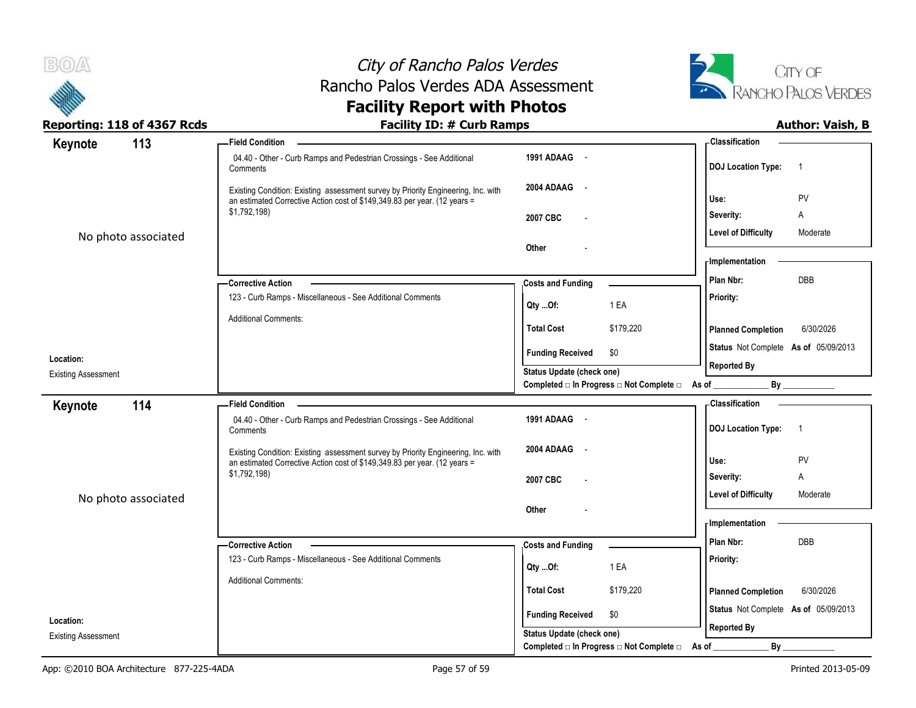



| Reporting: 118 of 4367 Rcds | <b>Facility ID: # Curb Ramps</b>                                                                                                                               |                                      |                                                |                                      | <b>Author: Vaish, B</b> |
|-----------------------------|----------------------------------------------------------------------------------------------------------------------------------------------------------------|--------------------------------------|------------------------------------------------|--------------------------------------|-------------------------|
| 113<br>Keynote              | <b>Field Condition</b>                                                                                                                                         |                                      |                                                | - Classification                     |                         |
|                             | 04.40 - Other - Curb Ramps and Pedestrian Crossings - See Additional<br>Comments                                                                               | 1991 ADAAG -                         |                                                | DOJ Location Type: 1                 |                         |
|                             | Existing Condition: Existing assessment survey by Priority Engineering, Inc. with<br>an estimated Corrective Action cost of \$149,349.83 per year. (12 years = | 2004 ADAAG -                         |                                                | Use:                                 | PV                      |
|                             | \$1,792,198)                                                                                                                                                   | 2007 CBC<br>$\overline{\phantom{a}}$ |                                                | Severity:                            | A                       |
| No photo associated         |                                                                                                                                                                | Other                                |                                                | <b>Level of Difficulty</b>           | Moderate                |
|                             |                                                                                                                                                                |                                      |                                                | <b>Implementation</b>                |                         |
|                             | - Corrective Action                                                                                                                                            | <b>Costs and Funding</b>             |                                                | Plan Nbr:                            | DBB                     |
|                             | 123 - Curb Ramps - Miscellaneous - See Additional Comments                                                                                                     |                                      |                                                | Priority:                            |                         |
|                             | <b>Additional Comments:</b>                                                                                                                                    | Qty Of:                              | 1 EA                                           |                                      |                         |
|                             |                                                                                                                                                                | <b>Total Cost</b>                    | \$179,220                                      | <b>Planned Completion</b>            | 6/30/2026               |
| Location:                   |                                                                                                                                                                | <b>Funding Received</b>              | \$0                                            | Status Not Complete As of 05/09/2013 |                         |
| <b>Existing Assessment</b>  |                                                                                                                                                                | Status Update (check one)            |                                                | <b>Reported By</b>                   |                         |
|                             |                                                                                                                                                                |                                      | Completed □ In Progress □ Not Complete □ As of |                                      | By                      |
| 114<br>Keynote              | - Field Condition                                                                                                                                              |                                      |                                                | -Classification                      |                         |
|                             | 04.40 - Other - Curb Ramps and Pedestrian Crossings - See Additional<br>Comments                                                                               | 1991 ADAAG -                         |                                                | DOJ Location Type: 1                 |                         |
|                             | Existing Condition: Existing assessment survey by Priority Engineering, Inc. with                                                                              | 2004 ADAAG -                         |                                                |                                      |                         |
|                             | an estimated Corrective Action cost of \$149,349.83 per year. (12 years =<br>\$1,792,198)                                                                      |                                      |                                                | Use:                                 | PV                      |
|                             |                                                                                                                                                                | 2007 CBC<br>$\overline{\phantom{a}}$ |                                                | Severity:                            | A                       |
| No photo associated         |                                                                                                                                                                | Other                                |                                                | <b>Level of Difficulty</b>           | Moderate                |
|                             |                                                                                                                                                                |                                      |                                                | <b>Implementation</b>                |                         |
|                             | - Corrective Action                                                                                                                                            |                                      |                                                | Plan Nbr:                            | DBB                     |
|                             | 123 - Curb Ramps - Miscellaneous - See Additional Comments                                                                                                     | <b>Costs and Funding</b>             |                                                | Priority:                            |                         |
|                             |                                                                                                                                                                | Qty Of:                              | 1 EA                                           |                                      |                         |
|                             | <b>Additional Comments:</b>                                                                                                                                    | <b>Total Cost</b>                    | \$179,220                                      | <b>Planned Completion</b>            | 6/30/2026               |
| Location:                   |                                                                                                                                                                | <b>Funding Received</b>              | \$0                                            | Status Not Complete As of 05/09/2013 |                         |
| <b>Existing Assessment</b>  |                                                                                                                                                                | Status Update (check one)            |                                                | <b>Reported By</b>                   |                         |
|                             |                                                                                                                                                                |                                      | Completed □ In Progress □ Not Complete □ As of | By                                   |                         |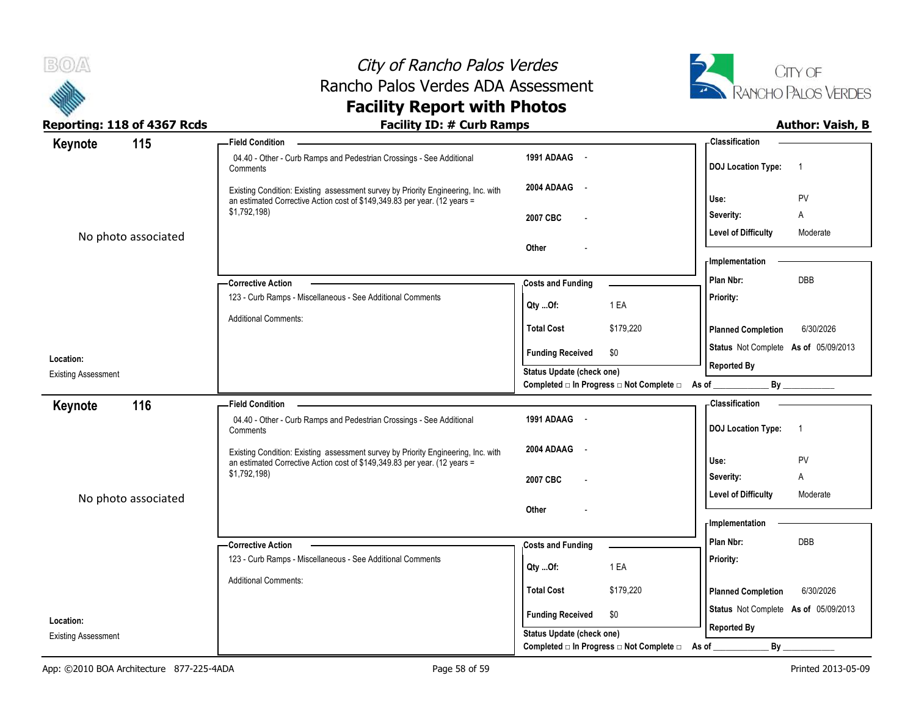



| Reporting: 118 of 4367 Rcds | <b>Facility ID: # Curb Ramps</b>                                                                                                                               |                                                | <b>Author: Vaish, B</b>                                 |
|-----------------------------|----------------------------------------------------------------------------------------------------------------------------------------------------------------|------------------------------------------------|---------------------------------------------------------|
| 115<br>Keynote              | <b>Field Condition</b>                                                                                                                                         |                                                | <b>Classification</b>                                   |
|                             | 04.40 - Other - Curb Ramps and Pedestrian Crossings - See Additional<br>Comments                                                                               | 1991 ADAAG -                                   | <b>DOJ Location Type:</b><br>$\overline{\phantom{0}}$ 1 |
|                             | Existing Condition: Existing assessment survey by Priority Engineering, Inc. with<br>an estimated Corrective Action cost of \$149,349.83 per year. (12 years = | 2004 ADAAG -                                   | PV<br>Use:                                              |
|                             | \$1,792,198)                                                                                                                                                   | 2007 CBC                                       | Severity:<br>Α                                          |
| No photo associated         |                                                                                                                                                                |                                                | <b>Level of Difficulty</b><br>Moderate                  |
|                             |                                                                                                                                                                | Other                                          | - Implementation                                        |
|                             | -Corrective Action                                                                                                                                             | <b>Costs and Funding</b>                       | DBB<br>Plan Nbr:                                        |
|                             | 123 - Curb Ramps - Miscellaneous - See Additional Comments                                                                                                     | 1 EA<br>QtyOf:                                 | <b>Priority:</b>                                        |
|                             | <b>Additional Comments:</b>                                                                                                                                    | \$179,220<br><b>Total Cost</b>                 | 6/30/2026<br><b>Planned Completion</b>                  |
|                             |                                                                                                                                                                | <b>Funding Received</b><br>\$0                 | Status Not Complete As of 05/09/2013                    |
| Location:                   |                                                                                                                                                                | Status Update (check one)                      | <b>Reported By</b>                                      |
| <b>Existing Assessment</b>  |                                                                                                                                                                | Completed □ In Progress □ Not Complete □ As of | $By$ <sub>----</sub>                                    |
| 116<br>Keynote              | -Field Condition                                                                                                                                               |                                                | <b>Classification</b>                                   |
|                             | 04.40 - Other - Curb Ramps and Pedestrian Crossings - See Additional<br>Comments                                                                               | 1991 ADAAG -                                   | DOJ Location Type: 1                                    |
|                             | Existing Condition: Existing assessment survey by Priority Engineering, Inc. with<br>an estimated Corrective Action cost of \$149,349.83 per year. (12 years = | 2004 ADAAG -                                   | PV<br>Use:                                              |
|                             | \$1,792,198)                                                                                                                                                   | 2007 CBC                                       | Severity:<br>Α                                          |
|                             |                                                                                                                                                                |                                                | <b>Level of Difficulty</b><br>Moderate                  |
| No photo associated         |                                                                                                                                                                | Other                                          |                                                         |
|                             |                                                                                                                                                                |                                                | - Implementation                                        |
|                             | <b>Corrective Action</b>                                                                                                                                       | <b>Costs and Funding</b>                       | Plan Nbr:<br><b>DBB</b>                                 |
|                             | 123 - Curb Ramps - Miscellaneous - See Additional Comments                                                                                                     | 1 EA<br>QtyOf:                                 | Priority:                                               |
|                             | <b>Additional Comments:</b>                                                                                                                                    | \$179,220<br><b>Total Cost</b>                 | 6/30/2026<br><b>Planned Completion</b>                  |
|                             |                                                                                                                                                                | <b>Funding Received</b><br>\$0                 | Status Not Complete As of 05/09/2013                    |
| Location:                   |                                                                                                                                                                | Status Update (check one)                      | <b>Reported By</b>                                      |
| <b>Existing Assessment</b>  |                                                                                                                                                                | Completed □ In Progress □ Not Complete □ As of | $By$ <sub>-</sub>                                       |